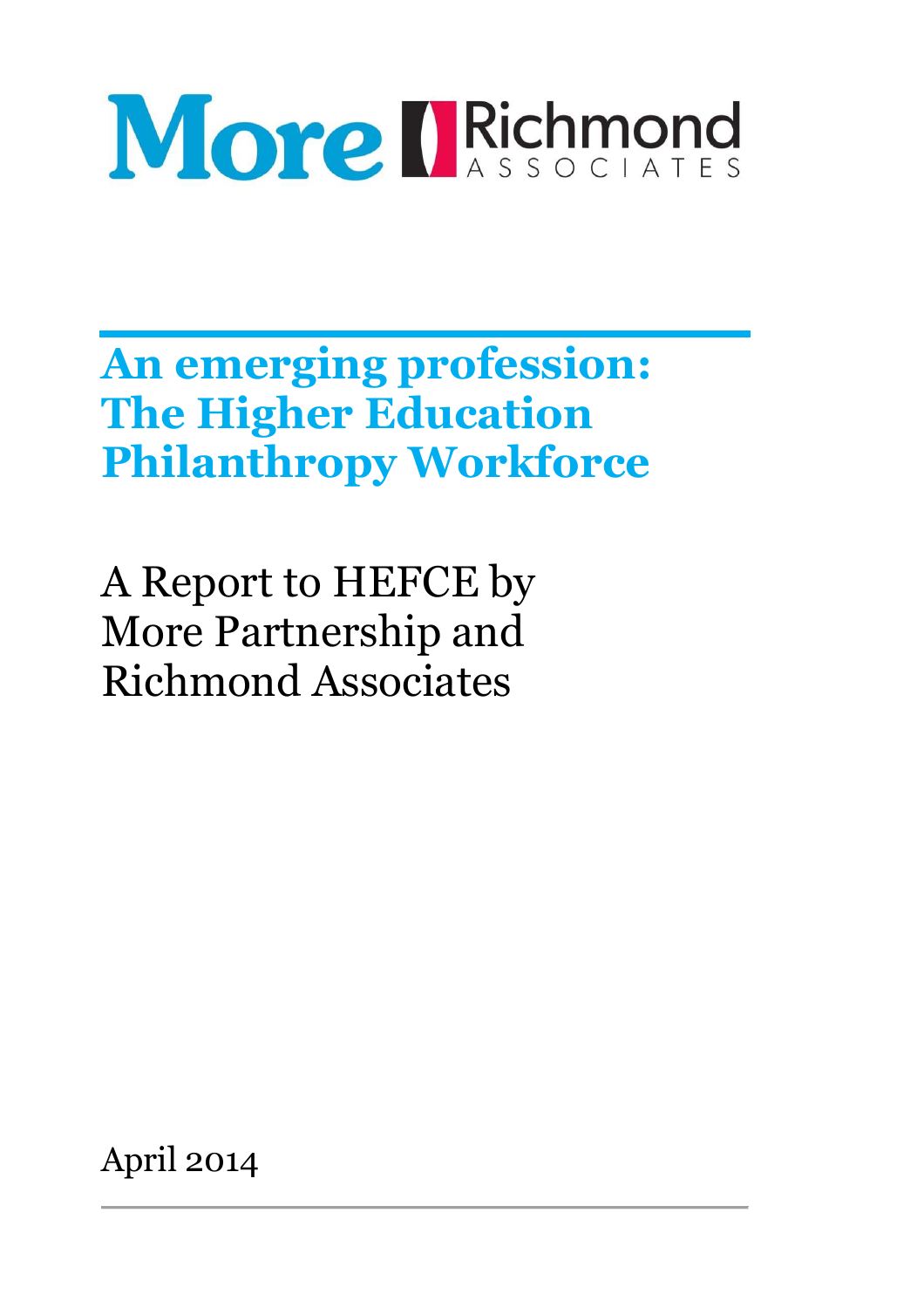# More IRichmond

**An emerging profession: The Higher Education Philanthropy Workforce** 

A Report to HEFCE by More Partnership and Richmond Associates

April 2014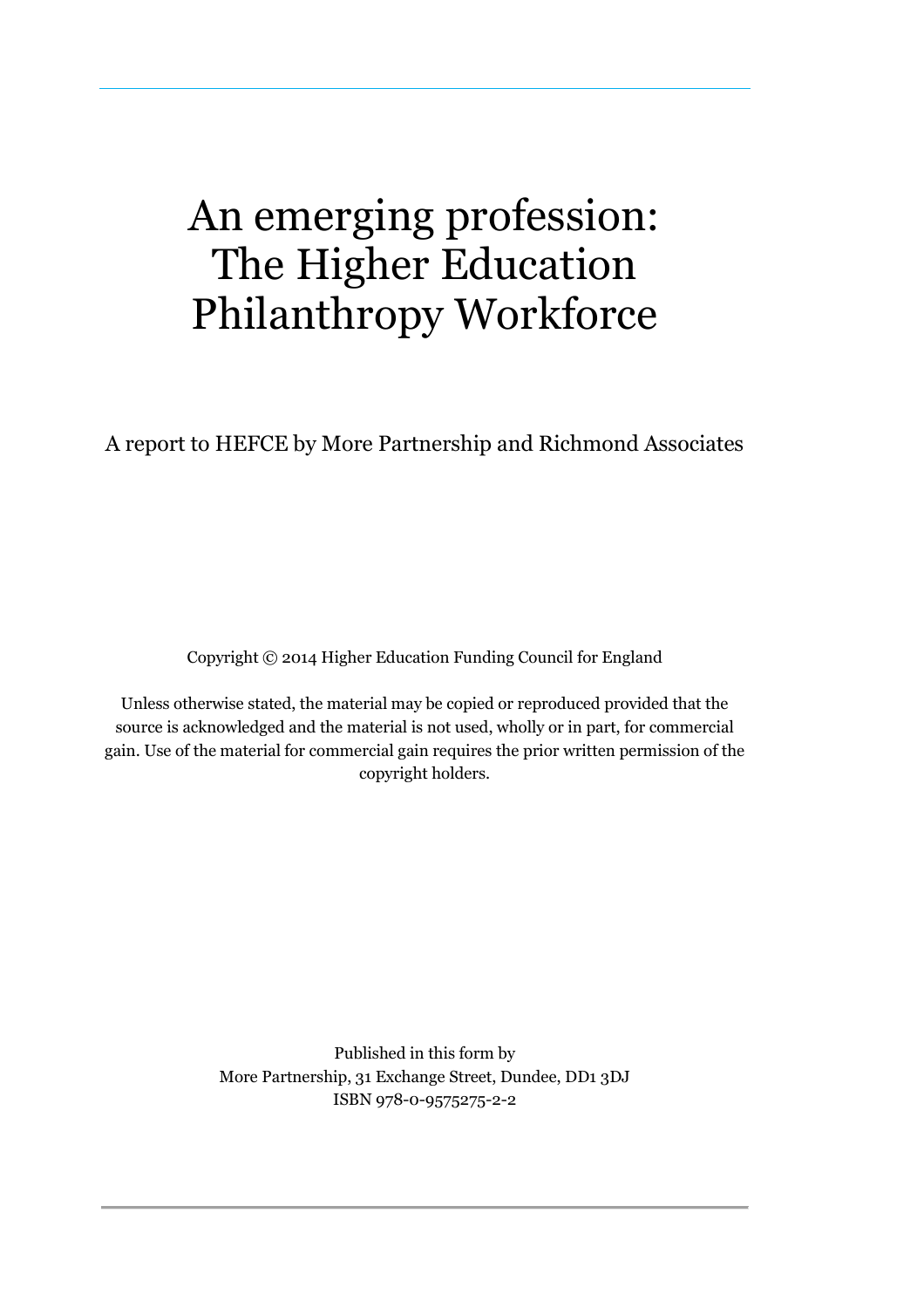## An emerging profession: The Higher Education Philanthropy Workforce

A report to HEFCE by More Partnership and Richmond Associates

Copyright © 2014 Higher Education Funding Council for England

Unless otherwise stated, the material may be copied or reproduced provided that the source is acknowledged and the material is not used, wholly or in part, for commercial gain. Use of the material for commercial gain requires the prior written permission of the copyright holders.

> Published in this form by More Partnership, 31 Exchange Street, Dundee, DD1 3DJ ISBN 978-0-9575275-2-2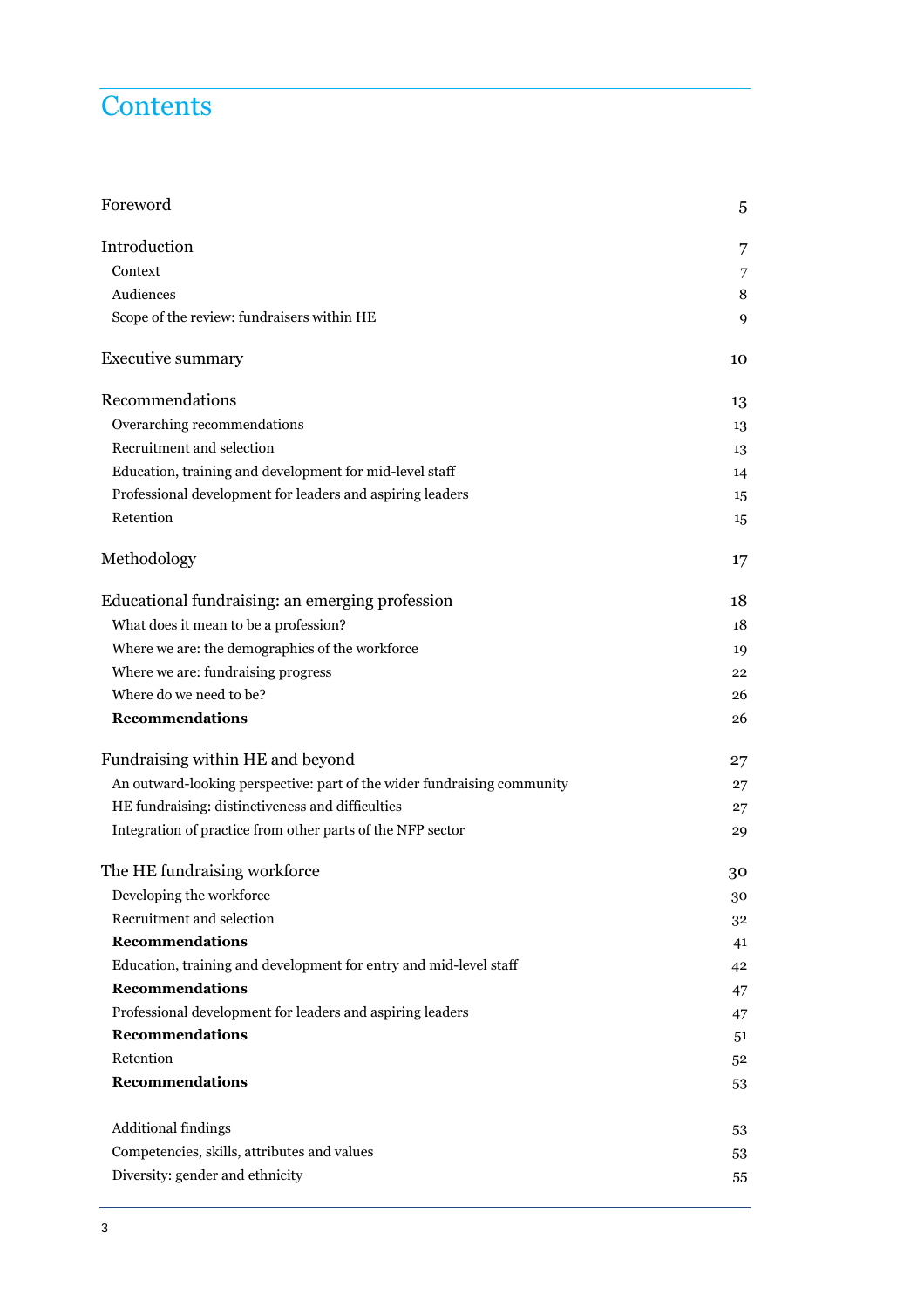## **Contents**

| Foreword                                                                | 5  |
|-------------------------------------------------------------------------|----|
| Introduction                                                            | 7  |
| Context                                                                 | 7  |
| Audiences                                                               | 8  |
| Scope of the review: fundraisers within HE                              | 9  |
| <b>Executive summary</b>                                                | 10 |
| Recommendations                                                         | 13 |
| Overarching recommendations                                             | 13 |
| Recruitment and selection                                               | 13 |
| Education, training and development for mid-level staff                 | 14 |
| Professional development for leaders and aspiring leaders               | 15 |
| Retention                                                               | 15 |
| Methodology                                                             | 17 |
| Educational fundraising: an emerging profession                         | 18 |
| What does it mean to be a profession?                                   | 18 |
| Where we are: the demographics of the workforce                         | 19 |
| Where we are: fundraising progress                                      | 22 |
| Where do we need to be?                                                 | 26 |
| <b>Recommendations</b>                                                  | 26 |
| Fundraising within HE and beyond                                        | 27 |
| An outward-looking perspective: part of the wider fundraising community | 27 |
| HE fundraising: distinctiveness and difficulties                        | 27 |
| Integration of practice from other parts of the NFP sector              | 29 |
| The HE fundraising workforce                                            | 30 |
| Developing the workforce                                                | 30 |
| Recruitment and selection                                               | 32 |
| <b>Recommendations</b>                                                  | 41 |
| Education, training and development for entry and mid-level staff       | 42 |
| <b>Recommendations</b>                                                  | 47 |
| Professional development for leaders and aspiring leaders               | 47 |
| <b>Recommendations</b>                                                  | 51 |
| Retention                                                               | 52 |
| <b>Recommendations</b>                                                  | 53 |
| Additional findings                                                     | 53 |
| Competencies, skills, attributes and values                             | 53 |
| Diversity: gender and ethnicity                                         | 55 |
|                                                                         |    |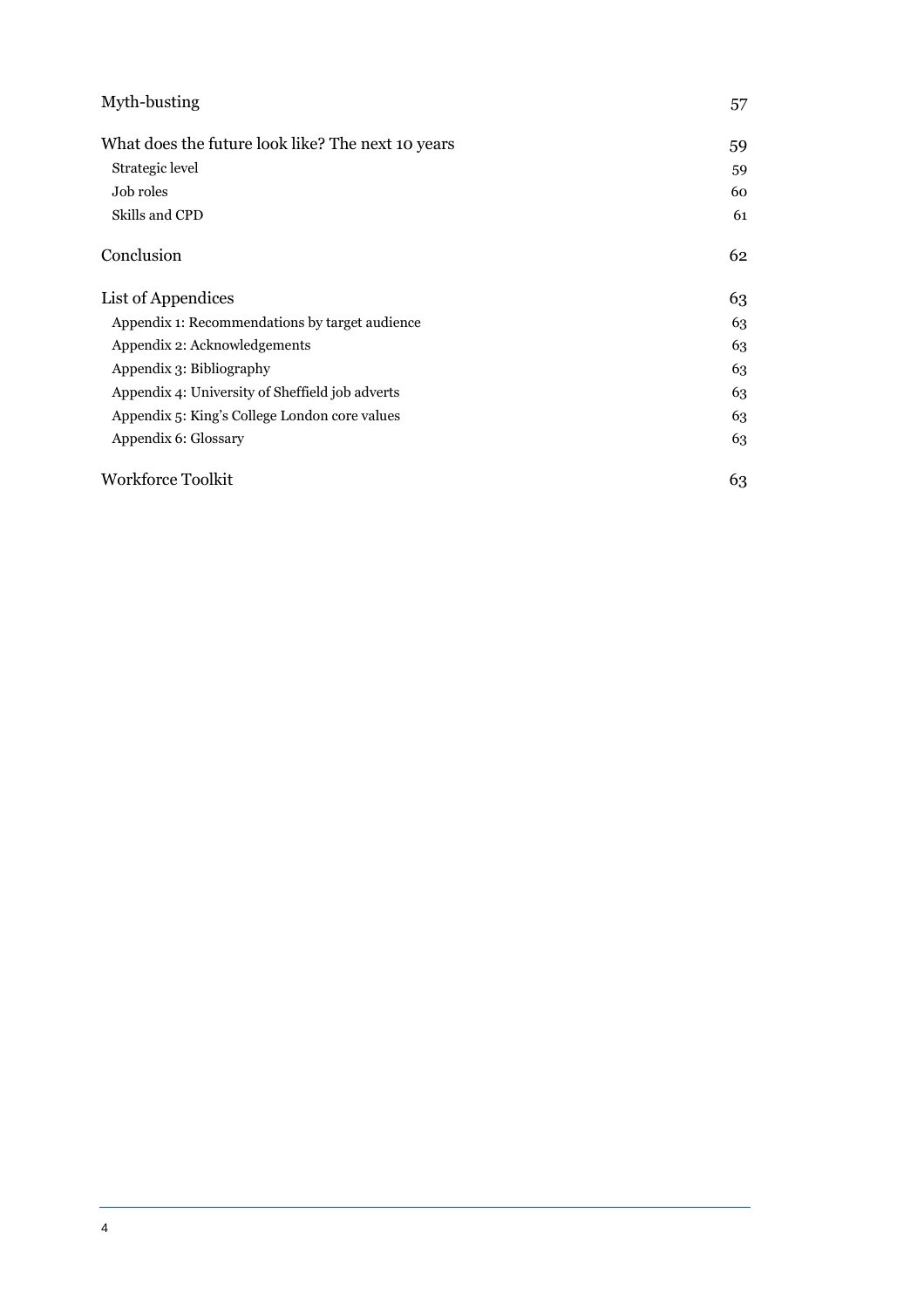| Myth-busting                                      | 57 |
|---------------------------------------------------|----|
| What does the future look like? The next 10 years | 59 |
| Strategic level                                   | 59 |
| Job roles                                         | 60 |
| Skills and CPD                                    | 61 |
| Conclusion                                        | 62 |
| List of Appendices                                | 63 |
| Appendix 1: Recommendations by target audience    | 63 |
| Appendix 2: Acknowledgements                      | 63 |
| Appendix 3: Bibliography                          | 63 |
| Appendix 4: University of Sheffield job adverts   | 63 |
| Appendix 5: King's College London core values     | 63 |
| Appendix 6: Glossary                              | 63 |
| Workforce Toolkit                                 | 63 |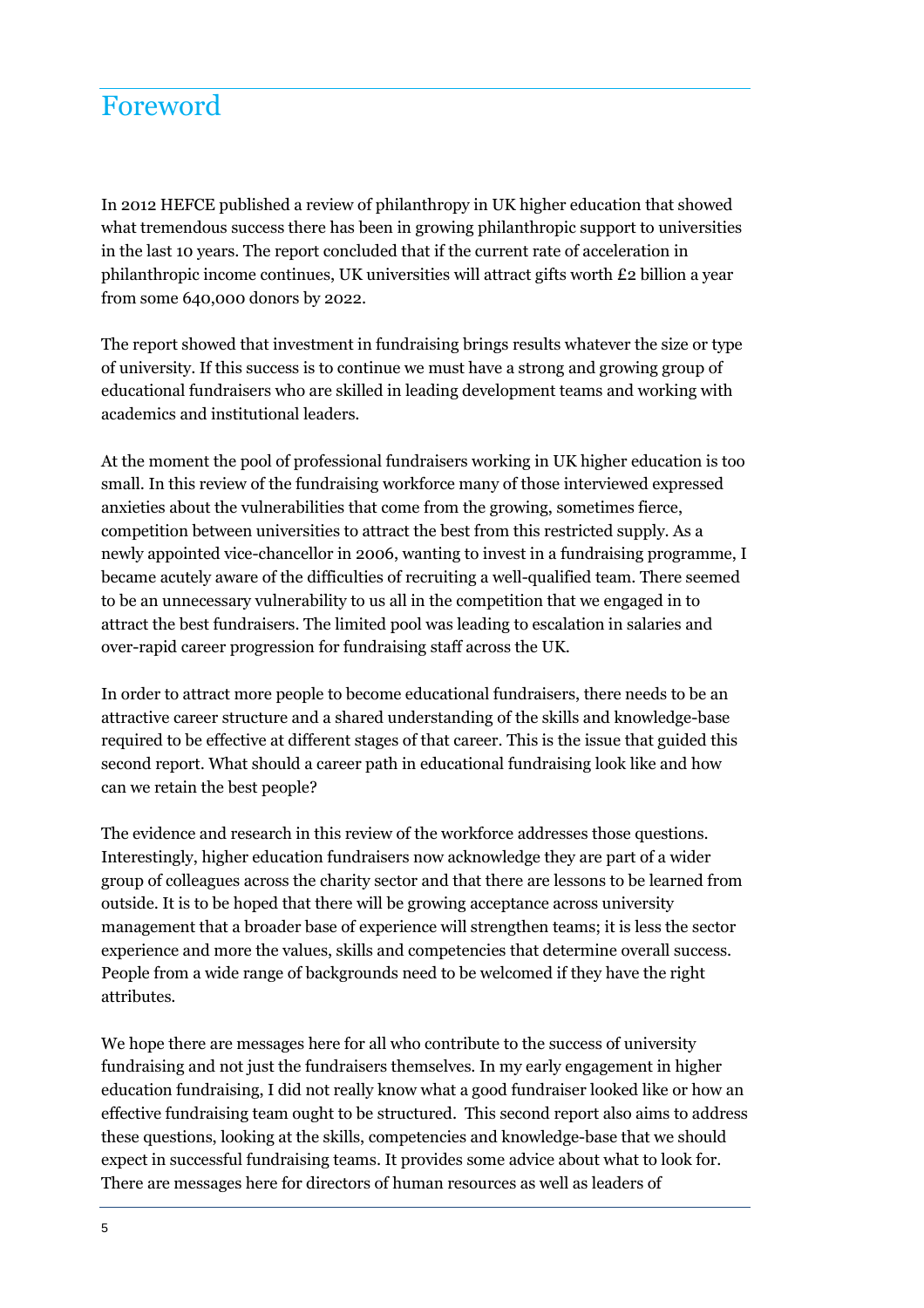## Foreword

In 2012 HEFCE published a review of philanthropy in UK higher education that showed what tremendous success there has been in growing philanthropic support to universities in the last 10 years. The report concluded that if the current rate of acceleration in philanthropic income continues, UK universities will attract gifts worth £2 billion a year from some 640,000 donors by 2022.

The report showed that investment in fundraising brings results whatever the size or type of university. If this success is to continue we must have a strong and growing group of educational fundraisers who are skilled in leading development teams and working with academics and institutional leaders.

At the moment the pool of professional fundraisers working in UK higher education is too small. In this review of the fundraising workforce many of those interviewed expressed anxieties about the vulnerabilities that come from the growing, sometimes fierce, competition between universities to attract the best from this restricted supply. As a newly appointed vice-chancellor in 2006, wanting to invest in a fundraising programme, I became acutely aware of the difficulties of recruiting a well-qualified team. There seemed to be an unnecessary vulnerability to us all in the competition that we engaged in to attract the best fundraisers. The limited pool was leading to escalation in salaries and over-rapid career progression for fundraising staff across the UK.

In order to attract more people to become educational fundraisers, there needs to be an attractive career structure and a shared understanding of the skills and knowledge-base required to be effective at different stages of that career. This is the issue that guided this second report. What should a career path in educational fundraising look like and how can we retain the best people?

The evidence and research in this review of the workforce addresses those questions. Interestingly, higher education fundraisers now acknowledge they are part of a wider group of colleagues across the charity sector and that there are lessons to be learned from outside. It is to be hoped that there will be growing acceptance across university management that a broader base of experience will strengthen teams; it is less the sector experience and more the values, skills and competencies that determine overall success. People from a wide range of backgrounds need to be welcomed if they have the right attributes.

We hope there are messages here for all who contribute to the success of university fundraising and not just the fundraisers themselves. In my early engagement in higher education fundraising, I did not really know what a good fundraiser looked like or how an effective fundraising team ought to be structured. This second report also aims to address these questions, looking at the skills, competencies and knowledge-base that we should expect in successful fundraising teams. It provides some advice about what to look for. There are messages here for directors of human resources as well as leaders of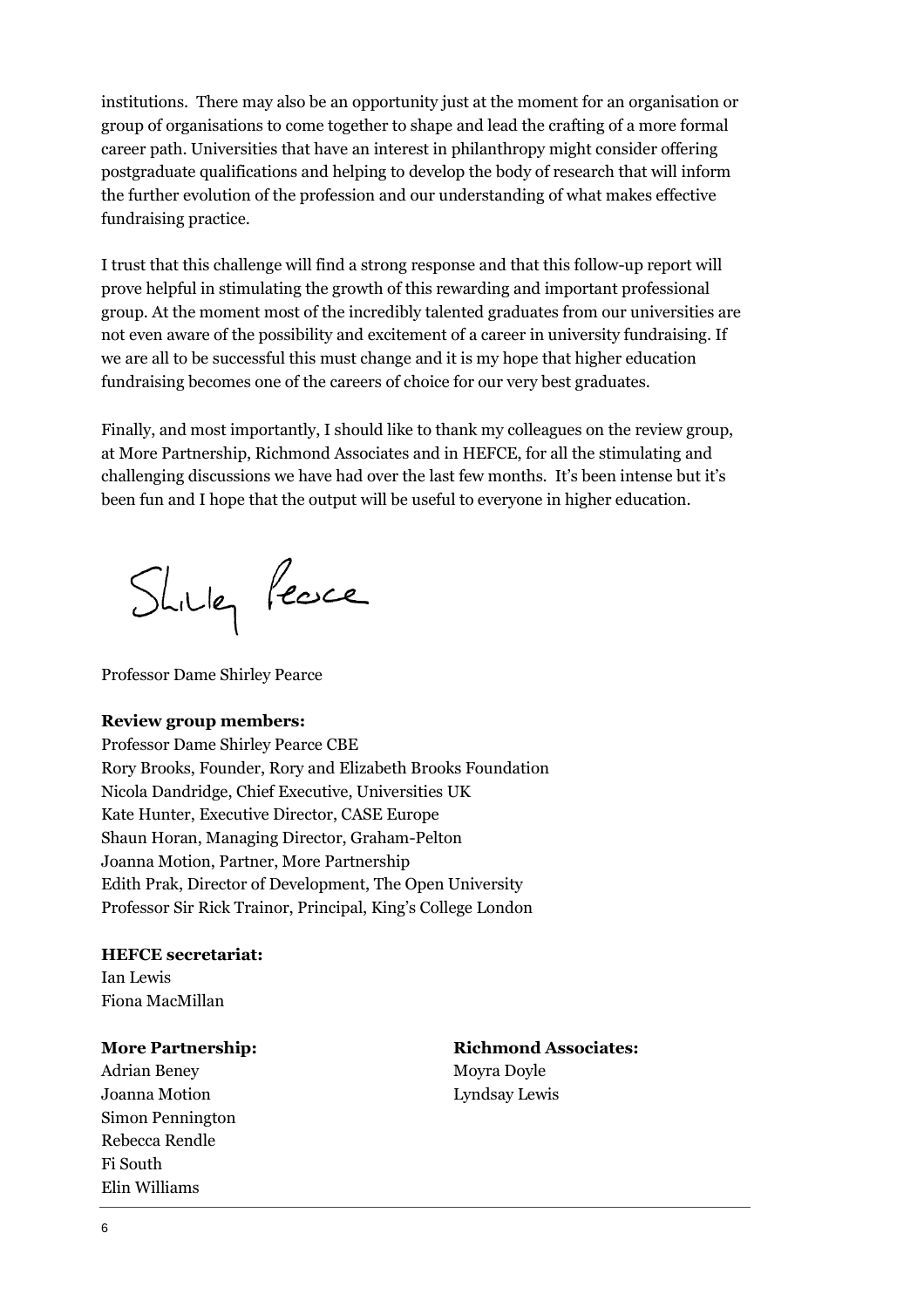institutions. There may also be an opportunity just at the moment for an organisation or group of organisations to come together to shape and lead the crafting of a more formal career path. Universities that have an interest in philanthropy might consider offering postgraduate qualifications and helping to develop the body of research that will inform the further evolution of the profession and our understanding of what makes effective fundraising practice.

I trust that this challenge will find a strong response and that this follow-up report will prove helpful in stimulating the growth of this rewarding and important professional group. At the moment most of the incredibly talented graduates from our universities are not even aware of the possibility and excitement of a career in university fundraising. If we are all to be successful this must change and it is my hope that higher education fundraising becomes one of the careers of choice for our very best graduates.

Finally, and most importantly, I should like to thank my colleagues on the review group, at More Partnership, Richmond Associates and in HEFCE, for all the stimulating and challenging discussions we have had over the last few months. It's been intense but it's been fun and I hope that the output will be useful to everyone in higher education.

Shilley Peace

Professor Dame Shirley Pearce

#### **Review group members:**

Professor Dame Shirley Pearce CBE Rory Brooks, Founder, Rory and Elizabeth Brooks Foundation Nicola Dandridge, Chief Executive, Universities UK Kate Hunter, Executive Director, CASE Europe Shaun Horan, Managing Director, Graham-Pelton Joanna Motion, Partner, More Partnership Edith Prak, Director of Development, The Open University Professor Sir Rick Trainor, Principal, King's College London

**HEFCE secretariat:**  Ian Lewis Fiona MacMillan

Adrian Beney Movra Dovle Joanna Motion Lyndsay Lewis Simon Pennington Rebecca Rendle Fi South Elin Williams

**More Partnership:** Richmond Associates: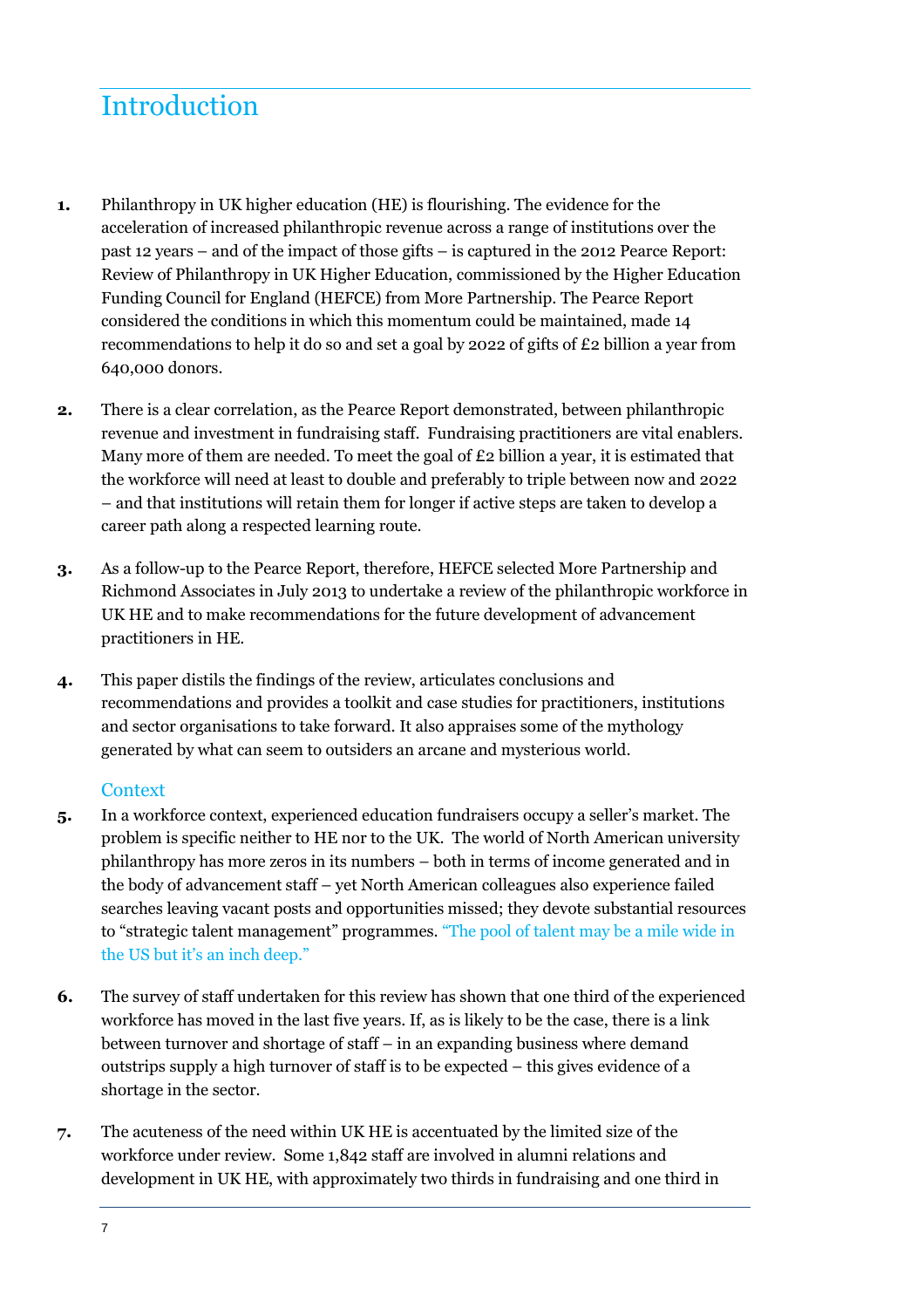## **Introduction**

- **1.** Philanthropy in UK higher education (HE) is flourishing. The evidence for the acceleration of increased philanthropic revenue across a range of institutions over the past 12 years – and of the impact of those gifts – is captured in the 2012 Pearce Report: Review of Philanthropy in UK Higher Education, commissioned by the Higher Education Funding Council for England (HEFCE) from More Partnership. The Pearce Report considered the conditions in which this momentum could be maintained, made 14 recommendations to help it do so and set a goal by 2022 of gifts of £2 billion a year from 640,000 donors.
- **2.** There is a clear correlation, as the Pearce Report demonstrated, between philanthropic revenue and investment in fundraising staff. Fundraising practitioners are vital enablers. Many more of them are needed. To meet the goal of  $E_2$  billion a year, it is estimated that the workforce will need at least to double and preferably to triple between now and 2022 – and that institutions will retain them for longer if active steps are taken to develop a career path along a respected learning route.
- **3.** As a follow-up to the Pearce Report, therefore, HEFCE selected More Partnership and Richmond Associates in July 2013 to undertake a review of the philanthropic workforce in UK HE and to make recommendations for the future development of advancement practitioners in HE.
- **4.** This paper distils the findings of the review, articulates conclusions and recommendations and provides a toolkit and case studies for practitioners, institutions and sector organisations to take forward. It also appraises some of the mythology generated by what can seem to outsiders an arcane and mysterious world.

#### **Context**

- **5.** In a workforce context, experienced education fundraisers occupy a seller's market. The problem is specific neither to HE nor to the UK. The world of North American university philanthropy has more zeros in its numbers – both in terms of income generated and in the body of advancement staff – yet North American colleagues also experience failed searches leaving vacant posts and opportunities missed; they devote substantial resources to "strategic talent management" programmes. "The pool of talent may be a mile wide in the US but it's an inch deep."
- **6.** The survey of staff undertaken for this review has shown that one third of the experienced workforce has moved in the last five years. If, as is likely to be the case, there is a link between turnover and shortage of staff – in an expanding business where demand outstrips supply a high turnover of staff is to be expected – this gives evidence of a shortage in the sector.
- **7.** The acuteness of the need within UK HE is accentuated by the limited size of the workforce under review. Some 1,842 staff are involved in alumni relations and development in UK HE, with approximately two thirds in fundraising and one third in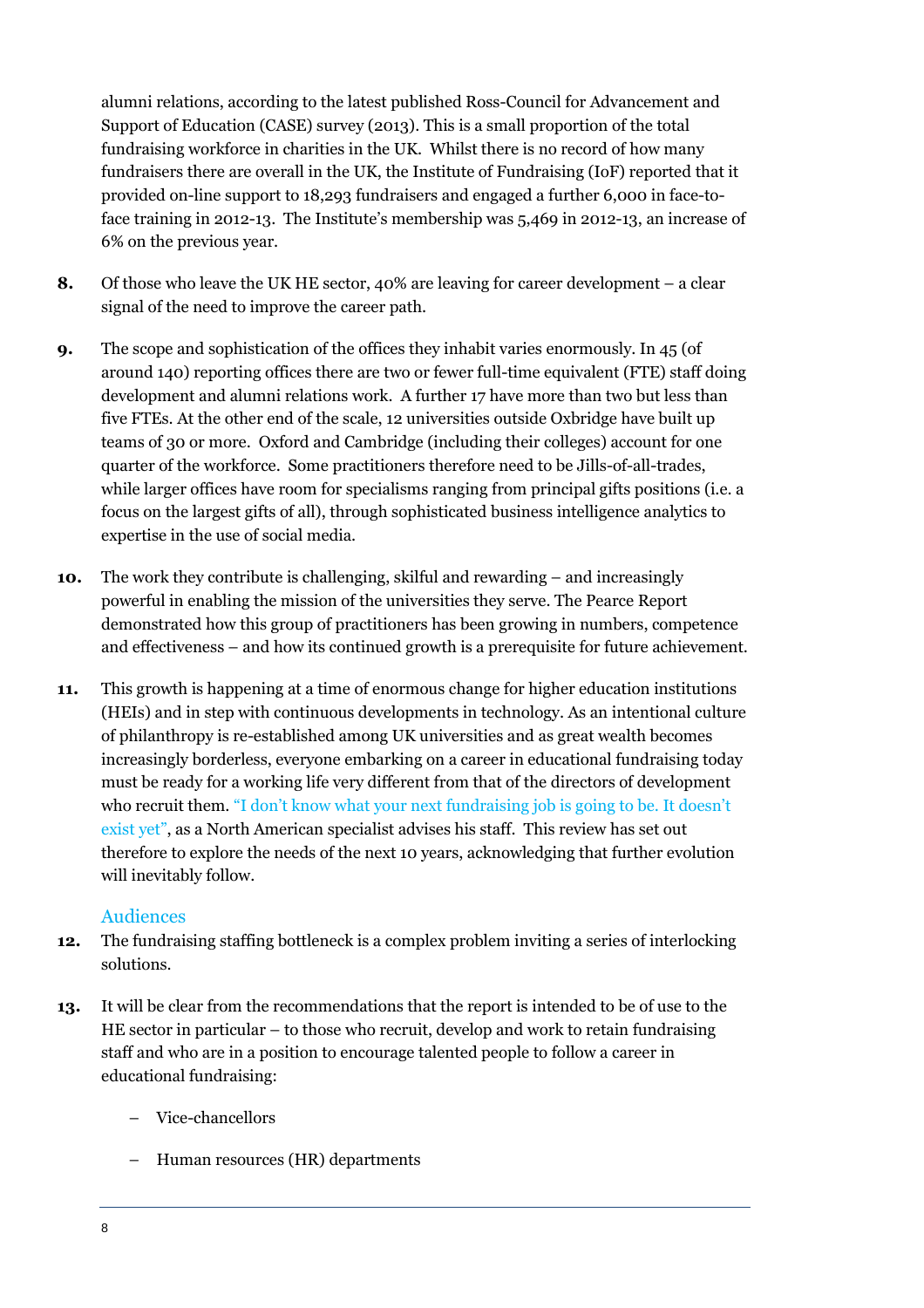alumni relations, according to the latest published Ross-Council for Advancement and Support of Education (CASE) survey (2013). This is a small proportion of the total fundraising workforce in charities in the UK. Whilst there is no record of how many fundraisers there are overall in the UK, the Institute of Fundraising (IoF) reported that it provided on-line support to 18,293 fundraisers and engaged a further 6,000 in face-toface training in 2012-13. The Institute's membership was 5,469 in 2012-13, an increase of 6% on the previous year.

- **8.** Of those who leave the UK HE sector, 40% are leaving for career development a clear signal of the need to improve the career path.
- **9.** The scope and sophistication of the offices they inhabit varies enormously. In 45 (of around 140) reporting offices there are two or fewer full-time equivalent (FTE) staff doing development and alumni relations work. A further 17 have more than two but less than five FTEs. At the other end of the scale, 12 universities outside Oxbridge have built up teams of 30 or more. Oxford and Cambridge (including their colleges) account for one quarter of the workforce. Some practitioners therefore need to be Jills-of-all-trades, while larger offices have room for specialisms ranging from principal gifts positions (i.e. a focus on the largest gifts of all), through sophisticated business intelligence analytics to expertise in the use of social media.
- **10.** The work they contribute is challenging, skilful and rewarding and increasingly powerful in enabling the mission of the universities they serve. The Pearce Report demonstrated how this group of practitioners has been growing in numbers, competence and effectiveness – and how its continued growth is a prerequisite for future achievement.
- **11.** This growth is happening at a time of enormous change for higher education institutions (HEIs) and in step with continuous developments in technology. As an intentional culture of philanthropy is re-established among UK universities and as great wealth becomes increasingly borderless, everyone embarking on a career in educational fundraising today must be ready for a working life very different from that of the directors of development who recruit them. "I don't know what your next fundraising job is going to be. It doesn't exist yet", as a North American specialist advises his staff. This review has set out therefore to explore the needs of the next 10 years, acknowledging that further evolution will inevitably follow.

#### Audiences

- **12.** The fundraising staffing bottleneck is a complex problem inviting a series of interlocking solutions.
- **13.** It will be clear from the recommendations that the report is intended to be of use to the HE sector in particular – to those who recruit, develop and work to retain fundraising staff and who are in a position to encourage talented people to follow a career in educational fundraising:
	- Vice-chancellors
	- Human resources (HR) departments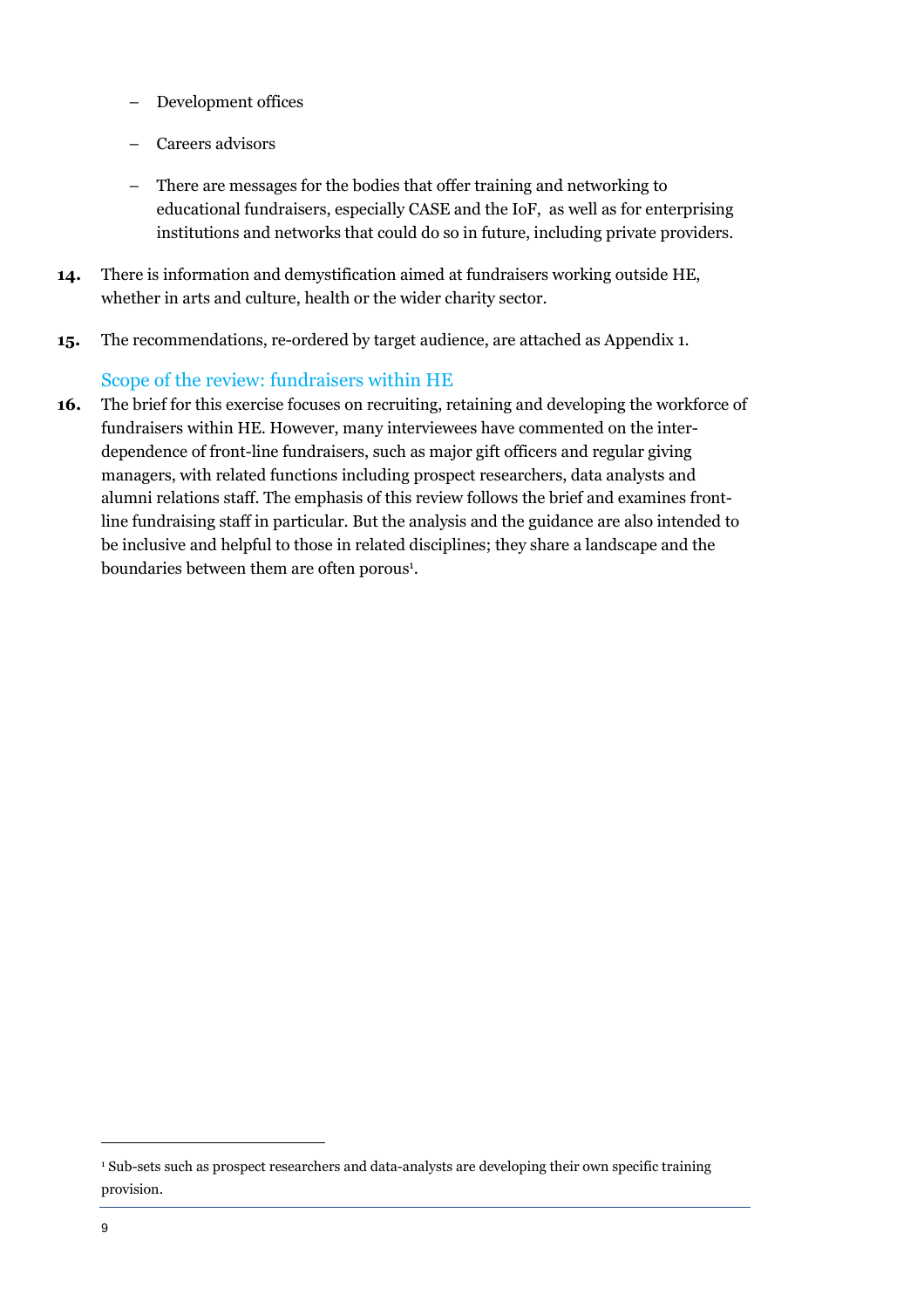- Development offices
- Careers advisors
- There are messages for the bodies that offer training and networking to educational fundraisers, especially CASE and the IoF, as well as for enterprising institutions and networks that could do so in future, including private providers.
- **14.** There is information and demystification aimed at fundraisers working outside HE, whether in arts and culture, health or the wider charity sector.
- **15.** The recommendations, re-ordered by target audience, are attached as Appendix 1.

#### Scope of the review: fundraisers within HE

**16.** The brief for this exercise focuses on recruiting, retaining and developing the workforce of fundraisers within HE. However, many interviewees have commented on the interdependence of front-line fundraisers, such as major gift officers and regular giving managers, with related functions including prospect researchers, data analysts and alumni relations staff. The emphasis of this review follows the brief and examines frontline fundraising staff in particular. But the analysis and the guidance are also intended to be inclusive and helpful to those in related disciplines; they share a landscape and the boundaries between them are often porous<sup>1</sup>.

<sup>1</sup> Sub-sets such as prospect researchers and data-analysts are developing their own specific training provision.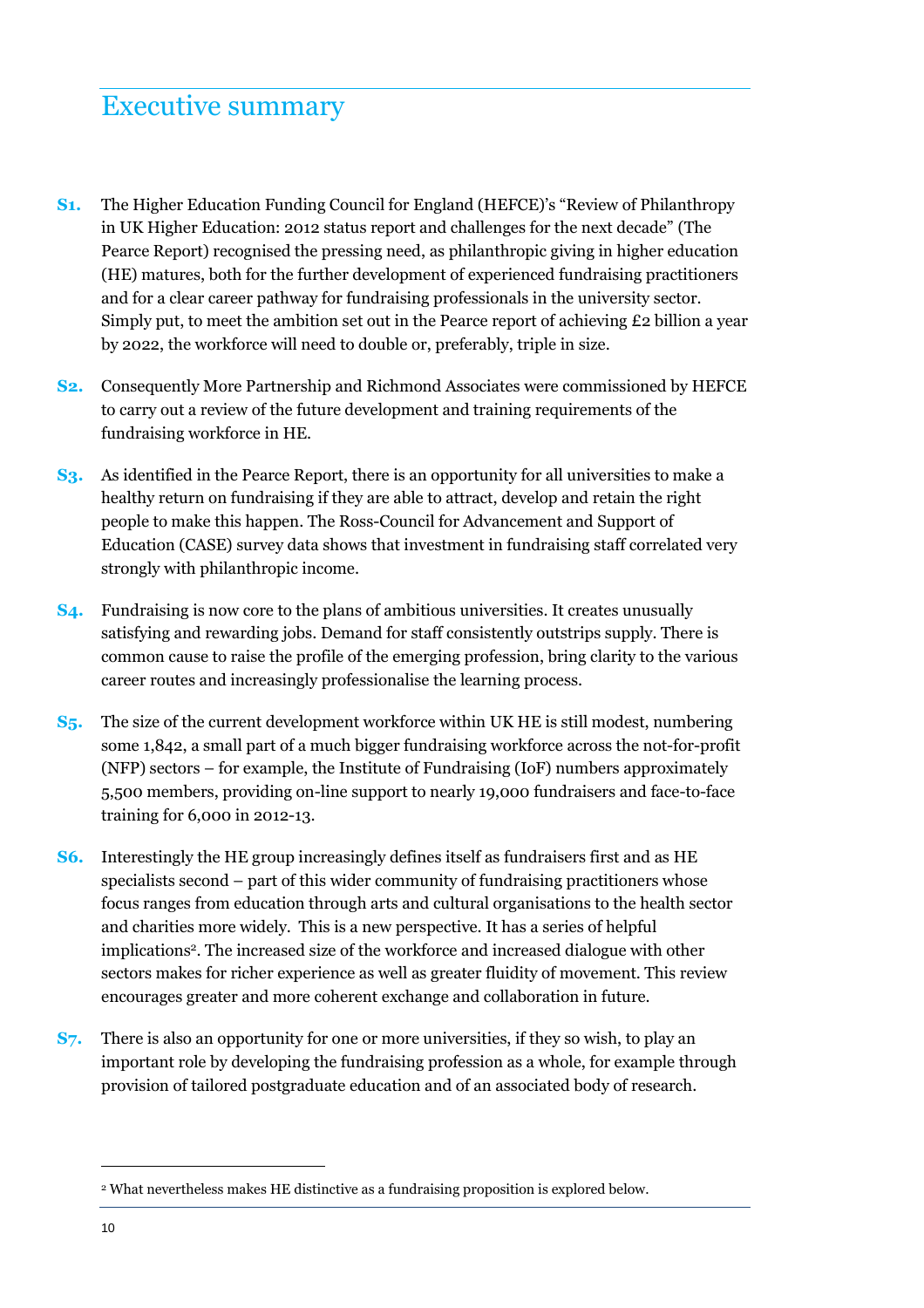## Executive summary

- **S1.** The Higher Education Funding Council for England (HEFCE)'s "Review of Philanthropy in UK Higher Education: 2012 status report and challenges for the next decade" (The Pearce Report) recognised the pressing need, as philanthropic giving in higher education (HE) matures, both for the further development of experienced fundraising practitioners and for a clear career pathway for fundraising professionals in the university sector. Simply put, to meet the ambition set out in the Pearce report of achieving £2 billion a year by 2022, the workforce will need to double or, preferably, triple in size.
- **S2.** Consequently More Partnership and Richmond Associates were commissioned by HEFCE to carry out a review of the future development and training requirements of the fundraising workforce in HE.
- **S3.** As identified in the Pearce Report, there is an opportunity for all universities to make a healthy return on fundraising if they are able to attract, develop and retain the right people to make this happen. The Ross-Council for Advancement and Support of Education (CASE) survey data shows that investment in fundraising staff correlated very strongly with philanthropic income.
- **S4.** Fundraising is now core to the plans of ambitious universities. It creates unusually satisfying and rewarding jobs. Demand for staff consistently outstrips supply. There is common cause to raise the profile of the emerging profession, bring clarity to the various career routes and increasingly professionalise the learning process.
- **S5.** The size of the current development workforce within UK HE is still modest, numbering some 1,842, a small part of a much bigger fundraising workforce across the not-for-profit (NFP) sectors – for example, the Institute of Fundraising (IoF) numbers approximately 5,500 members, providing on-line support to nearly 19,000 fundraisers and face-to-face training for 6,000 in 2012-13.
- **S6.** Interestingly the HE group increasingly defines itself as fundraisers first and as HE specialists second – part of this wider community of fundraising practitioners whose focus ranges from education through arts and cultural organisations to the health sector and charities more widely. This is a new perspective. It has a series of helpful implications<sup>2</sup> . The increased size of the workforce and increased dialogue with other sectors makes for richer experience as well as greater fluidity of movement. This review encourages greater and more coherent exchange and collaboration in future.
- **S7.** There is also an opportunity for one or more universities, if they so wish, to play an important role by developing the fundraising profession as a whole, for example through provision of tailored postgraduate education and of an associated body of research.

<sup>2</sup> What nevertheless makes HE distinctive as a fundraising proposition is explored below.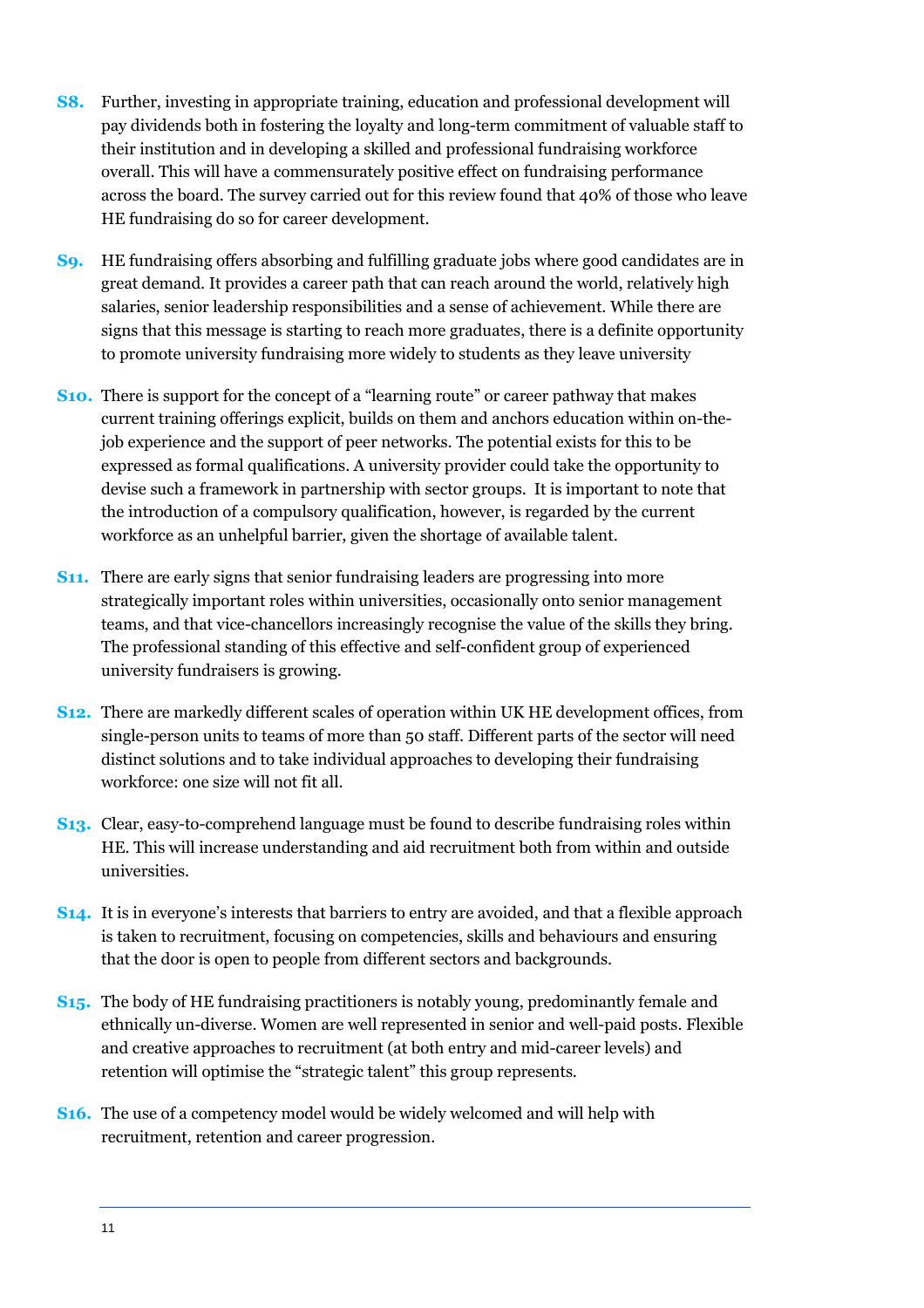- **S8.** Further, investing in appropriate training, education and professional development will pay dividends both in fostering the loyalty and long-term commitment of valuable staff to their institution and in developing a skilled and professional fundraising workforce overall. This will have a commensurately positive effect on fundraising performance across the board. The survey carried out for this review found that 40% of those who leave HE fundraising do so for career development.
- **S9.** HE fundraising offers absorbing and fulfilling graduate jobs where good candidates are in great demand. It provides a career path that can reach around the world, relatively high salaries, senior leadership responsibilities and a sense of achievement. While there are signs that this message is starting to reach more graduates, there is a definite opportunity to promote university fundraising more widely to students as they leave university
- **S10.** There is support for the concept of a "learning route" or career pathway that makes current training offerings explicit, builds on them and anchors education within on-thejob experience and the support of peer networks. The potential exists for this to be expressed as formal qualifications. A university provider could take the opportunity to devise such a framework in partnership with sector groups. It is important to note that the introduction of a compulsory qualification, however, is regarded by the current workforce as an unhelpful barrier, given the shortage of available talent.
- **S11.** There are early signs that senior fundraising leaders are progressing into more strategically important roles within universities, occasionally onto senior management teams, and that vice-chancellors increasingly recognise the value of the skills they bring. The professional standing of this effective and self-confident group of experienced university fundraisers is growing.
- **S12.** There are markedly different scales of operation within UK HE development offices, from single-person units to teams of more than 50 staff. Different parts of the sector will need distinct solutions and to take individual approaches to developing their fundraising workforce: one size will not fit all.
- **S13.** Clear, easy-to-comprehend language must be found to describe fundraising roles within HE. This will increase understanding and aid recruitment both from within and outside universities.
- **S14.** It is in everyone's interests that barriers to entry are avoided, and that a flexible approach is taken to recruitment, focusing on competencies, skills and behaviours and ensuring that the door is open to people from different sectors and backgrounds.
- **S15.** The body of HE fundraising practitioners is notably young, predominantly female and ethnically un-diverse. Women are well represented in senior and well-paid posts. Flexible and creative approaches to recruitment (at both entry and mid-career levels) and retention will optimise the "strategic talent" this group represents.
- **S16.** The use of a competency model would be widely welcomed and will help with recruitment, retention and career progression.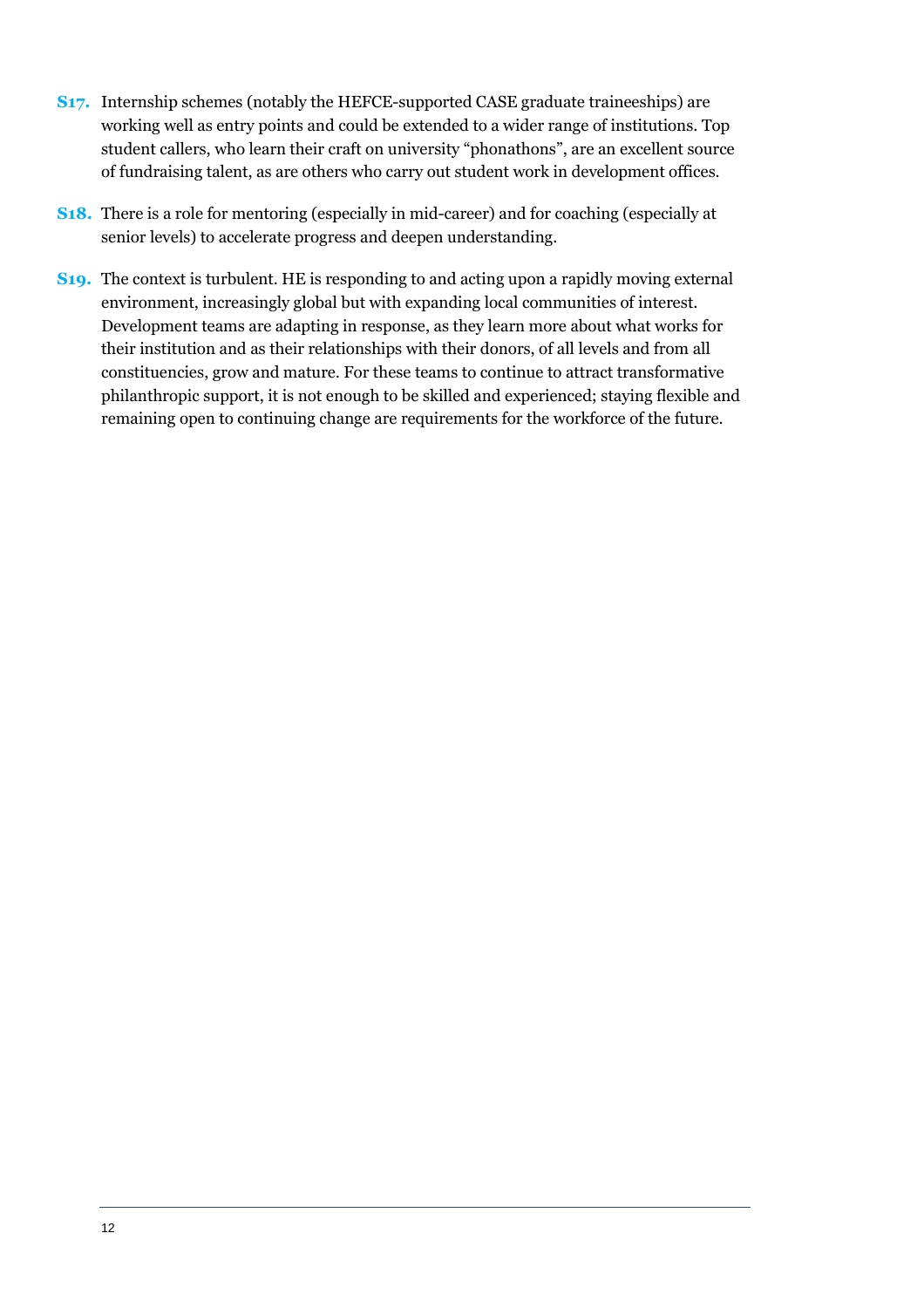- **S17.** Internship schemes (notably the HEFCE-supported CASE graduate traineeships) are working well as entry points and could be extended to a wider range of institutions. Top student callers, who learn their craft on university "phonathons", are an excellent source of fundraising talent, as are others who carry out student work in development offices.
- **S18.** There is a role for mentoring (especially in mid-career) and for coaching (especially at senior levels) to accelerate progress and deepen understanding.
- **S19.** The context is turbulent. HE is responding to and acting upon a rapidly moving external environment, increasingly global but with expanding local communities of interest. Development teams are adapting in response, as they learn more about what works for their institution and as their relationships with their donors, of all levels and from all constituencies, grow and mature. For these teams to continue to attract transformative philanthropic support, it is not enough to be skilled and experienced; staying flexible and remaining open to continuing change are requirements for the workforce of the future.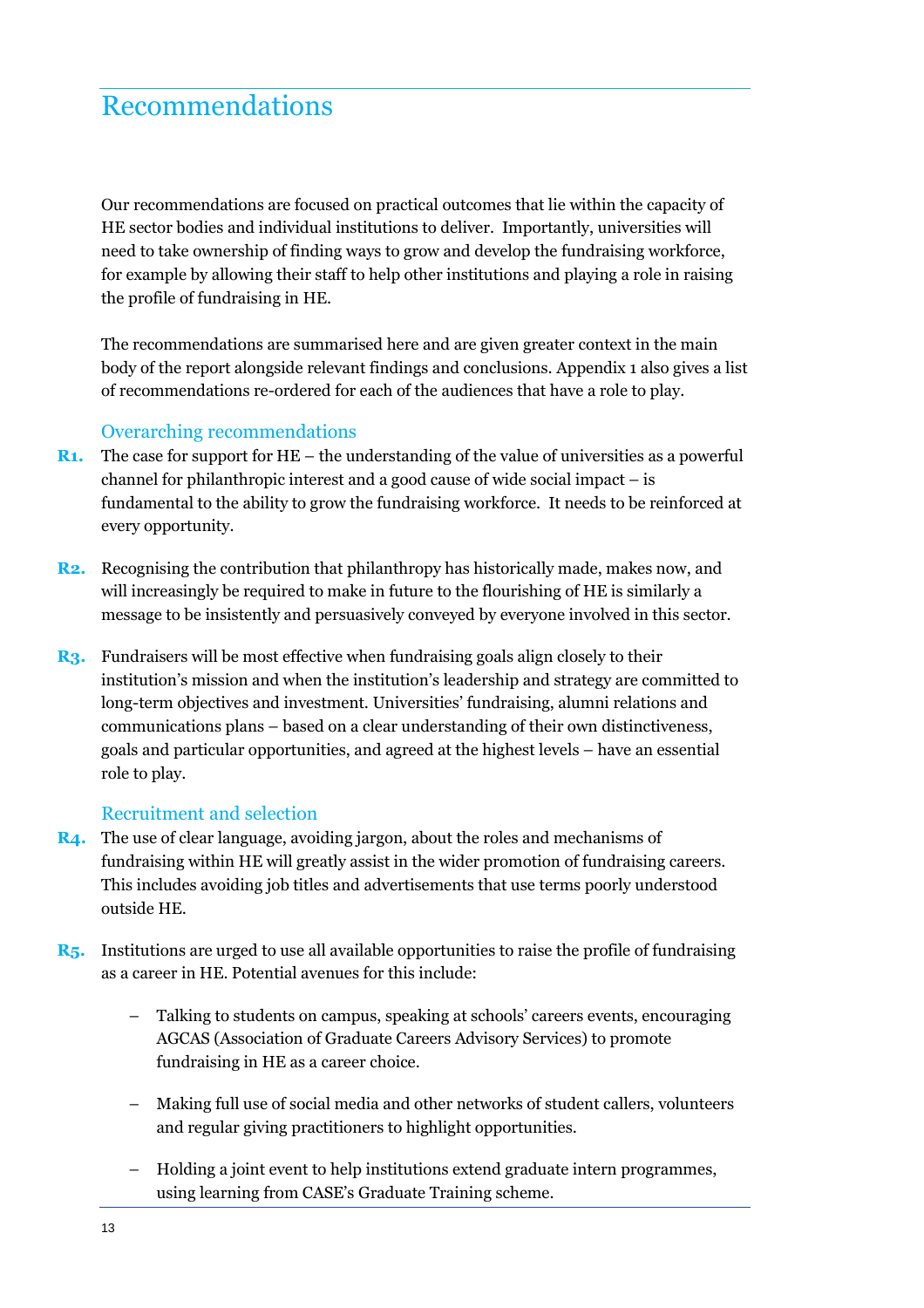## Recommendations

Our recommendations are focused on practical outcomes that lie within the capacity of HE sector bodies and individual institutions to deliver. Importantly, universities will need to take ownership of finding ways to grow and develop the fundraising workforce, for example by allowing their staff to help other institutions and playing a role in raising the profile of fundraising in HE.

The recommendations are summarised here and are given greater context in the main body of the report alongside relevant findings and conclusions. Appendix 1 also gives a list of recommendations re-ordered for each of the audiences that have a role to play.

#### Overarching recommendations

- **R1.** The case for support for HE the understanding of the value of universities as a powerful channel for philanthropic interest and a good cause of wide social impact – is fundamental to the ability to grow the fundraising workforce. It needs to be reinforced at every opportunity.
- **R2.** Recognising the contribution that philanthropy has historically made, makes now, and will increasingly be required to make in future to the flourishing of HE is similarly a message to be insistently and persuasively conveyed by everyone involved in this sector.
- **R3.** Fundraisers will be most effective when fundraising goals align closely to their institution's mission and when the institution's leadership and strategy are committed to long-term objectives and investment. Universities' fundraising, alumni relations and communications plans – based on a clear understanding of their own distinctiveness, goals and particular opportunities, and agreed at the highest levels – have an essential role to play.

#### Recruitment and selection

- **R4.** The use of clear language, avoiding jargon, about the roles and mechanisms of fundraising within HE will greatly assist in the wider promotion of fundraising careers. This includes avoiding job titles and advertisements that use terms poorly understood outside HE.
- **R5.** Institutions are urged to use all available opportunities to raise the profile of fundraising as a career in HE. Potential avenues for this include:
	- Talking to students on campus, speaking at schools' careers events, encouraging AGCAS (Association of Graduate Careers Advisory Services) to promote fundraising in HE as a career choice.
	- Making full use of social media and other networks of student callers, volunteers and regular giving practitioners to highlight opportunities.
	- Holding a joint event to help institutions extend graduate intern programmes, using learning from CASE's Graduate Training scheme.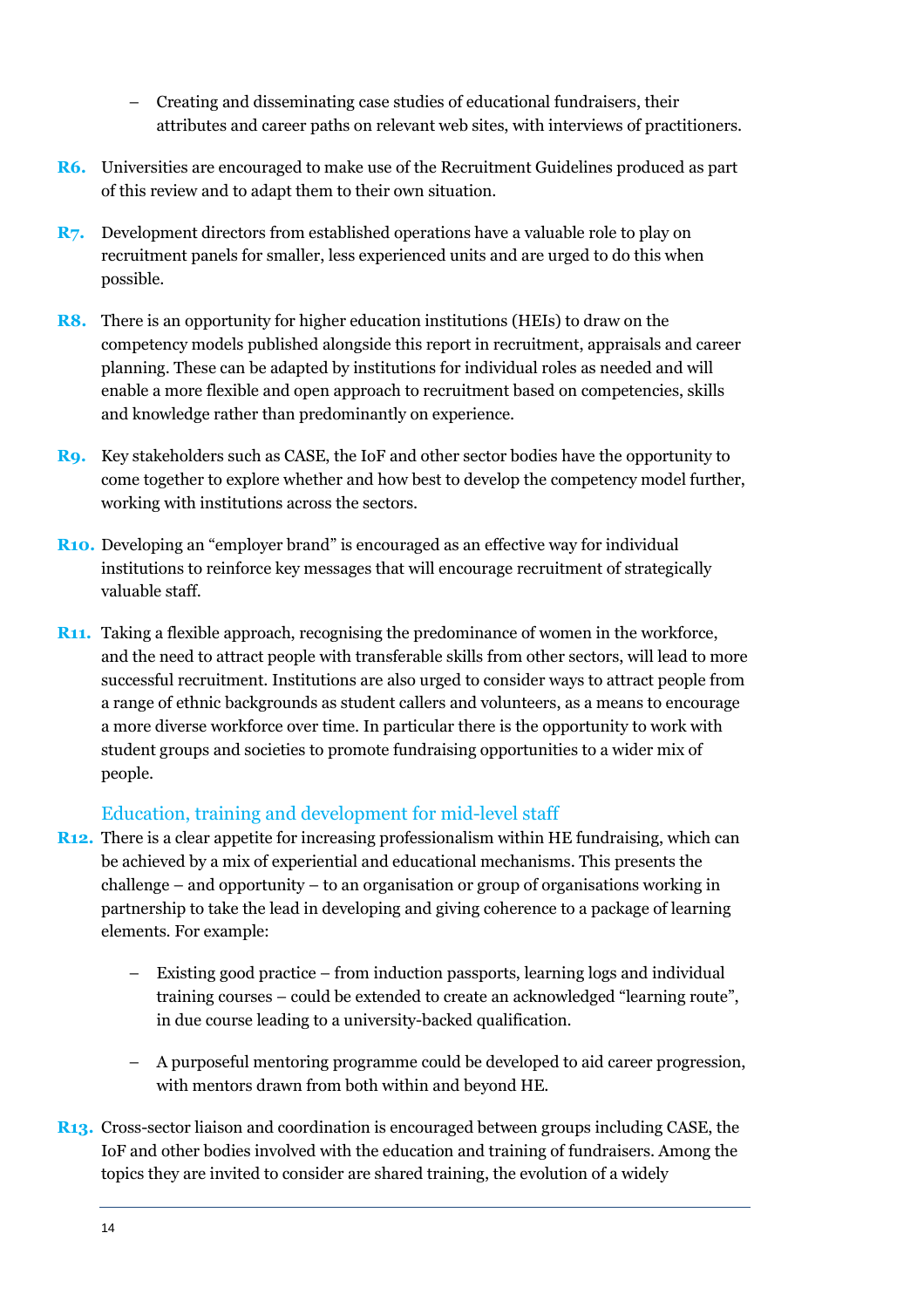- Creating and disseminating case studies of educational fundraisers, their attributes and career paths on relevant web sites, with interviews of practitioners.
- **R6.** Universities are encouraged to make use of the Recruitment Guidelines produced as part of this review and to adapt them to their own situation.
- **R7.** Development directors from established operations have a valuable role to play on recruitment panels for smaller, less experienced units and are urged to do this when possible.
- **R8.** There is an opportunity for higher education institutions (HEIs) to draw on the competency models published alongside this report in recruitment, appraisals and career planning. These can be adapted by institutions for individual roles as needed and will enable a more flexible and open approach to recruitment based on competencies, skills and knowledge rather than predominantly on experience.
- **R9.** Key stakeholders such as CASE, the IoF and other sector bodies have the opportunity to come together to explore whether and how best to develop the competency model further, working with institutions across the sectors.
- **R10.** Developing an "employer brand" is encouraged as an effective way for individual institutions to reinforce key messages that will encourage recruitment of strategically valuable staff.
- **R11.** Taking a flexible approach, recognising the predominance of women in the workforce, and the need to attract people with transferable skills from other sectors, will lead to more successful recruitment. Institutions are also urged to consider ways to attract people from a range of ethnic backgrounds as student callers and volunteers, as a means to encourage a more diverse workforce over time. In particular there is the opportunity to work with student groups and societies to promote fundraising opportunities to a wider mix of people.

#### Education, training and development for mid-level staff

- **R12.** There is a clear appetite for increasing professionalism within HE fundraising, which can be achieved by a mix of experiential and educational mechanisms. This presents the challenge – and opportunity – to an organisation or group of organisations working in partnership to take the lead in developing and giving coherence to a package of learning elements. For example:
	- Existing good practice from induction passports, learning logs and individual training courses – could be extended to create an acknowledged "learning route", in due course leading to a university-backed qualification.
	- A purposeful mentoring programme could be developed to aid career progression, with mentors drawn from both within and beyond HE.
- **R13.** Cross-sector liaison and coordination is encouraged between groups including CASE, the IoF and other bodies involved with the education and training of fundraisers. Among the topics they are invited to consider are shared training, the evolution of a widely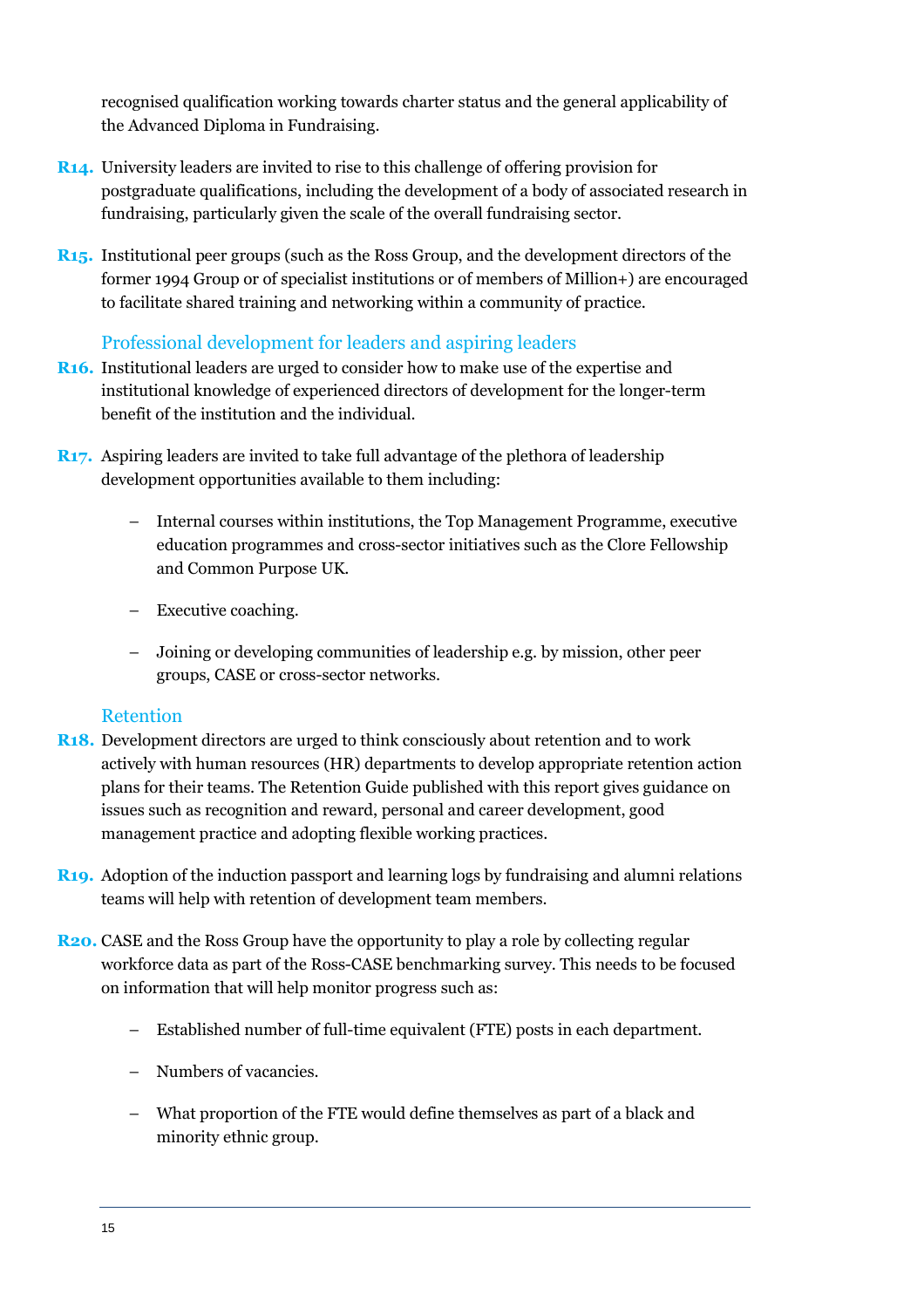recognised qualification working towards charter status and the general applicability of the Advanced Diploma in Fundraising.

- **R14.** University leaders are invited to rise to this challenge of offering provision for postgraduate qualifications, including the development of a body of associated research in fundraising, particularly given the scale of the overall fundraising sector.
- **R15.** Institutional peer groups (such as the Ross Group, and the development directors of the former 1994 Group or of specialist institutions or of members of Million+) are encouraged to facilitate shared training and networking within a community of practice.

#### Professional development for leaders and aspiring leaders

- **R16.** Institutional leaders are urged to consider how to make use of the expertise and institutional knowledge of experienced directors of development for the longer-term benefit of the institution and the individual.
- **R17.** Aspiring leaders are invited to take full advantage of the plethora of leadership development opportunities available to them including:
	- Internal courses within institutions, the Top Management Programme, executive education programmes and cross-sector initiatives such as the Clore Fellowship and Common Purpose UK.
	- Executive coaching.
	- Joining or developing communities of leadership e.g. by mission, other peer groups, CASE or cross-sector networks.

#### Retention

- **R18.** Development directors are urged to think consciously about retention and to work actively with human resources (HR) departments to develop appropriate retention action plans for their teams. The Retention Guide published with this report gives guidance on issues such as recognition and reward, personal and career development, good management practice and adopting flexible working practices.
- **R19.** Adoption of the induction passport and learning logs by fundraising and alumni relations teams will help with retention of development team members.
- **R20.** CASE and the Ross Group have the opportunity to play a role by collecting regular workforce data as part of the Ross-CASE benchmarking survey. This needs to be focused on information that will help monitor progress such as:
	- Established number of full-time equivalent (FTE) posts in each department.
	- Numbers of vacancies.
	- What proportion of the FTE would define themselves as part of a black and minority ethnic group.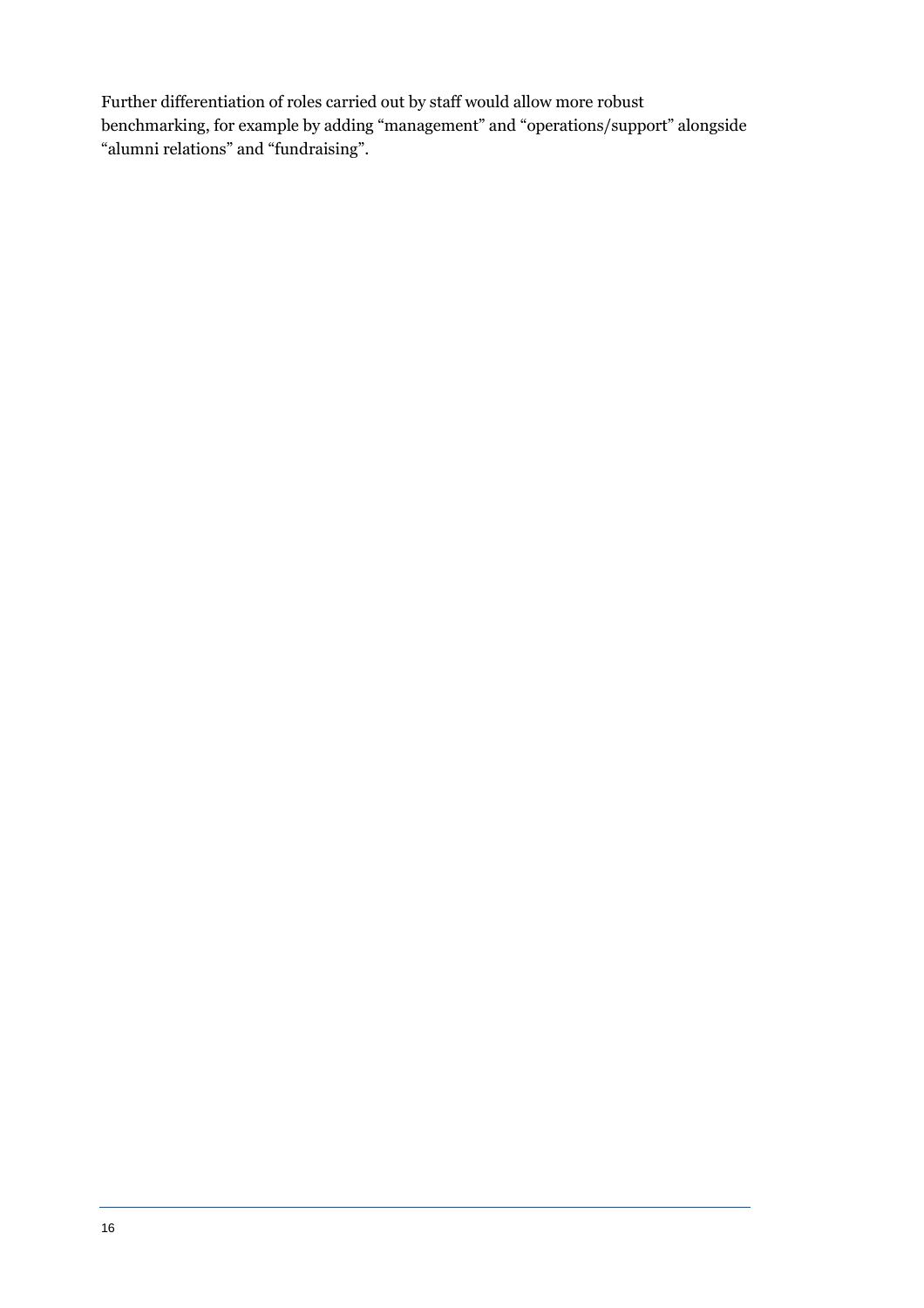Further differentiation of roles carried out by staff would allow more robust benchmarking, for example by adding "management" and "operations/support" alongside "alumni relations" and "fundraising".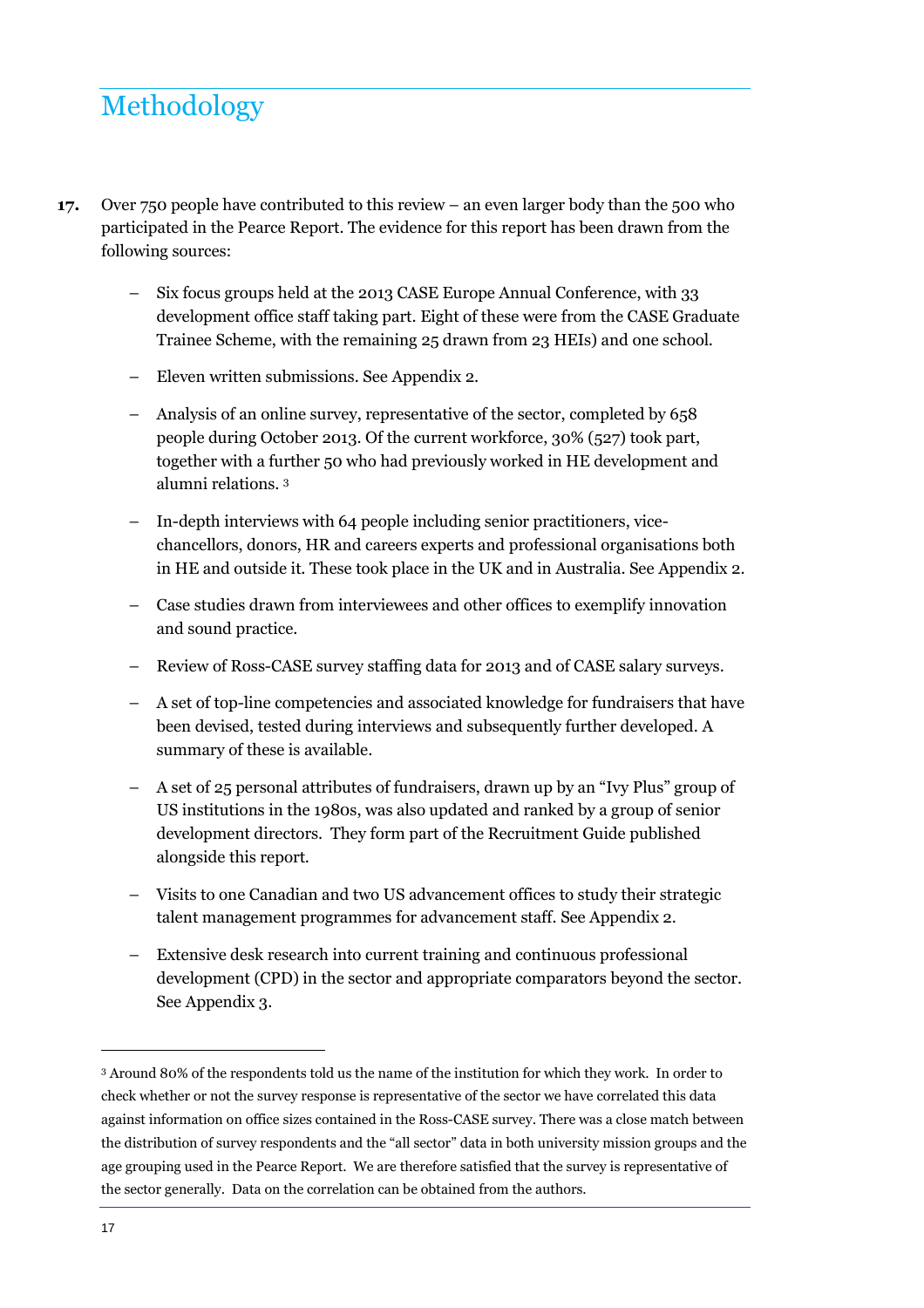## Methodology

- **17.** Over 750 people have contributed to this review an even larger body than the 500 who participated in the Pearce Report. The evidence for this report has been drawn from the following sources:
	- Six focus groups held at the 2013 CASE Europe Annual Conference, with 33 development office staff taking part. Eight of these were from the CASE Graduate Trainee Scheme, with the remaining 25 drawn from 23 HEIs) and one school.
	- Eleven written submissions. See Appendix 2.
	- Analysis of an online survey, representative of the sector, completed by 658 people during October 2013. Of the current workforce, 30% (527) took part, together with a further 50 who had previously worked in HE development and alumni relations. <sup>3</sup>
	- In-depth interviews with 64 people including senior practitioners, vicechancellors, donors, HR and careers experts and professional organisations both in HE and outside it. These took place in the UK and in Australia. See Appendix 2.
	- Case studies drawn from interviewees and other offices to exemplify innovation and sound practice.
	- Review of Ross-CASE survey staffing data for 2013 and of CASE salary surveys.
	- A set of top-line competencies and associated knowledge for fundraisers that have been devised, tested during interviews and subsequently further developed. A summary of these is available.
	- A set of 25 personal attributes of fundraisers, drawn up by an "Ivy Plus" group of US institutions in the 1980s, was also updated and ranked by a group of senior development directors. They form part of the Recruitment Guide published alongside this report.
	- Visits to one Canadian and two US advancement offices to study their strategic talent management programmes for advancement staff. See Appendix 2.
	- Extensive desk research into current training and continuous professional development (CPD) in the sector and appropriate comparators beyond the sector. See Appendix 3.

<sup>3</sup> Around 80% of the respondents told us the name of the institution for which they work. In order to check whether or not the survey response is representative of the sector we have correlated this data against information on office sizes contained in the Ross-CASE survey. There was a close match between the distribution of survey respondents and the "all sector" data in both university mission groups and the age grouping used in the Pearce Report. We are therefore satisfied that the survey is representative of the sector generally. Data on the correlation can be obtained from the authors.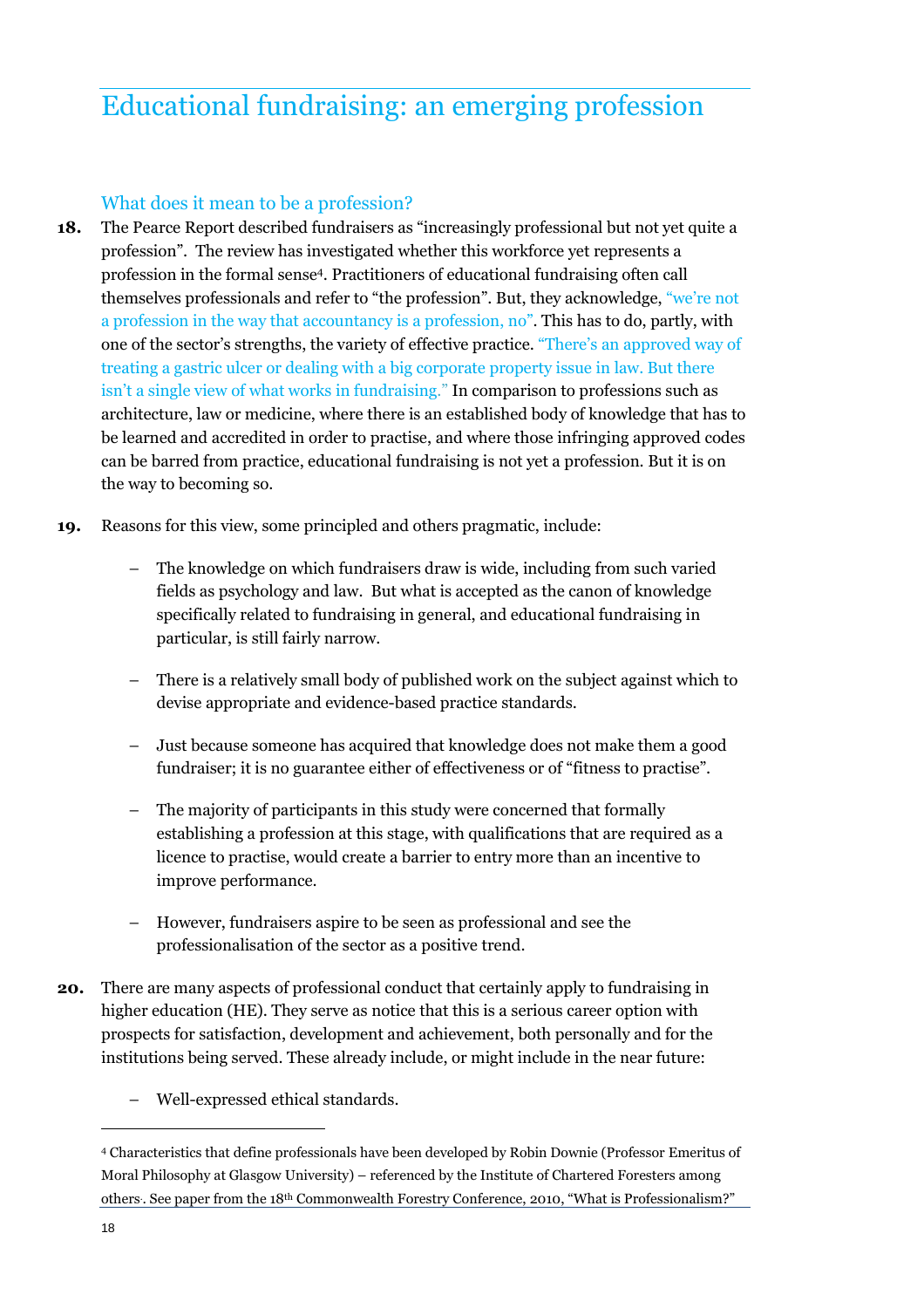## Educational fundraising: an emerging profession

#### What does it mean to be a profession?

- **18.** The Pearce Report described fundraisers as "increasingly professional but not yet quite a profession". The review has investigated whether this workforce yet represents a profession in the formal sense<sup>4</sup> . Practitioners of educational fundraising often call themselves professionals and refer to "the profession". But, they acknowledge, "we're not a profession in the way that accountancy is a profession, no". This has to do, partly, with one of the sector's strengths, the variety of effective practice. "There's an approved way of treating a gastric ulcer or dealing with a big corporate property issue in law. But there isn't a single view of what works in fundraising." In comparison to professions such as architecture, law or medicine, where there is an established body of knowledge that has to be learned and accredited in order to practise, and where those infringing approved codes can be barred from practice, educational fundraising is not yet a profession. But it is on the way to becoming so.
- **19.** Reasons for this view, some principled and others pragmatic, include:
	- The knowledge on which fundraisers draw is wide, including from such varied fields as psychology and law. But what is accepted as the canon of knowledge specifically related to fundraising in general, and educational fundraising in particular, is still fairly narrow.
	- There is a relatively small body of published work on the subject against which to devise appropriate and evidence-based practice standards.
	- Just because someone has acquired that knowledge does not make them a good fundraiser; it is no guarantee either of effectiveness or of "fitness to practise".
	- The majority of participants in this study were concerned that formally establishing a profession at this stage, with qualifications that are required as a licence to practise, would create a barrier to entry more than an incentive to improve performance.
	- However, fundraisers aspire to be seen as professional and see the professionalisation of the sector as a positive trend.
- **20.** There are many aspects of professional conduct that certainly apply to fundraising in higher education (HE). They serve as notice that this is a serious career option with prospects for satisfaction, development and achievement, both personally and for the institutions being served. These already include, or might include in the near future:
	- Well-expressed ethical standards.

<sup>4</sup> Characteristics that define professionals have been developed by Robin Downie (Professor Emeritus of Moral Philosophy at Glasgow University) – referenced by the Institute of Chartered Foresters among others. . See paper from the 18th Commonwealth Forestry Conference, 2010, "What is Professionalism?"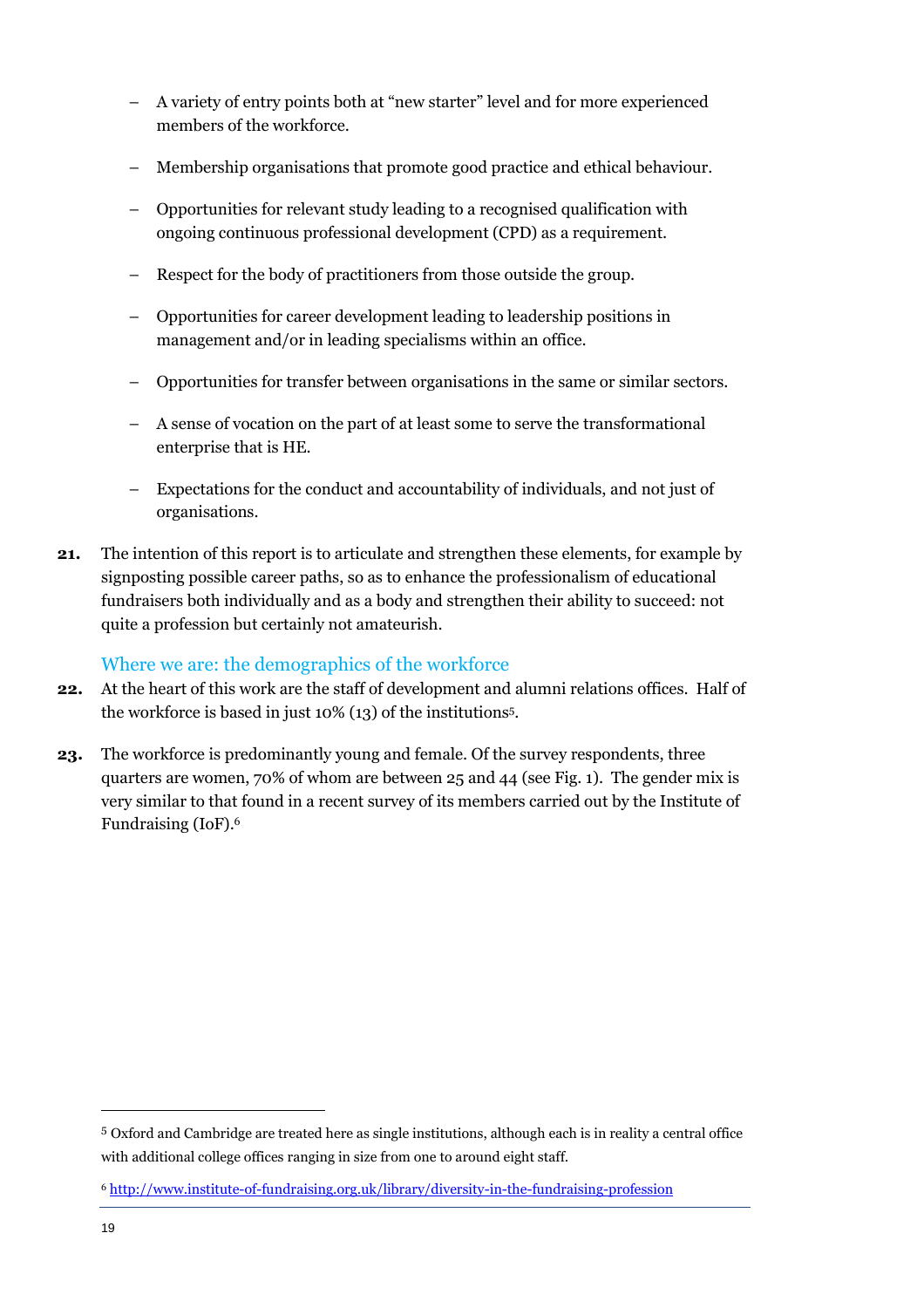- A variety of entry points both at "new starter" level and for more experienced members of the workforce.
- Membership organisations that promote good practice and ethical behaviour.
- Opportunities for relevant study leading to a recognised qualification with ongoing continuous professional development (CPD) as a requirement.
- Respect for the body of practitioners from those outside the group.
- Opportunities for career development leading to leadership positions in management and/or in leading specialisms within an office.
- Opportunities for transfer between organisations in the same or similar sectors.
- A sense of vocation on the part of at least some to serve the transformational enterprise that is HE.
- Expectations for the conduct and accountability of individuals, and not just of organisations.
- **21.** The intention of this report is to articulate and strengthen these elements, for example by signposting possible career paths, so as to enhance the professionalism of educational fundraisers both individually and as a body and strengthen their ability to succeed: not quite a profession but certainly not amateurish.

#### Where we are: the demographics of the workforce

- **22.** At the heart of this work are the staff of development and alumni relations offices. Half of the workforce is based in just 10% (13) of the institutions<sup>5</sup> .
- **23.** The workforce is predominantly young and female. Of the survey respondents, three quarters are women, 70% of whom are between 25 and 44 (see Fig. 1). The gender mix is very similar to that found in a recent survey of its members carried out by the Institute of Fundraising (IoF).<sup>6</sup>

<sup>5</sup> Oxford and Cambridge are treated here as single institutions, although each is in reality a central office with additional college offices ranging in size from one to around eight staff.

<sup>6</sup> http://www.institute-of-fundraising.org.uk/library/diversity-in-the-fundraising-profession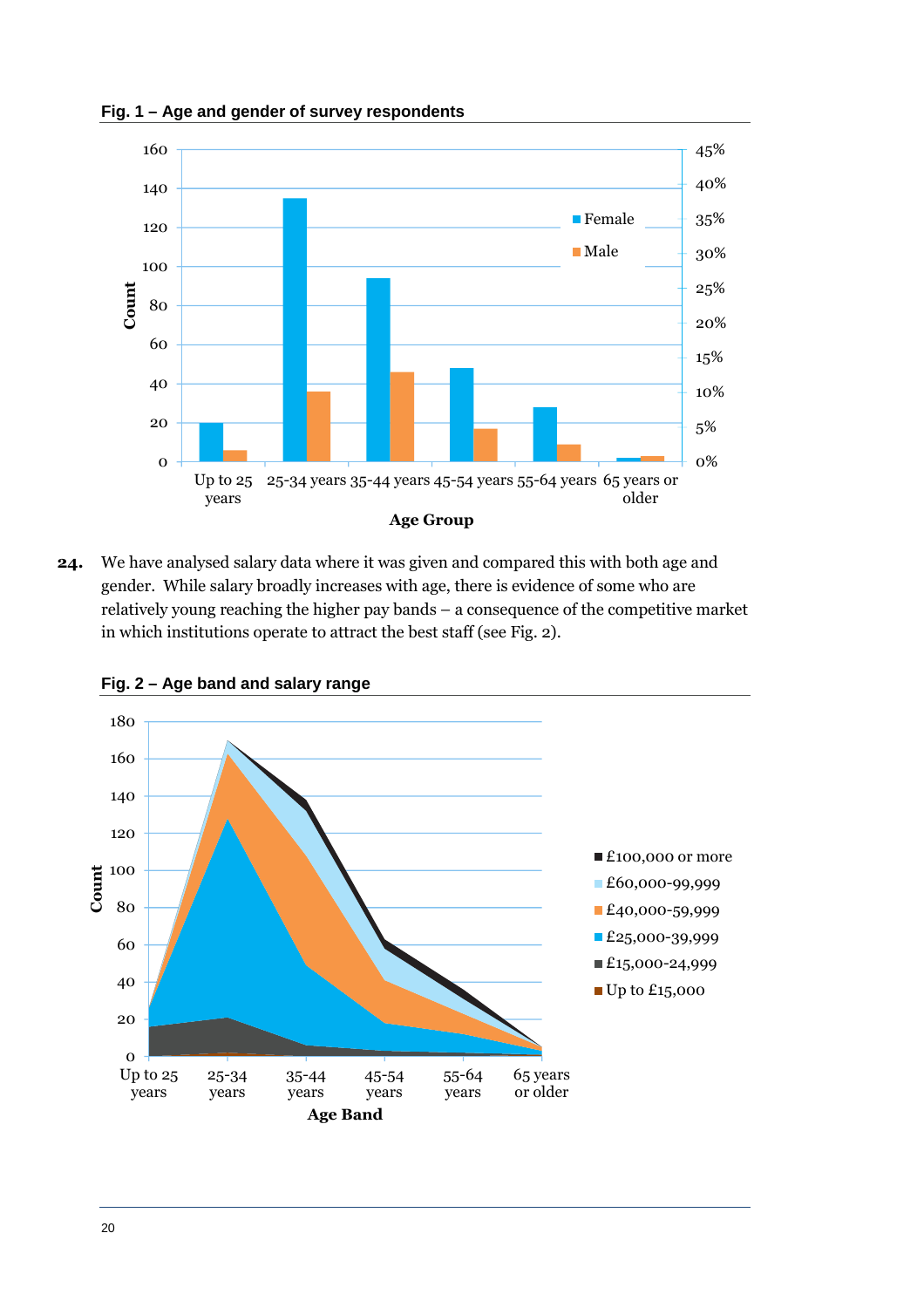**Fig. 1 – Age and gender of survey respondents** 



**24.** We have analysed salary data where it was given and compared this with both age and gender. While salary broadly increases with age, there is evidence of some who are relatively young reaching the higher pay bands – a consequence of the competitive market in which institutions operate to attract the best staff (see Fig. 2).



**Fig. 2 – Age band and salary range**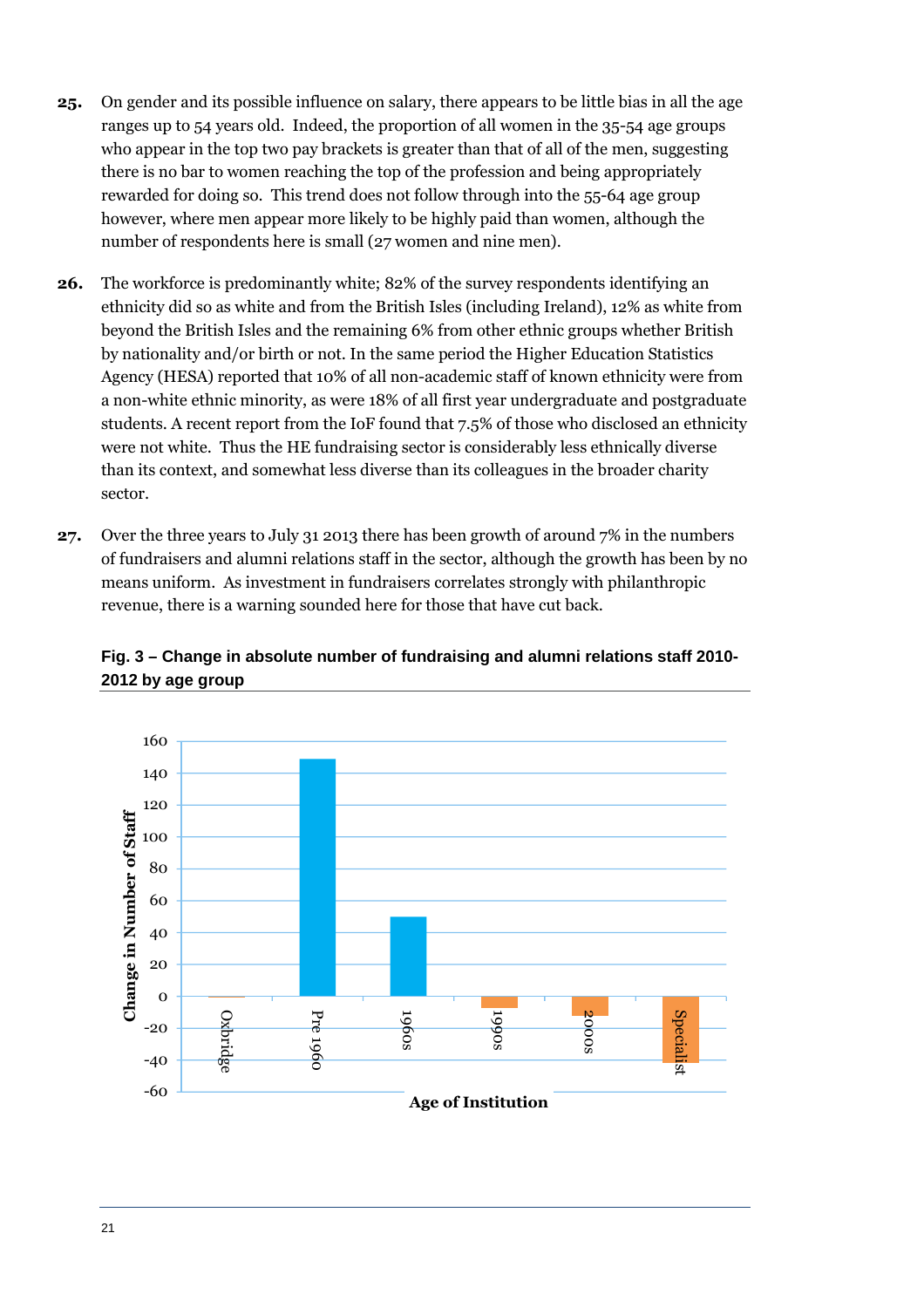- **25.** On gender and its possible influence on salary, there appears to be little bias in all the age ranges up to 54 years old. Indeed, the proportion of all women in the 35-54 age groups who appear in the top two pay brackets is greater than that of all of the men, suggesting there is no bar to women reaching the top of the profession and being appropriately rewarded for doing so. This trend does not follow through into the 55-64 age group however, where men appear more likely to be highly paid than women, although the number of respondents here is small (27 women and nine men).
- **26.** The workforce is predominantly white; 82% of the survey respondents identifying an ethnicity did so as white and from the British Isles (including Ireland), 12% as white from beyond the British Isles and the remaining 6% from other ethnic groups whether British by nationality and/or birth or not. In the same period the Higher Education Statistics Agency (HESA) reported that 10% of all non-academic staff of known ethnicity were from a non-white ethnic minority, as were 18% of all first year undergraduate and postgraduate students. A recent report from the IoF found that 7.5% of those who disclosed an ethnicity were not white. Thus the HE fundraising sector is considerably less ethnically diverse than its context, and somewhat less diverse than its colleagues in the broader charity sector.
- **27.** Over the three years to July 31 2013 there has been growth of around 7% in the numbers of fundraisers and alumni relations staff in the sector, although the growth has been by no means uniform. As investment in fundraisers correlates strongly with philanthropic revenue, there is a warning sounded here for those that have cut back.



**Fig. 3 – Change in absolute number of fundraising and alumni relations staff 2010- 2012 by age group**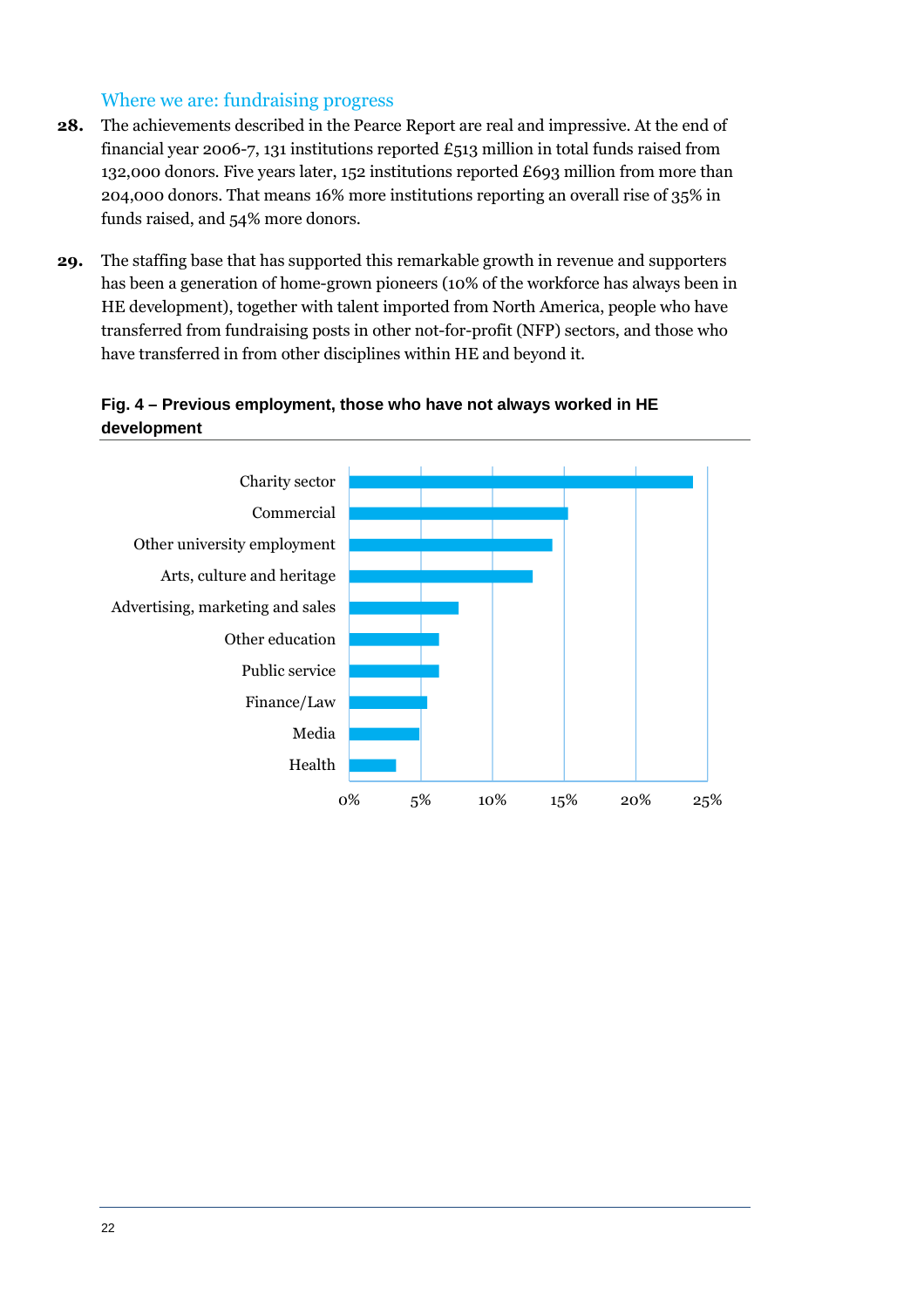#### Where we are: fundraising progress

- **28.** The achievements described in the Pearce Report are real and impressive. At the end of financial year 2006-7, 131 institutions reported  $£513$  million in total funds raised from 132,000 donors. Five years later, 152 institutions reported £693 million from more than 204,000 donors. That means 16% more institutions reporting an overall rise of 35% in funds raised, and 54% more donors.
- **29.** The staffing base that has supported this remarkable growth in revenue and supporters has been a generation of home-grown pioneers (10% of the workforce has always been in HE development), together with talent imported from North America, people who have transferred from fundraising posts in other not-for-profit (NFP) sectors, and those who have transferred in from other disciplines within HE and beyond it.

#### **Fig. 4 – Previous employment, those who have not always worked in HE development**

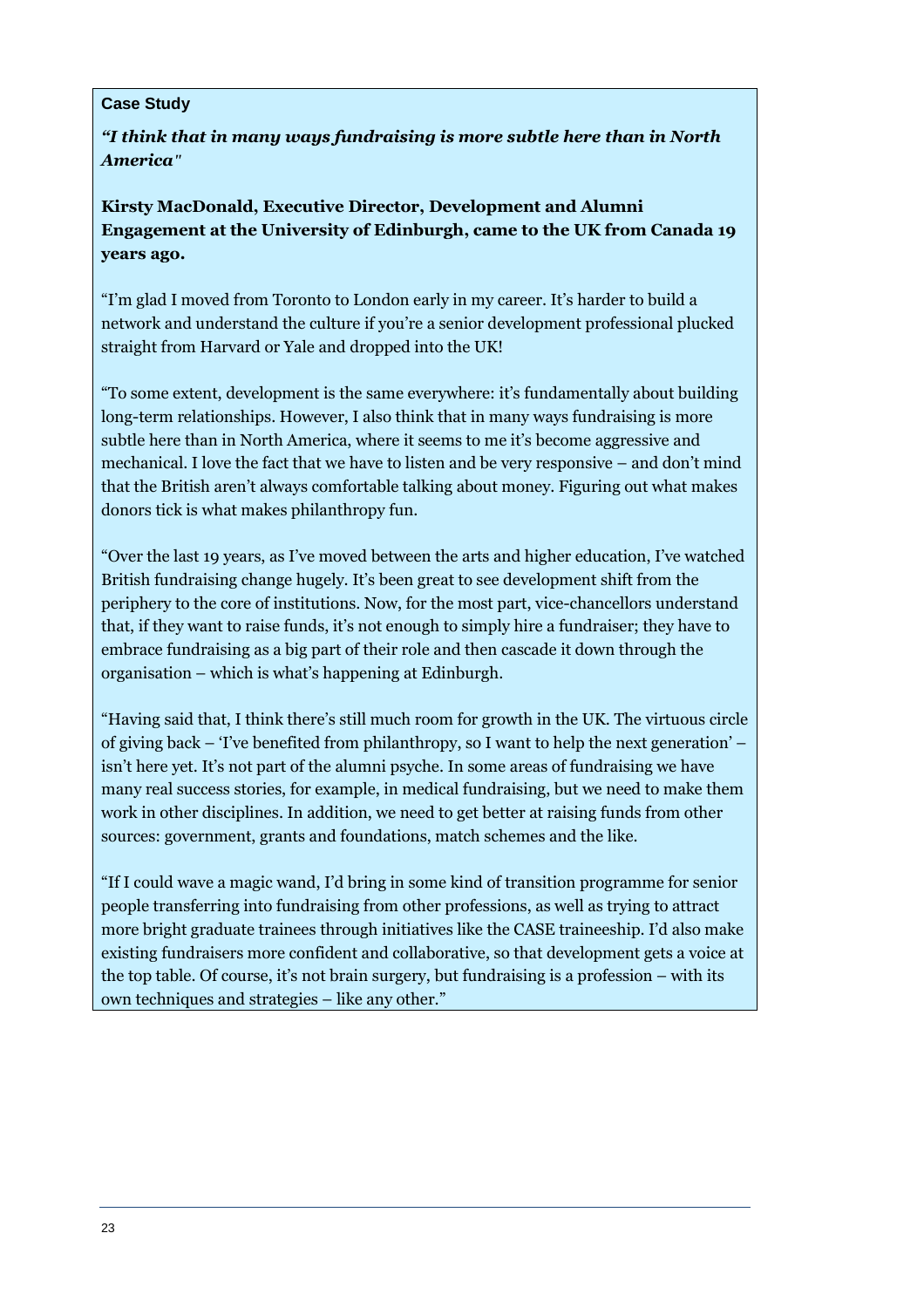#### **Case Study**

*"I think that in many ways fundraising is more subtle here than in North America"*

**Kirsty MacDonald, Executive Director, Development and Alumni Engagement at the University of Edinburgh, came to the UK from Canada 19 years ago.** 

"I'm glad I moved from Toronto to London early in my career. It's harder to build a network and understand the culture if you're a senior development professional plucked straight from Harvard or Yale and dropped into the UK!

"To some extent, development is the same everywhere: it's fundamentally about building long-term relationships. However, I also think that in many ways fundraising is more subtle here than in North America, where it seems to me it's become aggressive and mechanical. I love the fact that we have to listen and be very responsive – and don't mind that the British aren't always comfortable talking about money. Figuring out what makes donors tick is what makes philanthropy fun.

"Over the last 19 years, as I've moved between the arts and higher education, I've watched British fundraising change hugely. It's been great to see development shift from the periphery to the core of institutions. Now, for the most part, vice-chancellors understand that, if they want to raise funds, it's not enough to simply hire a fundraiser; they have to embrace fundraising as a big part of their role and then cascade it down through the organisation – which is what's happening at Edinburgh.

"Having said that, I think there's still much room for growth in the UK. The virtuous circle of giving back – 'I've benefited from philanthropy, so I want to help the next generation' – isn't here yet. It's not part of the alumni psyche. In some areas of fundraising we have many real success stories, for example, in medical fundraising, but we need to make them work in other disciplines. In addition, we need to get better at raising funds from other sources: government, grants and foundations, match schemes and the like.

"If I could wave a magic wand, I'd bring in some kind of transition programme for senior people transferring into fundraising from other professions, as well as trying to attract more bright graduate trainees through initiatives like the CASE traineeship. I'd also make existing fundraisers more confident and collaborative, so that development gets a voice at the top table. Of course, it's not brain surgery, but fundraising is a profession – with its own techniques and strategies – like any other."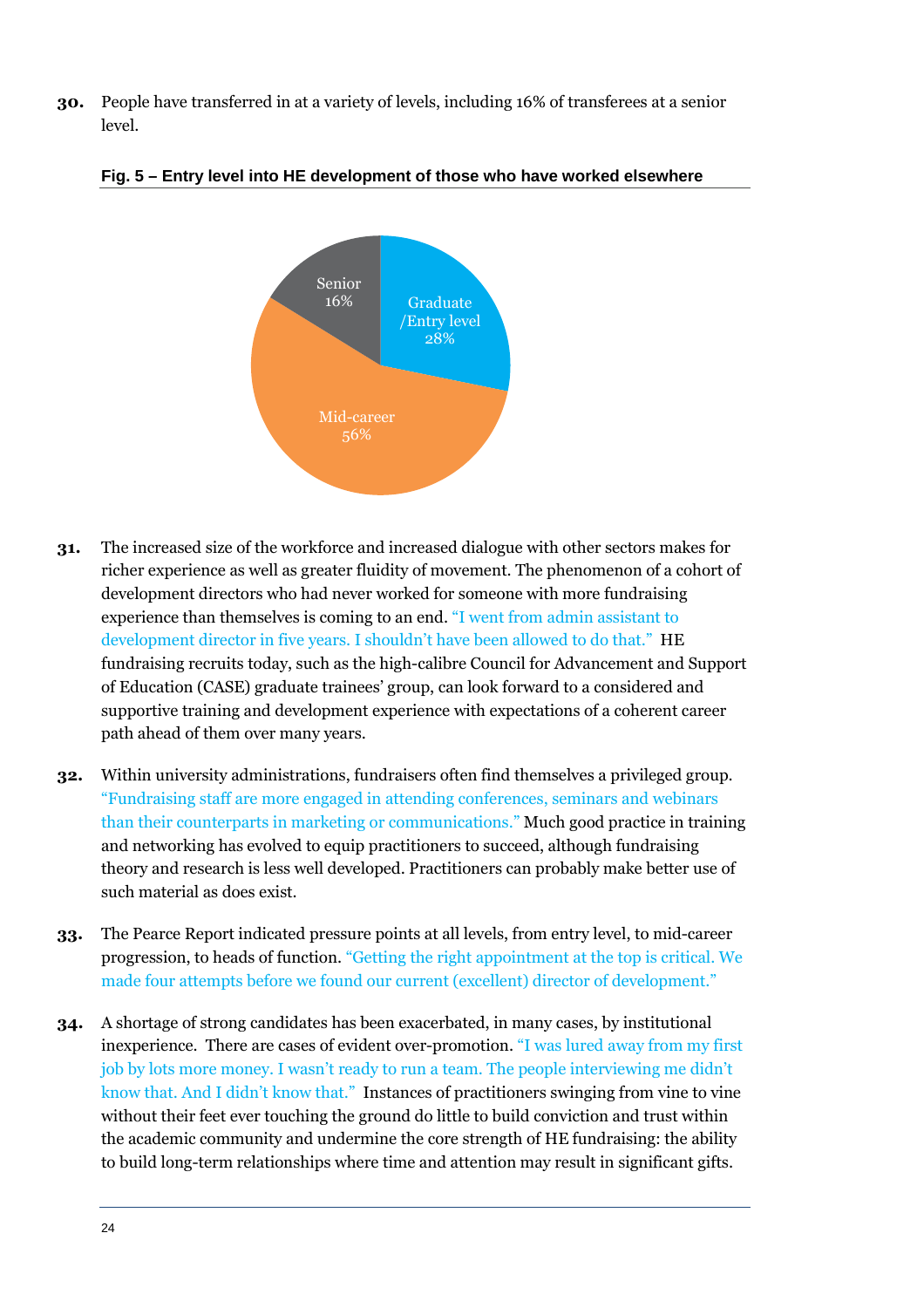**30.** People have transferred in at a variety of levels, including 16% of transferees at a senior level.



**Fig. 5 – Entry level into HE development of those who have worked elsewhere** 

- **31.** The increased size of the workforce and increased dialogue with other sectors makes for richer experience as well as greater fluidity of movement. The phenomenon of a cohort of development directors who had never worked for someone with more fundraising experience than themselves is coming to an end. "I went from admin assistant to development director in five years. I shouldn't have been allowed to do that." HE fundraising recruits today, such as the high-calibre Council for Advancement and Support of Education (CASE) graduate trainees' group, can look forward to a considered and supportive training and development experience with expectations of a coherent career path ahead of them over many years.
- **32.** Within university administrations, fundraisers often find themselves a privileged group. "Fundraising staff are more engaged in attending conferences, seminars and webinars than their counterparts in marketing or communications." Much good practice in training and networking has evolved to equip practitioners to succeed, although fundraising theory and research is less well developed. Practitioners can probably make better use of such material as does exist.
- **33.** The Pearce Report indicated pressure points at all levels, from entry level, to mid-career progression, to heads of function. "Getting the right appointment at the top is critical. We made four attempts before we found our current (excellent) director of development."
- **34.** A shortage of strong candidates has been exacerbated, in many cases, by institutional inexperience. There are cases of evident over-promotion. "I was lured away from my first job by lots more money. I wasn't ready to run a team. The people interviewing me didn't know that. And I didn't know that." Instances of practitioners swinging from vine to vine without their feet ever touching the ground do little to build conviction and trust within the academic community and undermine the core strength of HE fundraising: the ability to build long-term relationships where time and attention may result in significant gifts.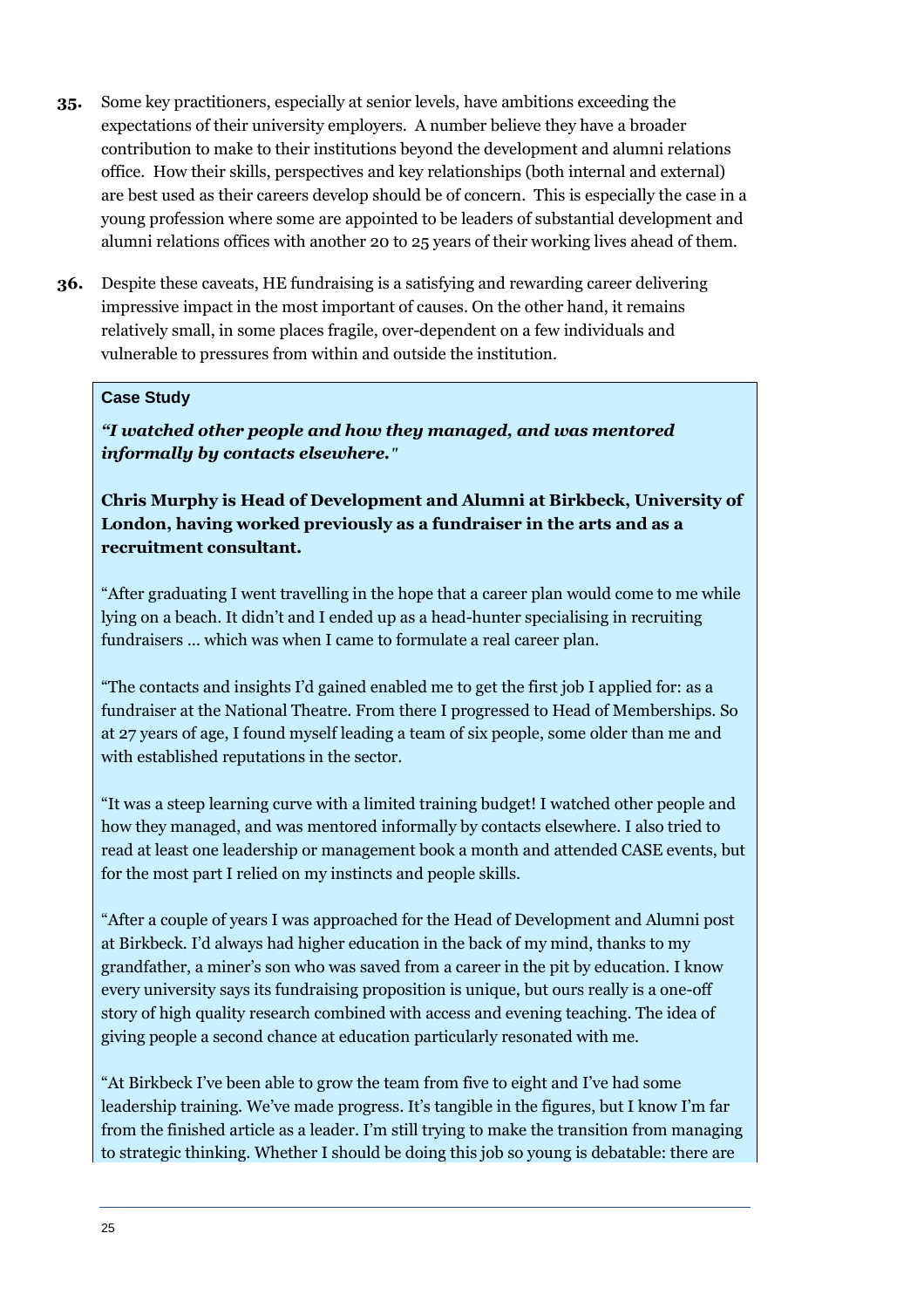- **35.** Some key practitioners, especially at senior levels, have ambitions exceeding the expectations of their university employers. A number believe they have a broader contribution to make to their institutions beyond the development and alumni relations office. How their skills, perspectives and key relationships (both internal and external) are best used as their careers develop should be of concern. This is especially the case in a young profession where some are appointed to be leaders of substantial development and alumni relations offices with another 20 to 25 years of their working lives ahead of them.
- **36.** Despite these caveats, HE fundraising is a satisfying and rewarding career delivering impressive impact in the most important of causes. On the other hand, it remains relatively small, in some places fragile, over-dependent on a few individuals and vulnerable to pressures from within and outside the institution.

#### **Case Study**

*"I watched other people and how they managed, and was mentored informally by contacts elsewhere."*

**Chris Murphy is Head of Development and Alumni at Birkbeck, University of London, having worked previously as a fundraiser in the arts and as a recruitment consultant.** 

"After graduating I went travelling in the hope that a career plan would come to me while lying on a beach. It didn't and I ended up as a head-hunter specialising in recruiting fundraisers … which was when I came to formulate a real career plan.

"The contacts and insights I'd gained enabled me to get the first job I applied for: as a fundraiser at the National Theatre. From there I progressed to Head of Memberships. So at 27 years of age, I found myself leading a team of six people, some older than me and with established reputations in the sector.

"It was a steep learning curve with a limited training budget! I watched other people and how they managed, and was mentored informally by contacts elsewhere. I also tried to read at least one leadership or management book a month and attended CASE events, but for the most part I relied on my instincts and people skills.

"After a couple of years I was approached for the Head of Development and Alumni post at Birkbeck. I'd always had higher education in the back of my mind, thanks to my grandfather, a miner's son who was saved from a career in the pit by education. I know every university says its fundraising proposition is unique, but ours really is a one-off story of high quality research combined with access and evening teaching. The idea of giving people a second chance at education particularly resonated with me.

"At Birkbeck I've been able to grow the team from five to eight and I've had some leadership training. We've made progress. It's tangible in the figures, but I know I'm far from the finished article as a leader. I'm still trying to make the transition from managing to strategic thinking. Whether I should be doing this job so young is debatable: there are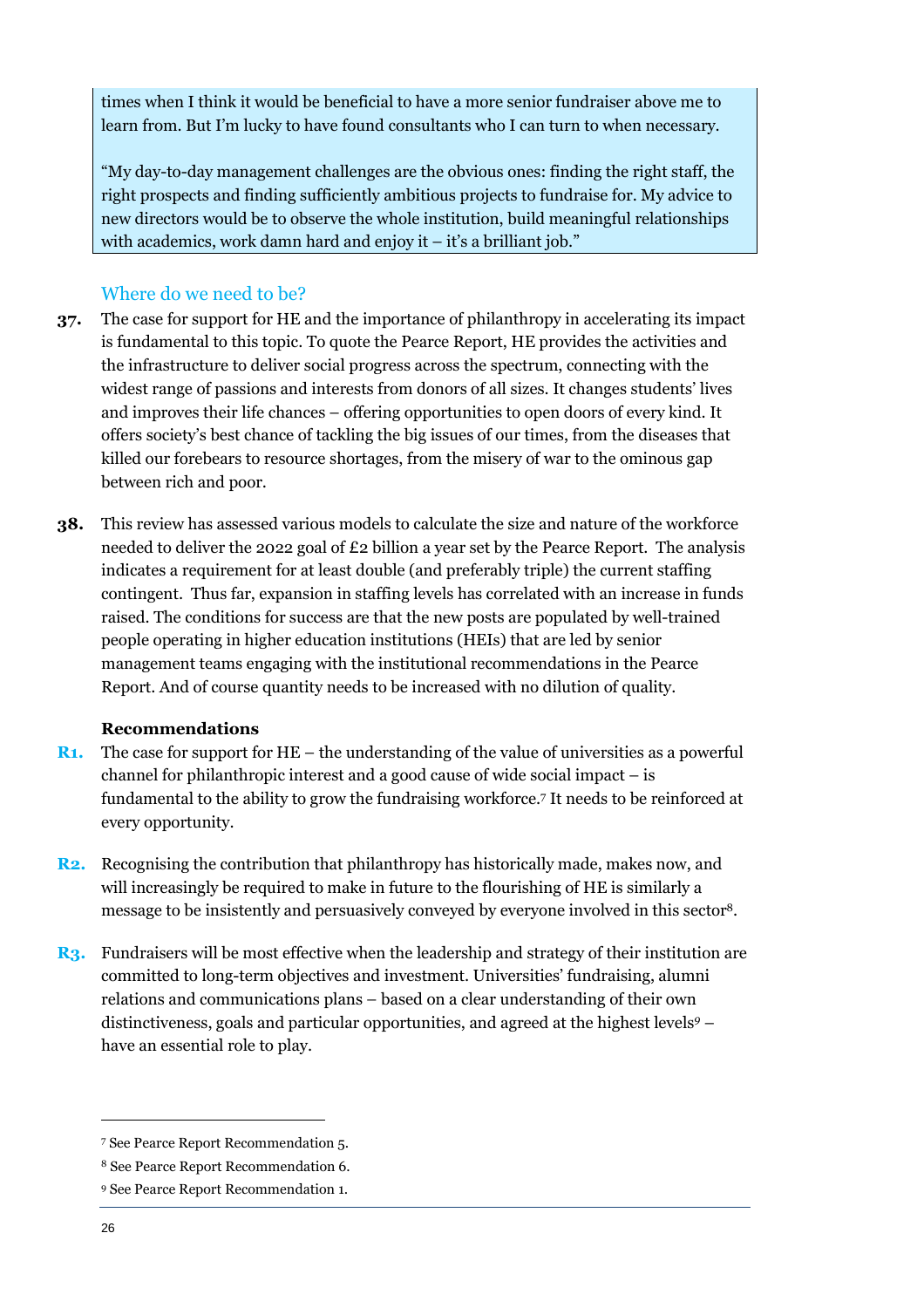times when I think it would be beneficial to have a more senior fundraiser above me to learn from. But I'm lucky to have found consultants who I can turn to when necessary.

"My day-to-day management challenges are the obvious ones: finding the right staff, the right prospects and finding sufficiently ambitious projects to fundraise for. My advice to new directors would be to observe the whole institution, build meaningful relationships with academics, work damn hard and enjoy it – it's a brilliant job."

### Where do we need to be?

- **37.** The case for support for HE and the importance of philanthropy in accelerating its impact is fundamental to this topic. To quote the Pearce Report, HE provides the activities and the infrastructure to deliver social progress across the spectrum, connecting with the widest range of passions and interests from donors of all sizes. It changes students' lives and improves their life chances – offering opportunities to open doors of every kind. It offers society's best chance of tackling the big issues of our times, from the diseases that killed our forebears to resource shortages, from the misery of war to the ominous gap between rich and poor.
- **38.** This review has assessed various models to calculate the size and nature of the workforce needed to deliver the 2022 goal of £2 billion a year set by the Pearce Report. The analysis indicates a requirement for at least double (and preferably triple) the current staffing contingent. Thus far, expansion in staffing levels has correlated with an increase in funds raised. The conditions for success are that the new posts are populated by well-trained people operating in higher education institutions (HEIs) that are led by senior management teams engaging with the institutional recommendations in the Pearce Report. And of course quantity needs to be increased with no dilution of quality.

#### **Recommendations**

- **R1.** The case for support for HE the understanding of the value of universities as a powerful channel for philanthropic interest and a good cause of wide social impact – is fundamental to the ability to grow the fundraising workforce.<sup>7</sup> It needs to be reinforced at every opportunity.
- **R2.** Recognising the contribution that philanthropy has historically made, makes now, and will increasingly be required to make in future to the flourishing of HE is similarly a message to be insistently and persuasively conveyed by everyone involved in this sector<sup>8</sup>.
- **R3.** Fundraisers will be most effective when the leadership and strategy of their institution are committed to long-term objectives and investment. Universities' fundraising, alumni relations and communications plans – based on a clear understanding of their own distinctiveness, goals and particular opportunities, and agreed at the highest levels*<sup>9</sup>* – have an essential role to play.

<sup>7</sup> See Pearce Report Recommendation 5.

<sup>8</sup> See Pearce Report Recommendation 6.

<sup>9</sup> See Pearce Report Recommendation 1.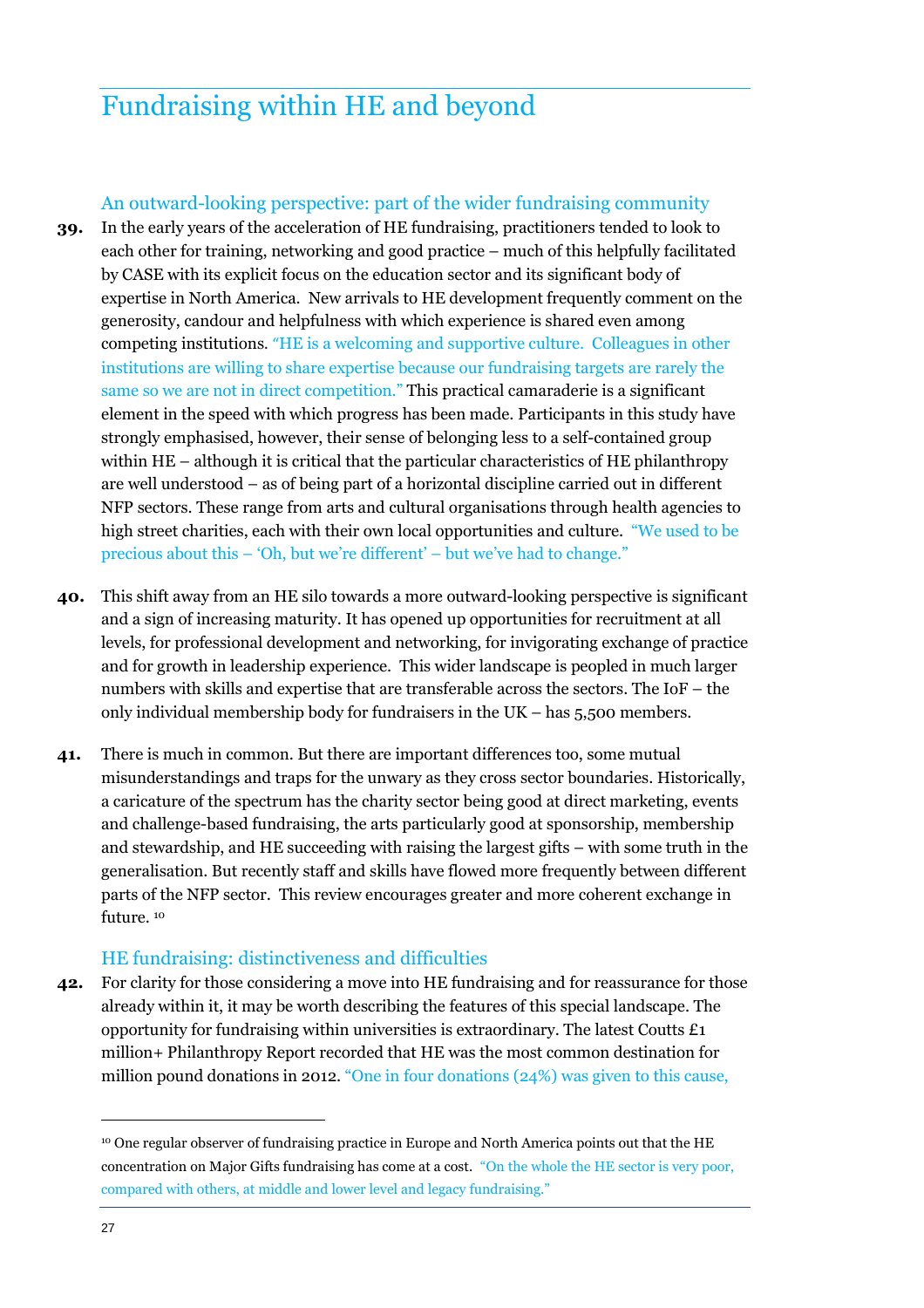## Fundraising within HE and beyond

#### An outward-looking perspective: part of the wider fundraising community

- **39.** In the early years of the acceleration of HE fundraising, practitioners tended to look to each other for training, networking and good practice – much of this helpfully facilitated by CASE with its explicit focus on the education sector and its significant body of expertise in North America. New arrivals to HE development frequently comment on the generosity, candour and helpfulness with which experience is shared even among competing institutions. "HE is a welcoming and supportive culture. Colleagues in other institutions are willing to share expertise because our fundraising targets are rarely the same so we are not in direct competition." This practical camaraderie is a significant element in the speed with which progress has been made. Participants in this study have strongly emphasised, however, their sense of belonging less to a self-contained group within HE – although it is critical that the particular characteristics of HE philanthropy are well understood – as of being part of a horizontal discipline carried out in different NFP sectors. These range from arts and cultural organisations through health agencies to high street charities, each with their own local opportunities and culture. "We used to be precious about this – 'Oh, but we're different' – but we've had to change."
- **40.** This shift away from an HE silo towards a more outward-looking perspective is significant and a sign of increasing maturity. It has opened up opportunities for recruitment at all levels, for professional development and networking, for invigorating exchange of practice and for growth in leadership experience. This wider landscape is peopled in much larger numbers with skills and expertise that are transferable across the sectors. The IoF – the only individual membership body for fundraisers in the UK – has 5,500 members.
- **41.** There is much in common. But there are important differences too, some mutual misunderstandings and traps for the unwary as they cross sector boundaries. Historically, a caricature of the spectrum has the charity sector being good at direct marketing, events and challenge-based fundraising, the arts particularly good at sponsorship, membership and stewardship, and HE succeeding with raising the largest gifts – with some truth in the generalisation. But recently staff and skills have flowed more frequently between different parts of the NFP sector. This review encourages greater and more coherent exchange in future.<sup>10</sup>

#### HE fundraising: distinctiveness and difficulties

**42.** For clarity for those considering a move into HE fundraising and for reassurance for those already within it, it may be worth describing the features of this special landscape. The opportunity for fundraising within universities is extraordinary. The latest Coutts  $\mathbf{\pounds}1$ million+ Philanthropy Report recorded that HE was the most common destination for million pound donations in 2012. "One in four donations (24%) was given to this cause,

<sup>&</sup>lt;sup>10</sup> One regular observer of fundraising practice in Europe and North America points out that the HE concentration on Major Gifts fundraising has come at a cost. "On the whole the HE sector is very poor, compared with others, at middle and lower level and legacy fundraising."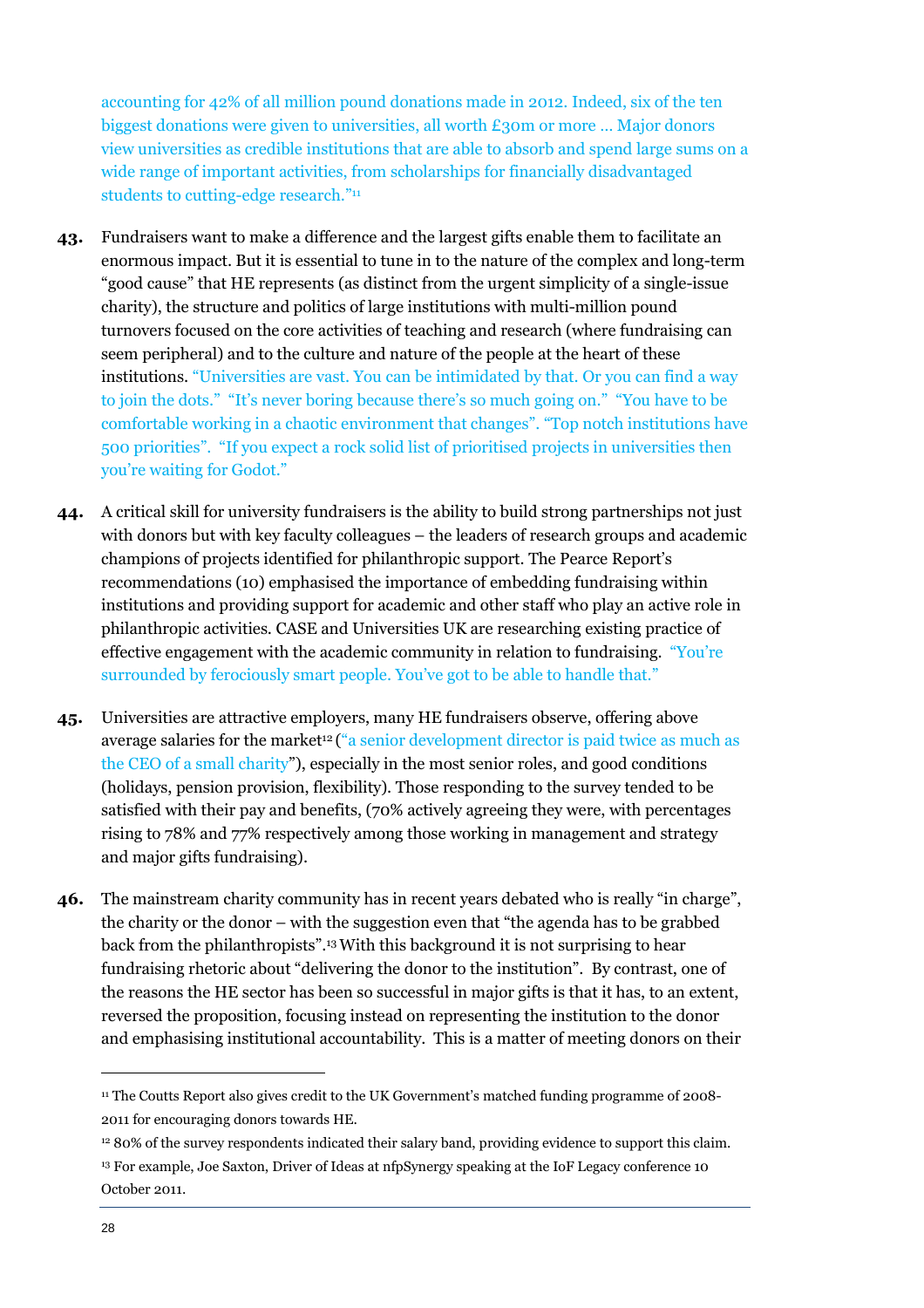accounting for 42% of all million pound donations made in 2012. Indeed, six of the ten biggest donations were given to universities, all worth  $\epsilon$ 30m or more ... Major donors view universities as credible institutions that are able to absorb and spend large sums on a wide range of important activities, from scholarships for financially disadvantaged students to cutting-edge research."<sup>11</sup>

- **43.** Fundraisers want to make a difference and the largest gifts enable them to facilitate an enormous impact. But it is essential to tune in to the nature of the complex and long-term "good cause" that HE represents (as distinct from the urgent simplicity of a single-issue charity), the structure and politics of large institutions with multi-million pound turnovers focused on the core activities of teaching and research (where fundraising can seem peripheral) and to the culture and nature of the people at the heart of these institutions. "Universities are vast. You can be intimidated by that. Or you can find a way to join the dots." "It's never boring because there's so much going on." "You have to be comfortable working in a chaotic environment that changes". "Top notch institutions have 500 priorities". "If you expect a rock solid list of prioritised projects in universities then you're waiting for Godot."
- **44.** A critical skill for university fundraisers is the ability to build strong partnerships not just with donors but with key faculty colleagues – the leaders of research groups and academic champions of projects identified for philanthropic support. The Pearce Report's recommendations (10) emphasised the importance of embedding fundraising within institutions and providing support for academic and other staff who play an active role in philanthropic activities. CASE and Universities UK are researching existing practice of effective engagement with the academic community in relation to fundraising. "You're surrounded by ferociously smart people. You've got to be able to handle that."
- **45.** Universities are attractive employers, many HE fundraisers observe, offering above average salaries for the market<sup>12</sup> ("a senior development director is paid twice as much as the CEO of a small charity"), especially in the most senior roles, and good conditions (holidays, pension provision, flexibility). Those responding to the survey tended to be satisfied with their pay and benefits, (70% actively agreeing they were, with percentages rising to 78% and 77% respectively among those working in management and strategy and major gifts fundraising).
- **46.** The mainstream charity community has in recent years debated who is really "in charge", the charity or the donor – with the suggestion even that "the agenda has to be grabbed back from the philanthropists".<sup>13</sup>With this background it is not surprising to hear fundraising rhetoric about "delivering the donor to the institution". By contrast, one of the reasons the HE sector has been so successful in major gifts is that it has, to an extent, reversed the proposition, focusing instead on representing the institution to the donor and emphasising institutional accountability. This is a matter of meeting donors on their

<sup>&</sup>lt;sup>11</sup> The Coutts Report also gives credit to the UK Government's matched funding programme of 2008-2011 for encouraging donors towards HE.

<sup>12</sup> 80% of the survey respondents indicated their salary band, providing evidence to support this claim.

<sup>&</sup>lt;sup>13</sup> For example, Joe Saxton, Driver of Ideas at nfpSynergy speaking at the IoF Legacy conference 10 October 2011.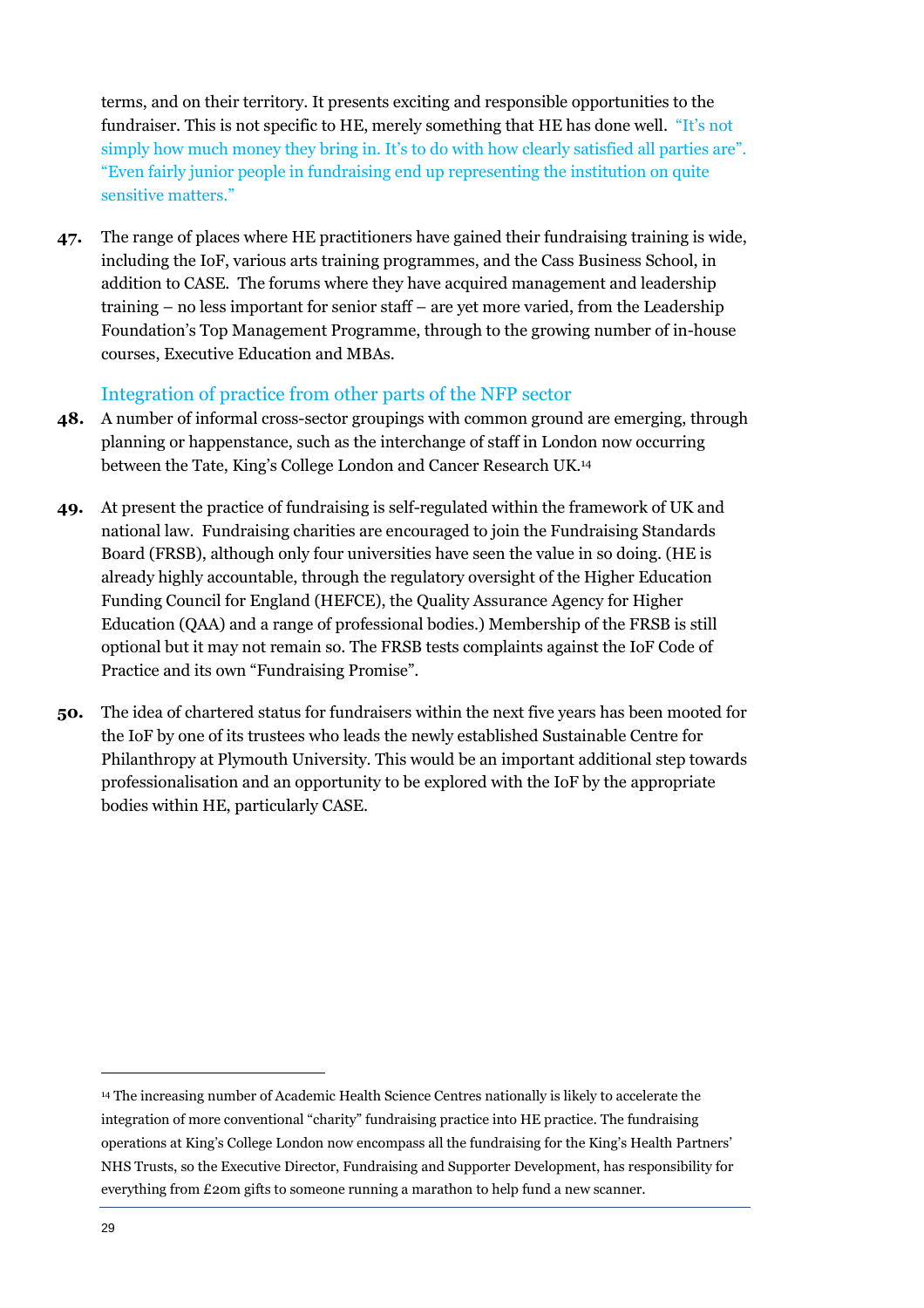terms, and on their territory. It presents exciting and responsible opportunities to the fundraiser. This is not specific to HE, merely something that HE has done well. "It's not simply how much money they bring in. It's to do with how clearly satisfied all parties are". "Even fairly junior people in fundraising end up representing the institution on quite sensitive matters."

**47.** The range of places where HE practitioners have gained their fundraising training is wide, including the IoF, various arts training programmes, and the Cass Business School, in addition to CASE. The forums where they have acquired management and leadership training – no less important for senior staff – are yet more varied, from the Leadership Foundation's Top Management Programme, through to the growing number of in-house courses, Executive Education and MBAs.

#### Integration of practice from other parts of the NFP sector

- **48.** A number of informal cross-sector groupings with common ground are emerging, through planning or happenstance, such as the interchange of staff in London now occurring between the Tate, King's College London and Cancer Research UK.<sup>14</sup>
- **49.** At present the practice of fundraising is self-regulated within the framework of UK and national law. Fundraising charities are encouraged to join the Fundraising Standards Board (FRSB), although only four universities have seen the value in so doing. (HE is already highly accountable, through the regulatory oversight of the Higher Education Funding Council for England (HEFCE), the Quality Assurance Agency for Higher Education (QAA) and a range of professional bodies.) Membership of the FRSB is still optional but it may not remain so. The FRSB tests complaints against the IoF Code of Practice and its own "Fundraising Promise".
- **50.** The idea of chartered status for fundraisers within the next five years has been mooted for the IoF by one of its trustees who leads the newly established Sustainable Centre for Philanthropy at Plymouth University. This would be an important additional step towards professionalisation and an opportunity to be explored with the IoF by the appropriate bodies within HE, particularly CASE.

<sup>14</sup> The increasing number of Academic Health Science Centres nationally is likely to accelerate the integration of more conventional "charity" fundraising practice into HE practice. The fundraising operations at King's College London now encompass all the fundraising for the King's Health Partners' NHS Trusts, so the Executive Director, Fundraising and Supporter Development, has responsibility for everything from £20m gifts to someone running a marathon to help fund a new scanner.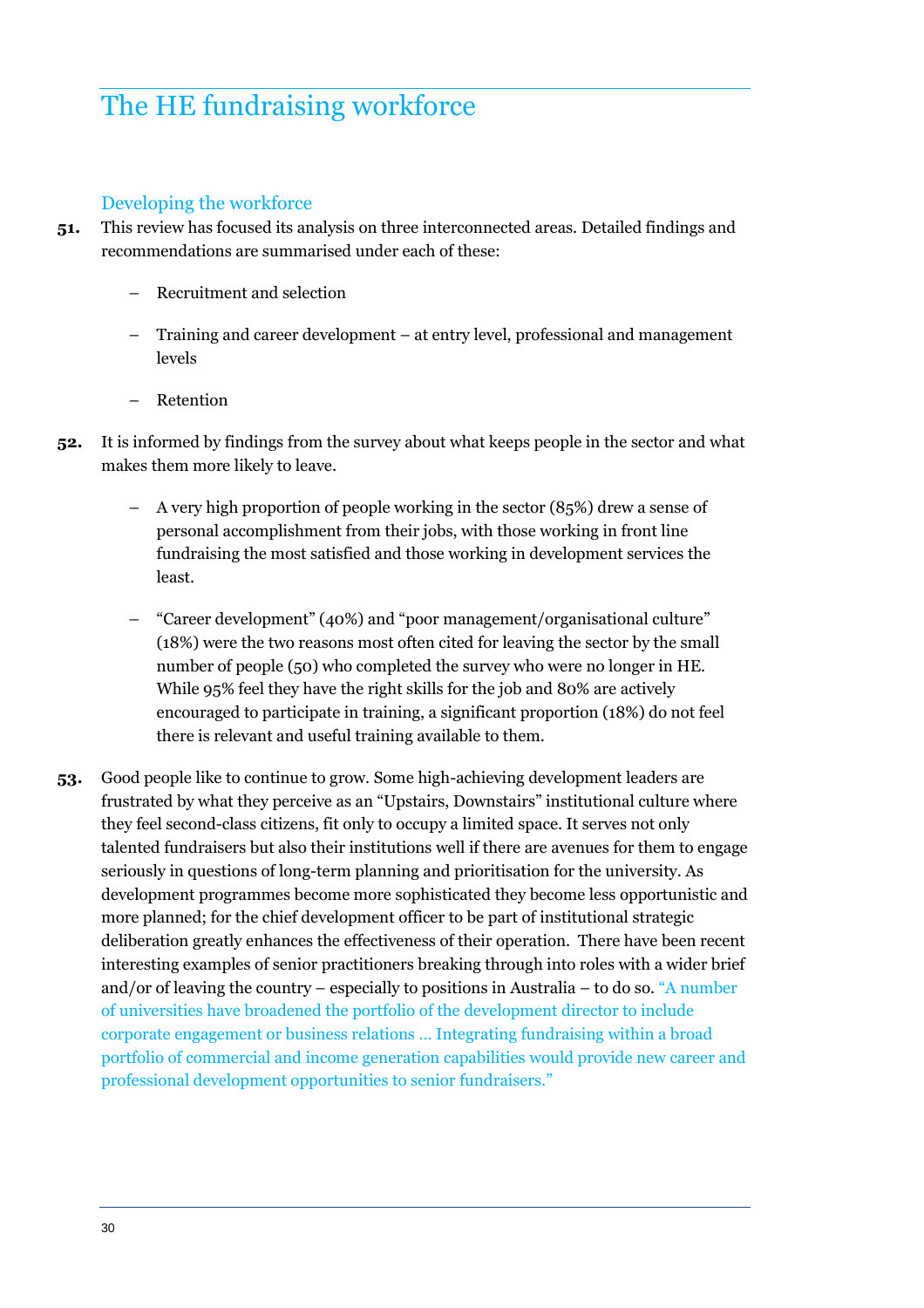## The HE fundraising workforce

#### Developing the workforce

- **51.** This review has focused its analysis on three interconnected areas. Detailed findings and recommendations are summarised under each of these:
	- Recruitment and selection
	- Training and career development at entry level, professional and management levels
	- Retention
- **52.** It is informed by findings from the survey about what keeps people in the sector and what makes them more likely to leave.
	- A very high proportion of people working in the sector (85%) drew a sense of personal accomplishment from their jobs, with those working in front line fundraising the most satisfied and those working in development services the least.
	- "Career development" (40%) and "poor management/organisational culture" (18%) were the two reasons most often cited for leaving the sector by the small number of people (50) who completed the survey who were no longer in HE. While 95% feel they have the right skills for the job and 80% are actively encouraged to participate in training, a significant proportion (18%) do not feel there is relevant and useful training available to them.
- **53.** Good people like to continue to grow. Some high-achieving development leaders are frustrated by what they perceive as an "Upstairs, Downstairs" institutional culture where they feel second-class citizens, fit only to occupy a limited space. It serves not only talented fundraisers but also their institutions well if there are avenues for them to engage seriously in questions of long-term planning and prioritisation for the university. As development programmes become more sophisticated they become less opportunistic and more planned; for the chief development officer to be part of institutional strategic deliberation greatly enhances the effectiveness of their operation. There have been recent interesting examples of senior practitioners breaking through into roles with a wider brief and/or of leaving the country – especially to positions in Australia – to do so. "A number of universities have broadened the portfolio of the development director to include corporate engagement or business relations … Integrating fundraising within a broad portfolio of commercial and income generation capabilities would provide new career and professional development opportunities to senior fundraisers."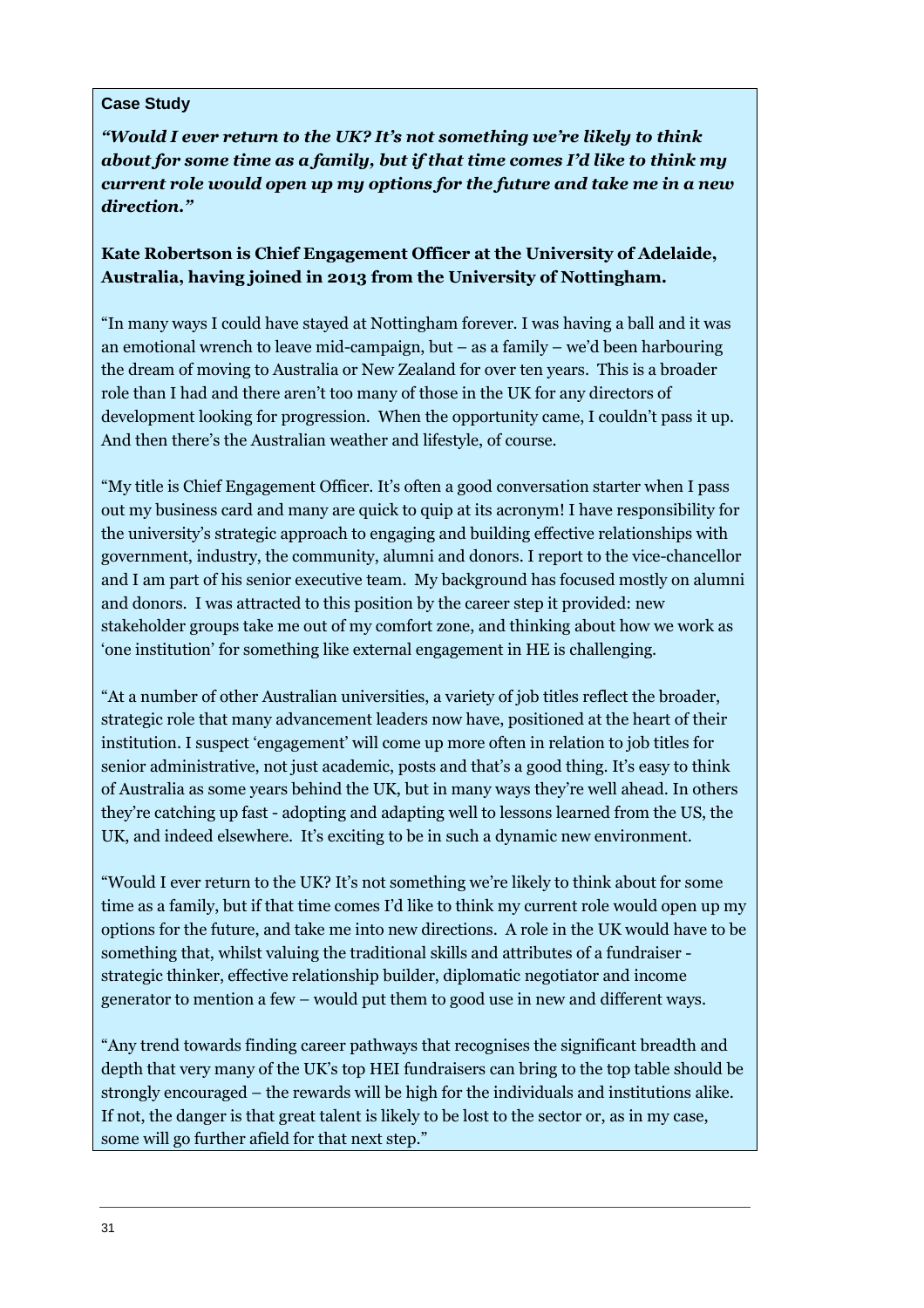#### **Case Study**

*"Would I ever return to the UK? It's not something we're likely to think about for some time as a family, but if that time comes I'd like to think my current role would open up my options for the future and take me in a new direction."* 

#### **Kate Robertson is Chief Engagement Officer at the University of Adelaide, Australia, having joined in 2013 from the University of Nottingham.**

"In many ways I could have stayed at Nottingham forever. I was having a ball and it was an emotional wrench to leave mid-campaign, but – as a family – we'd been harbouring the dream of moving to Australia or New Zealand for over ten years. This is a broader role than I had and there aren't too many of those in the UK for any directors of development looking for progression. When the opportunity came, I couldn't pass it up. And then there's the Australian weather and lifestyle, of course.

"My title is Chief Engagement Officer. It's often a good conversation starter when I pass out my business card and many are quick to quip at its acronym! I have responsibility for the university's strategic approach to engaging and building effective relationships with government, industry, the community, alumni and donors. I report to the vice-chancellor and I am part of his senior executive team. My background has focused mostly on alumni and donors. I was attracted to this position by the career step it provided: new stakeholder groups take me out of my comfort zone, and thinking about how we work as 'one institution' for something like external engagement in HE is challenging.

"At a number of other Australian universities, a variety of job titles reflect the broader, strategic role that many advancement leaders now have, positioned at the heart of their institution. I suspect 'engagement' will come up more often in relation to job titles for senior administrative, not just academic, posts and that's a good thing. It's easy to think of Australia as some years behind the UK, but in many ways they're well ahead. In others they're catching up fast - adopting and adapting well to lessons learned from the US, the UK, and indeed elsewhere. It's exciting to be in such a dynamic new environment.

"Would I ever return to the UK? It's not something we're likely to think about for some time as a family, but if that time comes I'd like to think my current role would open up my options for the future, and take me into new directions. A role in the UK would have to be something that, whilst valuing the traditional skills and attributes of a fundraiser strategic thinker, effective relationship builder, diplomatic negotiator and income generator to mention a few – would put them to good use in new and different ways.

"Any trend towards finding career pathways that recognises the significant breadth and depth that very many of the UK's top HEI fundraisers can bring to the top table should be strongly encouraged – the rewards will be high for the individuals and institutions alike. If not, the danger is that great talent is likely to be lost to the sector or, as in my case, some will go further afield for that next step."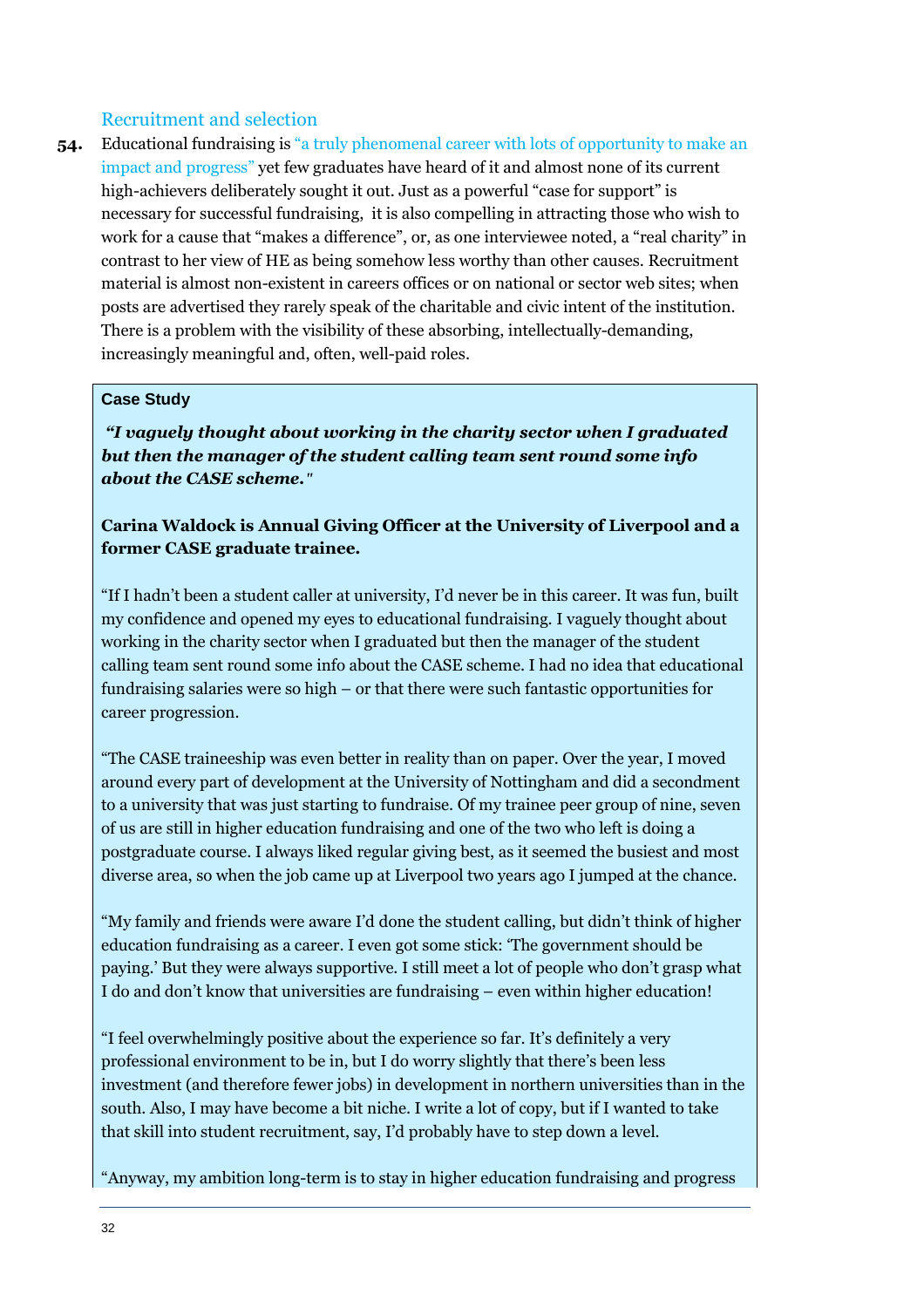#### Recruitment and selection

**54.** Educational fundraising is "a truly phenomenal career with lots of opportunity to make an impact and progress" yet few graduates have heard of it and almost none of its current high-achievers deliberately sought it out. Just as a powerful "case for support" is necessary for successful fundraising, it is also compelling in attracting those who wish to work for a cause that "makes a difference", or, as one interviewee noted, a "real charity" in contrast to her view of HE as being somehow less worthy than other causes. Recruitment material is almost non-existent in careers offices or on national or sector web sites; when posts are advertised they rarely speak of the charitable and civic intent of the institution. There is a problem with the visibility of these absorbing, intellectually-demanding, increasingly meaningful and, often, well-paid roles.

#### **Case Study**

 *"I vaguely thought about working in the charity sector when I graduated but then the manager of the student calling team sent round some info about the CASE scheme."*

#### **Carina Waldock is Annual Giving Officer at the University of Liverpool and a former CASE graduate trainee.**

"If I hadn't been a student caller at university, I'd never be in this career. It was fun, built my confidence and opened my eyes to educational fundraising. I vaguely thought about working in the charity sector when I graduated but then the manager of the student calling team sent round some info about the CASE scheme. I had no idea that educational fundraising salaries were so high – or that there were such fantastic opportunities for career progression.

"The CASE traineeship was even better in reality than on paper. Over the year, I moved around every part of development at the University of Nottingham and did a secondment to a university that was just starting to fundraise. Of my trainee peer group of nine, seven of us are still in higher education fundraising and one of the two who left is doing a postgraduate course. I always liked regular giving best, as it seemed the busiest and most diverse area, so when the job came up at Liverpool two years ago I jumped at the chance.

"My family and friends were aware I'd done the student calling, but didn't think of higher education fundraising as a career. I even got some stick: 'The government should be paying.' But they were always supportive. I still meet a lot of people who don't grasp what I do and don't know that universities are fundraising – even within higher education!

"I feel overwhelmingly positive about the experience so far. It's definitely a very professional environment to be in, but I do worry slightly that there's been less investment (and therefore fewer jobs) in development in northern universities than in the south. Also, I may have become a bit niche. I write a lot of copy, but if I wanted to take that skill into student recruitment, say, I'd probably have to step down a level.

"Anyway, my ambition long-term is to stay in higher education fundraising and progress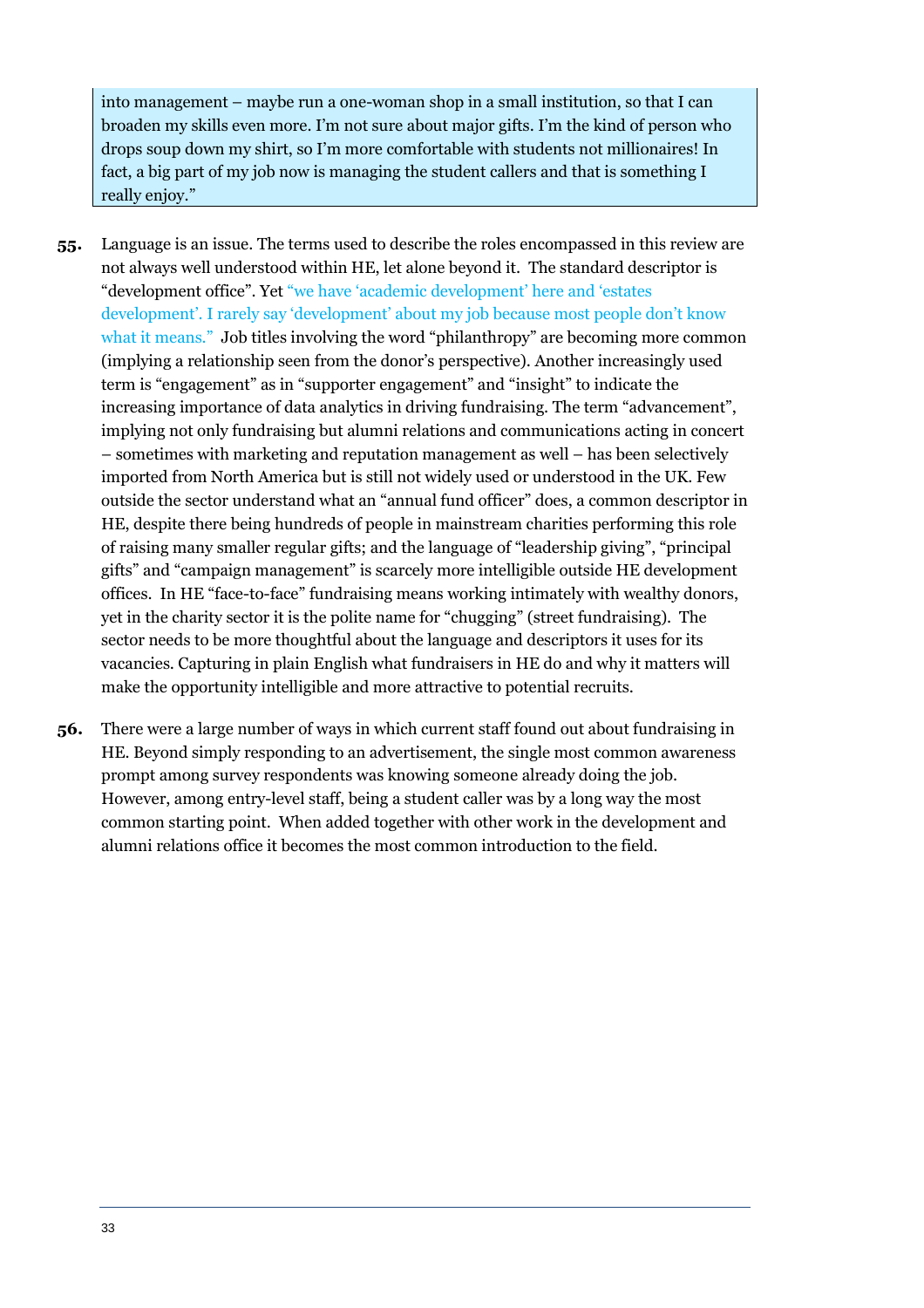into management – maybe run a one-woman shop in a small institution, so that I can broaden my skills even more. I'm not sure about major gifts. I'm the kind of person who drops soup down my shirt, so I'm more comfortable with students not millionaires! In fact, a big part of my job now is managing the student callers and that is something I really enjoy."

- **55.** Language is an issue. The terms used to describe the roles encompassed in this review are not always well understood within HE, let alone beyond it. The standard descriptor is "development office". Yet "we have 'academic development' here and 'estates development'. I rarely say 'development' about my job because most people don't know what it means." Job titles involving the word "philanthropy" are becoming more common (implying a relationship seen from the donor's perspective). Another increasingly used term is "engagement" as in "supporter engagement" and "insight" to indicate the increasing importance of data analytics in driving fundraising. The term "advancement", implying not only fundraising but alumni relations and communications acting in concert – sometimes with marketing and reputation management as well – has been selectively imported from North America but is still not widely used or understood in the UK. Few outside the sector understand what an "annual fund officer" does, a common descriptor in HE, despite there being hundreds of people in mainstream charities performing this role of raising many smaller regular gifts; and the language of "leadership giving", "principal gifts" and "campaign management" is scarcely more intelligible outside HE development offices. In HE "face-to-face" fundraising means working intimately with wealthy donors, yet in the charity sector it is the polite name for "chugging" (street fundraising). The sector needs to be more thoughtful about the language and descriptors it uses for its vacancies. Capturing in plain English what fundraisers in HE do and why it matters will make the opportunity intelligible and more attractive to potential recruits.
- **56.** There were a large number of ways in which current staff found out about fundraising in HE. Beyond simply responding to an advertisement, the single most common awareness prompt among survey respondents was knowing someone already doing the job. However, among entry-level staff, being a student caller was by a long way the most common starting point. When added together with other work in the development and alumni relations office it becomes the most common introduction to the field.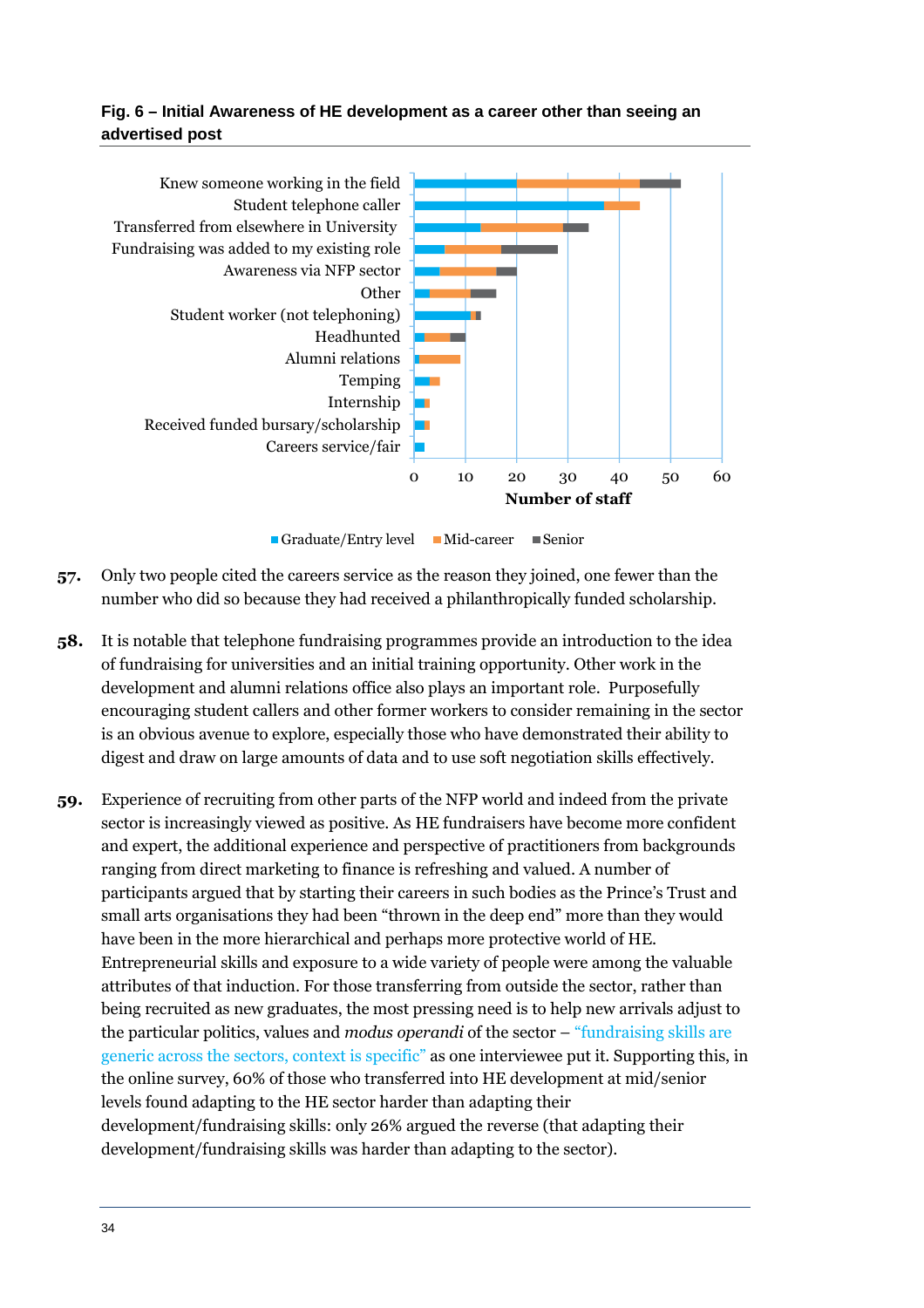**Fig. 6 – Initial Awareness of HE development as a career other than seeing an advertised post** 



- Graduate/Entry level Mid-career Senior
- **57.** Only two people cited the careers service as the reason they joined, one fewer than the number who did so because they had received a philanthropically funded scholarship.
- **58.** It is notable that telephone fundraising programmes provide an introduction to the idea of fundraising for universities and an initial training opportunity. Other work in the development and alumni relations office also plays an important role. Purposefully encouraging student callers and other former workers to consider remaining in the sector is an obvious avenue to explore, especially those who have demonstrated their ability to digest and draw on large amounts of data and to use soft negotiation skills effectively.
- **59.** Experience of recruiting from other parts of the NFP world and indeed from the private sector is increasingly viewed as positive. As HE fundraisers have become more confident and expert, the additional experience and perspective of practitioners from backgrounds ranging from direct marketing to finance is refreshing and valued. A number of participants argued that by starting their careers in such bodies as the Prince's Trust and small arts organisations they had been "thrown in the deep end" more than they would have been in the more hierarchical and perhaps more protective world of HE. Entrepreneurial skills and exposure to a wide variety of people were among the valuable attributes of that induction. For those transferring from outside the sector, rather than being recruited as new graduates, the most pressing need is to help new arrivals adjust to the particular politics, values and *modus operandi* of the sector – "fundraising skills are generic across the sectors, context is specific" as one interviewee put it. Supporting this, in the online survey, 60% of those who transferred into HE development at mid/senior levels found adapting to the HE sector harder than adapting their development/fundraising skills: only 26% argued the reverse (that adapting their development/fundraising skills was harder than adapting to the sector).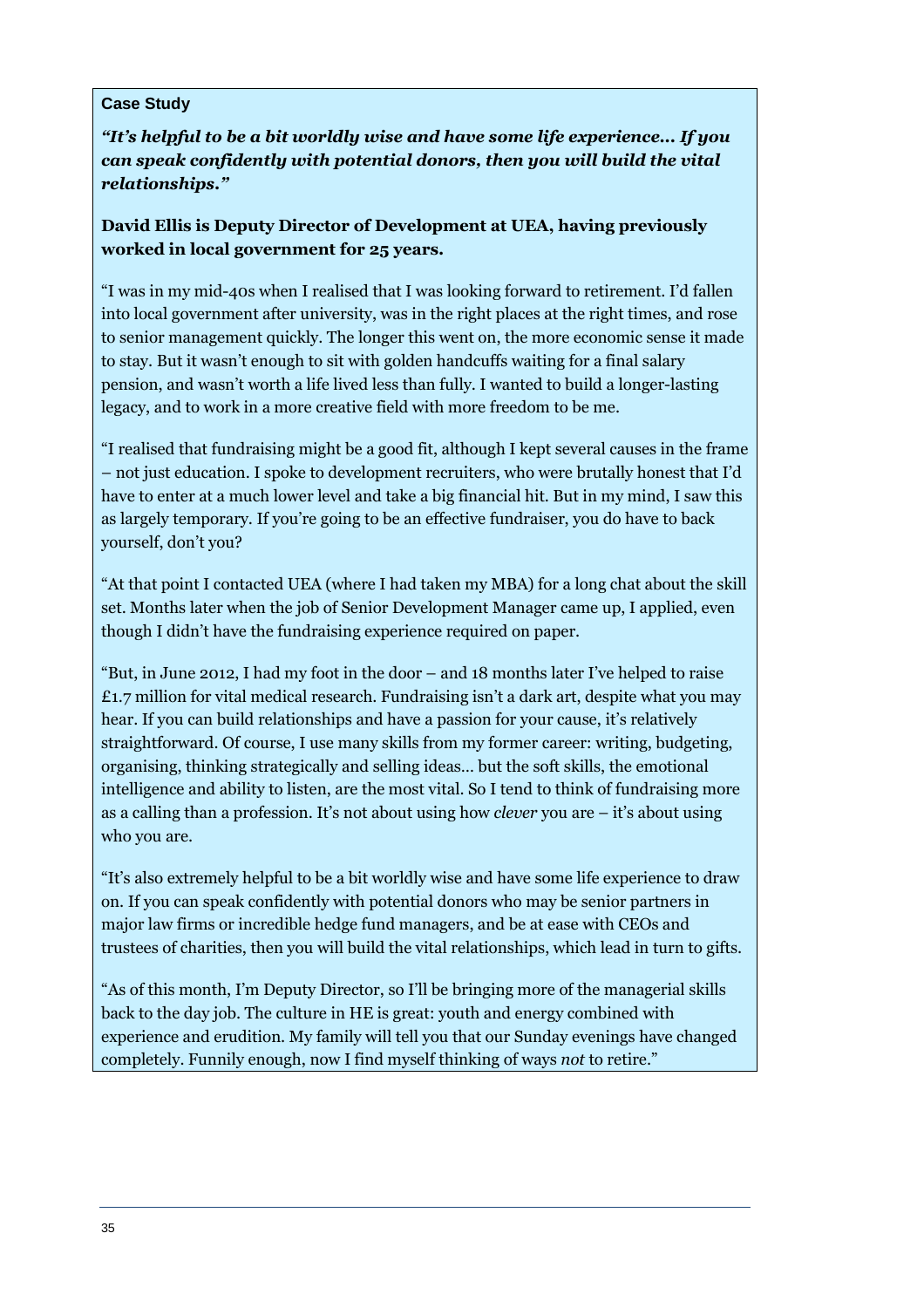#### **Case Study**

*"It's helpful to be a bit worldly wise and have some life experience... If you can speak confidently with potential donors, then you will build the vital relationships."* 

**David Ellis is Deputy Director of Development at UEA, having previously worked in local government for 25 years.** 

"I was in my mid-40s when I realised that I was looking forward to retirement. I'd fallen into local government after university, was in the right places at the right times, and rose to senior management quickly. The longer this went on, the more economic sense it made to stay. But it wasn't enough to sit with golden handcuffs waiting for a final salary pension, and wasn't worth a life lived less than fully. I wanted to build a longer-lasting legacy, and to work in a more creative field with more freedom to be me.

"I realised that fundraising might be a good fit, although I kept several causes in the frame – not just education. I spoke to development recruiters, who were brutally honest that I'd have to enter at a much lower level and take a big financial hit. But in my mind, I saw this as largely temporary. If you're going to be an effective fundraiser, you do have to back yourself, don't you?

"At that point I contacted UEA (where I had taken my MBA) for a long chat about the skill set. Months later when the job of Senior Development Manager came up, I applied, even though I didn't have the fundraising experience required on paper.

"But, in June 2012, I had my foot in the door – and 18 months later I've helped to raise  $\pounds$ 1.7 million for vital medical research. Fundraising isn't a dark art, despite what you may hear. If you can build relationships and have a passion for your cause, it's relatively straightforward. Of course, I use many skills from my former career: writing, budgeting, organising, thinking strategically and selling ideas… but the soft skills, the emotional intelligence and ability to listen, are the most vital. So I tend to think of fundraising more as a calling than a profession. It's not about using how *clever* you are – it's about using who you are.

"It's also extremely helpful to be a bit worldly wise and have some life experience to draw on. If you can speak confidently with potential donors who may be senior partners in major law firms or incredible hedge fund managers, and be at ease with CEOs and trustees of charities, then you will build the vital relationships, which lead in turn to gifts.

"As of this month, I'm Deputy Director, so I'll be bringing more of the managerial skills back to the day job. The culture in HE is great: youth and energy combined with experience and erudition. My family will tell you that our Sunday evenings have changed completely. Funnily enough, now I find myself thinking of ways *not* to retire."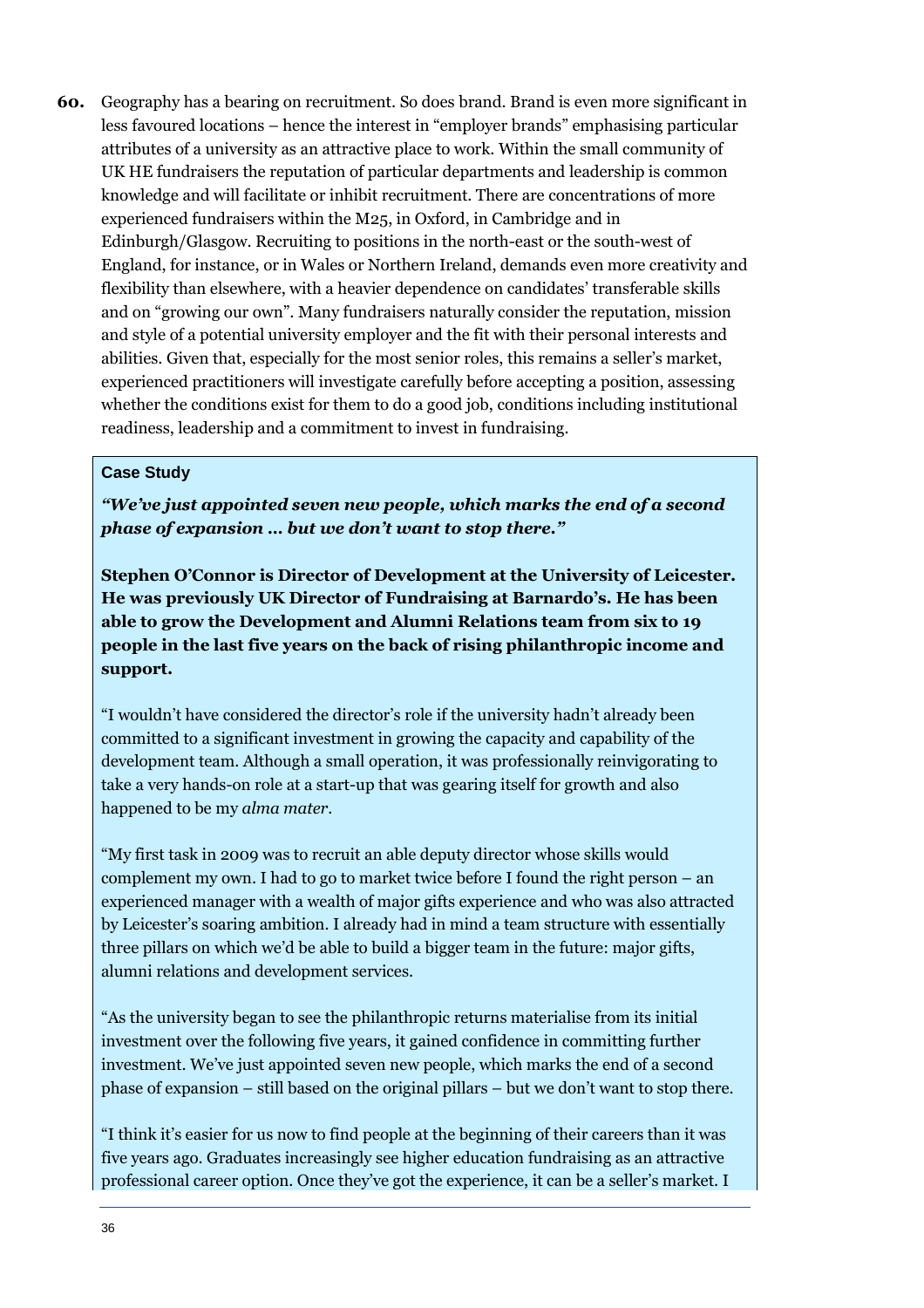**60.** Geography has a bearing on recruitment. So does brand. Brand is even more significant in less favoured locations – hence the interest in "employer brands" emphasising particular attributes of a university as an attractive place to work. Within the small community of UK HE fundraisers the reputation of particular departments and leadership is common knowledge and will facilitate or inhibit recruitment. There are concentrations of more experienced fundraisers within the M25, in Oxford, in Cambridge and in Edinburgh/Glasgow. Recruiting to positions in the north-east or the south-west of England, for instance, or in Wales or Northern Ireland, demands even more creativity and flexibility than elsewhere, with a heavier dependence on candidates' transferable skills and on "growing our own". Many fundraisers naturally consider the reputation, mission and style of a potential university employer and the fit with their personal interests and abilities. Given that, especially for the most senior roles, this remains a seller's market, experienced practitioners will investigate carefully before accepting a position, assessing whether the conditions exist for them to do a good job, conditions including institutional readiness, leadership and a commitment to invest in fundraising.

#### **Case Study**

*"We've just appointed seven new people, which marks the end of a second phase of expansion … but we don't want to stop there."* 

**Stephen O'Connor is Director of Development at the University of Leicester. He was previously UK Director of Fundraising at Barnardo's. He has been able to grow the Development and Alumni Relations team from six to 19 people in the last five years on the back of rising philanthropic income and support.** 

"I wouldn't have considered the director's role if the university hadn't already been committed to a significant investment in growing the capacity and capability of the development team. Although a small operation, it was professionally reinvigorating to take a very hands-on role at a start-up that was gearing itself for growth and also happened to be my *alma mater*.

"My first task in 2009 was to recruit an able deputy director whose skills would complement my own. I had to go to market twice before I found the right person – an experienced manager with a wealth of major gifts experience and who was also attracted by Leicester's soaring ambition. I already had in mind a team structure with essentially three pillars on which we'd be able to build a bigger team in the future: major gifts, alumni relations and development services.

"As the university began to see the philanthropic returns materialise from its initial investment over the following five years, it gained confidence in committing further investment. We've just appointed seven new people, which marks the end of a second phase of expansion – still based on the original pillars – but we don't want to stop there.

"I think it's easier for us now to find people at the beginning of their careers than it was five years ago. Graduates increasingly see higher education fundraising as an attractive professional career option. Once they've got the experience, it can be a seller's market. I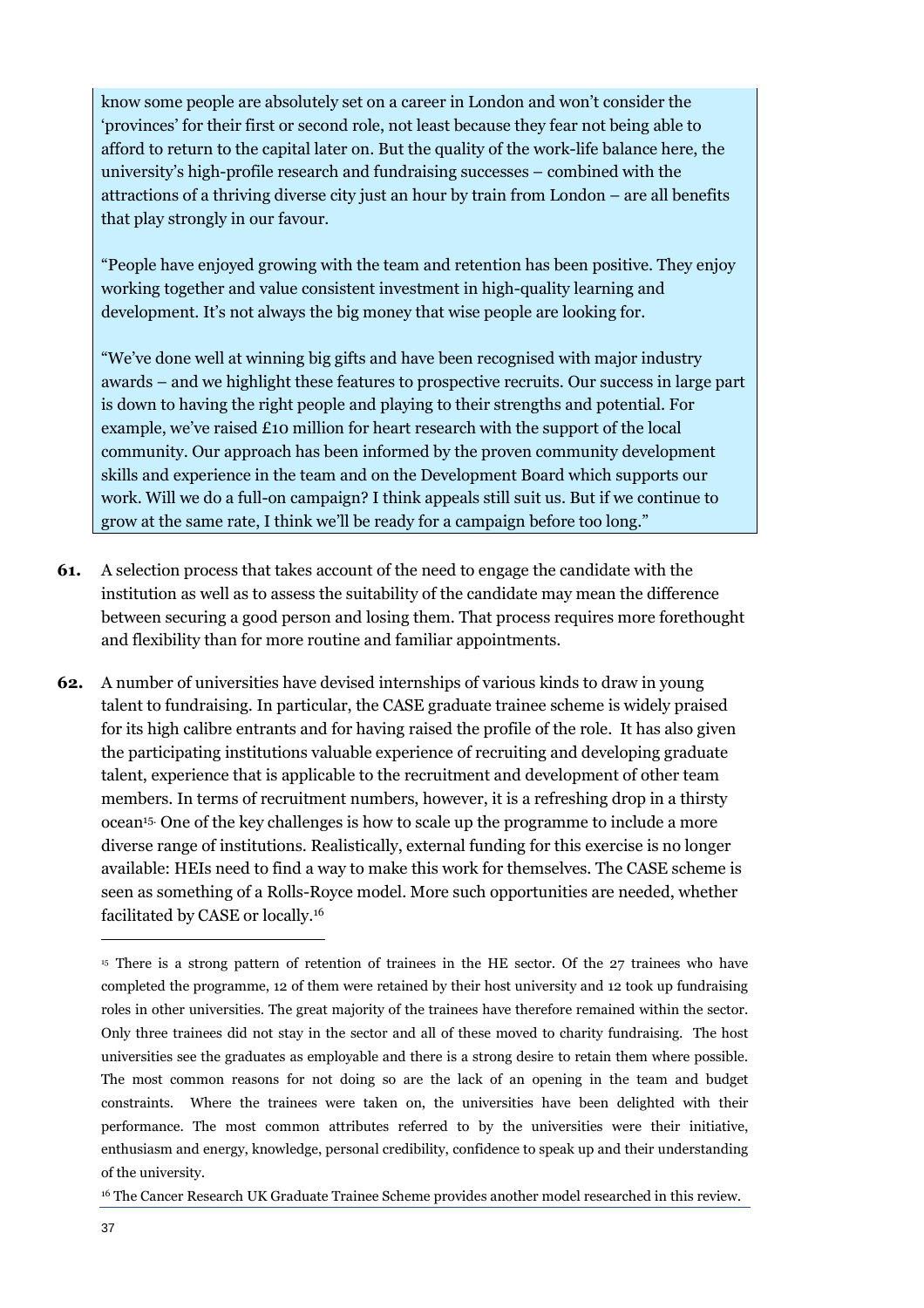know some people are absolutely set on a career in London and won't consider the 'provinces' for their first or second role, not least because they fear not being able to afford to return to the capital later on. But the quality of the work-life balance here, the university's high-profile research and fundraising successes – combined with the attractions of a thriving diverse city just an hour by train from London – are all benefits that play strongly in our favour.

"People have enjoyed growing with the team and retention has been positive. They enjoy working together and value consistent investment in high-quality learning and development. It's not always the big money that wise people are looking for.

"We've done well at winning big gifts and have been recognised with major industry awards – and we highlight these features to prospective recruits. Our success in large part is down to having the right people and playing to their strengths and potential. For example, we've raised £10 million for heart research with the support of the local community. Our approach has been informed by the proven community development skills and experience in the team and on the Development Board which supports our work. Will we do a full-on campaign? I think appeals still suit us. But if we continue to grow at the same rate, I think we'll be ready for a campaign before too long."

- **61.** A selection process that takes account of the need to engage the candidate with the institution as well as to assess the suitability of the candidate may mean the difference between securing a good person and losing them. That process requires more forethought and flexibility than for more routine and familiar appointments.
- **62.** A number of universities have devised internships of various kinds to draw in young talent to fundraising. In particular, the CASE graduate trainee scheme is widely praised for its high calibre entrants and for having raised the profile of the role. It has also given the participating institutions valuable experience of recruiting and developing graduate talent, experience that is applicable to the recruitment and development of other team members. In terms of recruitment numbers, however, it is a refreshing drop in a thirsty ocean15. One of the key challenges is how to scale up the programme to include a more diverse range of institutions. Realistically, external funding for this exercise is no longer available: HEIs need to find a way to make this work for themselves. The CASE scheme is seen as something of a Rolls-Royce model. More such opportunities are needed, whether facilitated by CASE or locally.<sup>16</sup>

<sup>15</sup> There is a strong pattern of retention of trainees in the HE sector. Of the 27 trainees who have completed the programme, 12 of them were retained by their host university and 12 took up fundraising roles in other universities. The great majority of the trainees have therefore remained within the sector. Only three trainees did not stay in the sector and all of these moved to charity fundraising. The host universities see the graduates as employable and there is a strong desire to retain them where possible. The most common reasons for not doing so are the lack of an opening in the team and budget constraints. Where the trainees were taken on, the universities have been delighted with their performance. The most common attributes referred to by the universities were their initiative, enthusiasm and energy, knowledge, personal credibility, confidence to speak up and their understanding of the university.

<sup>16</sup> The Cancer Research UK Graduate Trainee Scheme provides another model researched in this review.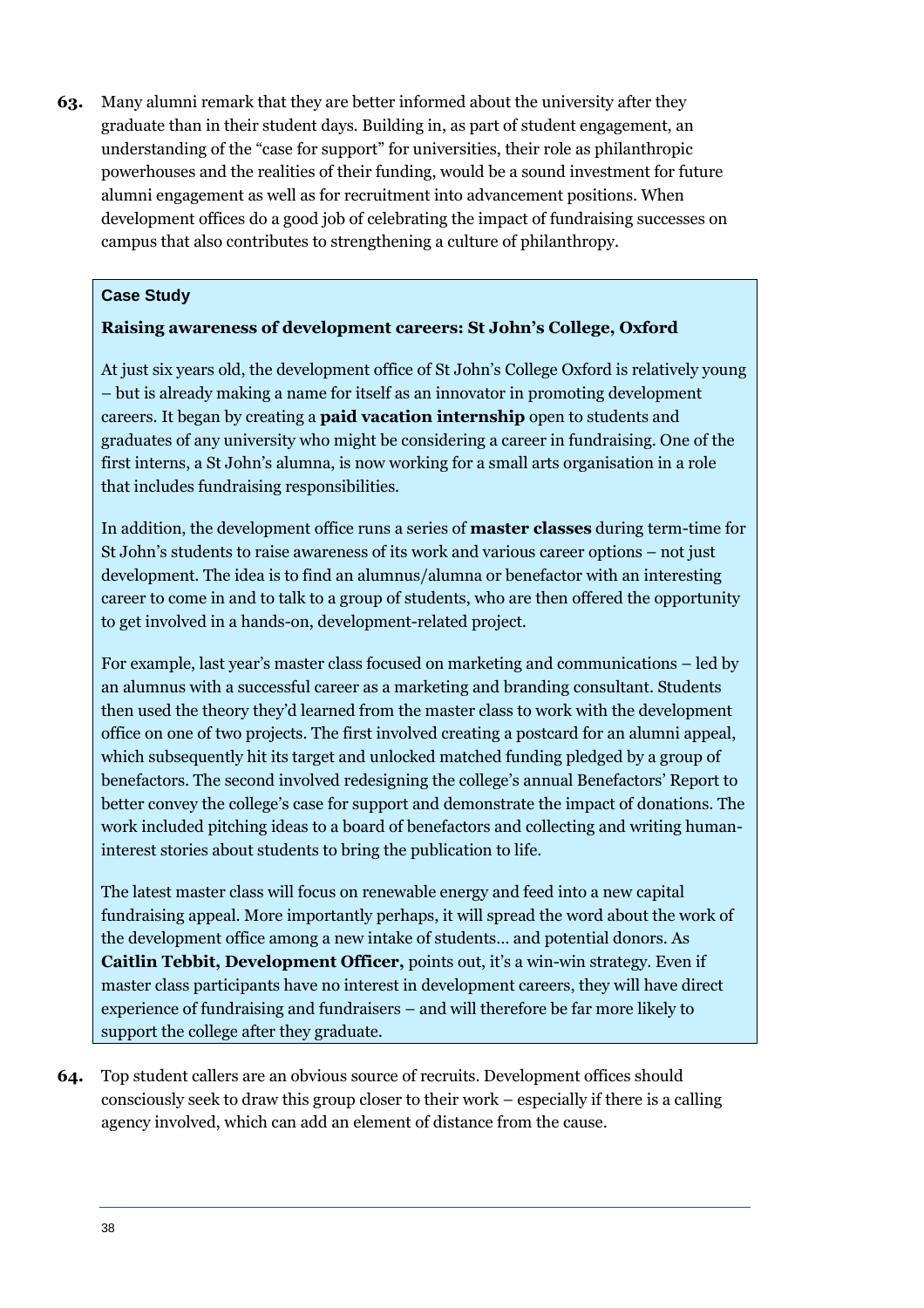**63.** Many alumni remark that they are better informed about the university after they graduate than in their student days. Building in, as part of student engagement, an understanding of the "case for support" for universities, their role as philanthropic powerhouses and the realities of their funding, would be a sound investment for future alumni engagement as well as for recruitment into advancement positions. When development offices do a good job of celebrating the impact of fundraising successes on campus that also contributes to strengthening a culture of philanthropy.

#### **Case Study**

#### **Raising awareness of development careers: St John's College, Oxford**

At just six years old, the development office of St John's College Oxford is relatively young – but is already making a name for itself as an innovator in promoting development careers. It began by creating a **paid vacation internship** open to students and graduates of any university who might be considering a career in fundraising. One of the first interns, a St John's alumna, is now working for a small arts organisation in a role that includes fundraising responsibilities.

In addition, the development office runs a series of **master classes** during term-time for St John's students to raise awareness of its work and various career options – not just development. The idea is to find an alumnus/alumna or benefactor with an interesting career to come in and to talk to a group of students, who are then offered the opportunity to get involved in a hands-on, development-related project.

For example, last year's master class focused on marketing and communications – led by an alumnus with a successful career as a marketing and branding consultant. Students then used the theory they'd learned from the master class to work with the development office on one of two projects. The first involved creating a postcard for an alumni appeal, which subsequently hit its target and unlocked matched funding pledged by a group of benefactors. The second involved redesigning the college's annual Benefactors' Report to better convey the college's case for support and demonstrate the impact of donations. The work included pitching ideas to a board of benefactors and collecting and writing humaninterest stories about students to bring the publication to life.

The latest master class will focus on renewable energy and feed into a new capital fundraising appeal. More importantly perhaps, it will spread the word about the work of the development office among a new intake of students… and potential donors. As **Caitlin Tebbit, Development Officer,** points out, it's a win-win strategy. Even if master class participants have no interest in development careers, they will have direct experience of fundraising and fundraisers – and will therefore be far more likely to support the college after they graduate.

**64.** Top student callers are an obvious source of recruits. Development offices should consciously seek to draw this group closer to their work – especially if there is a calling agency involved, which can add an element of distance from the cause.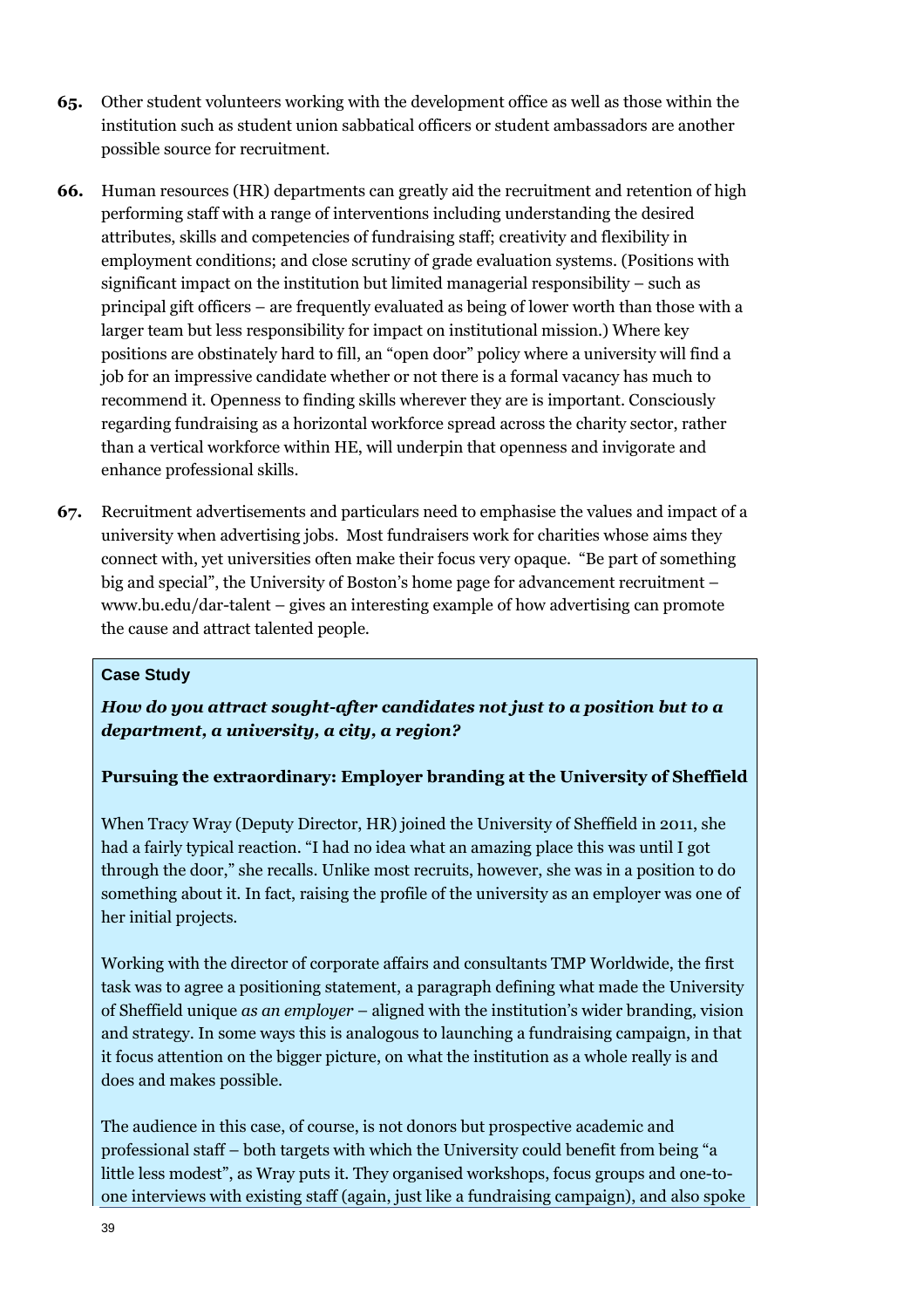- **65.** Other student volunteers working with the development office as well as those within the institution such as student union sabbatical officers or student ambassadors are another possible source for recruitment.
- **66.** Human resources (HR) departments can greatly aid the recruitment and retention of high performing staff with a range of interventions including understanding the desired attributes, skills and competencies of fundraising staff; creativity and flexibility in employment conditions; and close scrutiny of grade evaluation systems. (Positions with significant impact on the institution but limited managerial responsibility – such as principal gift officers – are frequently evaluated as being of lower worth than those with a larger team but less responsibility for impact on institutional mission.) Where key positions are obstinately hard to fill, an "open door" policy where a university will find a job for an impressive candidate whether or not there is a formal vacancy has much to recommend it. Openness to finding skills wherever they are is important. Consciously regarding fundraising as a horizontal workforce spread across the charity sector, rather than a vertical workforce within HE, will underpin that openness and invigorate and enhance professional skills.
- **67.** Recruitment advertisements and particulars need to emphasise the values and impact of a university when advertising jobs. Most fundraisers work for charities whose aims they connect with, yet universities often make their focus very opaque. "Be part of something big and special", the University of Boston's home page for advancement recruitment – www.bu.edu/dar-talent – gives an interesting example of how advertising can promote the cause and attract talented people.

#### **Case Study**

*How do you attract sought-after candidates not just to a position but to a department, a university, a city, a region?* 

#### **Pursuing the extraordinary: Employer branding at the University of Sheffield**

When Tracy Wray (Deputy Director, HR) joined the University of Sheffield in 2011, she had a fairly typical reaction. "I had no idea what an amazing place this was until I got through the door," she recalls. Unlike most recruits, however, she was in a position to do something about it. In fact, raising the profile of the university as an employer was one of her initial projects.

Working with the director of corporate affairs and consultants TMP Worldwide, the first task was to agree a positioning statement, a paragraph defining what made the University of Sheffield unique *as an employer* – aligned with the institution's wider branding, vision and strategy. In some ways this is analogous to launching a fundraising campaign, in that it focus attention on the bigger picture, on what the institution as a whole really is and does and makes possible.

The audience in this case, of course, is not donors but prospective academic and professional staff – both targets with which the University could benefit from being "a little less modest", as Wray puts it. They organised workshops, focus groups and one-toone interviews with existing staff (again, just like a fundraising campaign), and also spoke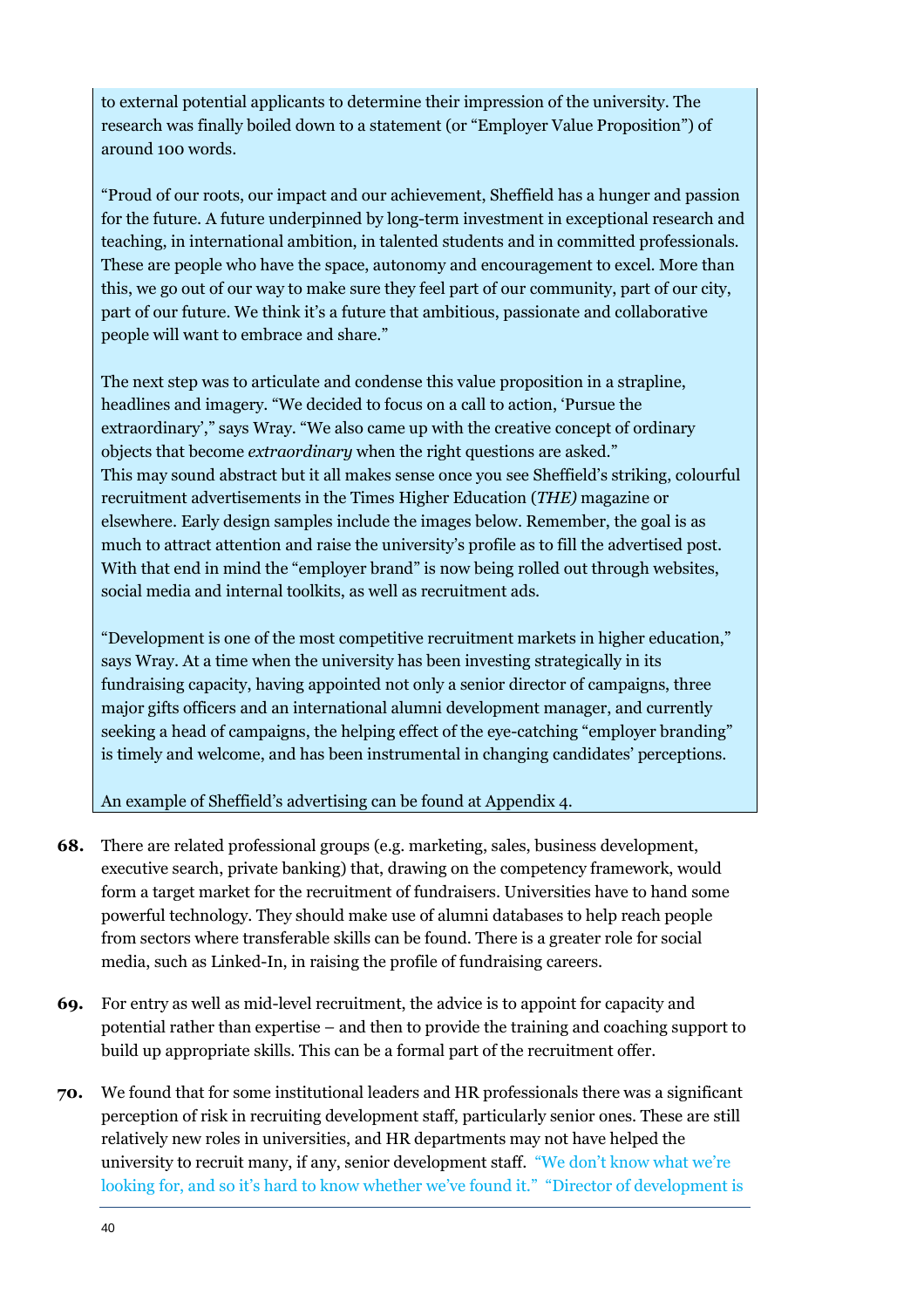to external potential applicants to determine their impression of the university. The research was finally boiled down to a statement (or "Employer Value Proposition") of around 100 words.

"Proud of our roots, our impact and our achievement, Sheffield has a hunger and passion for the future. A future underpinned by long-term investment in exceptional research and teaching, in international ambition, in talented students and in committed professionals. These are people who have the space, autonomy and encouragement to excel. More than this, we go out of our way to make sure they feel part of our community, part of our city, part of our future. We think it's a future that ambitious, passionate and collaborative people will want to embrace and share."

The next step was to articulate and condense this value proposition in a strapline, headlines and imagery. "We decided to focus on a call to action, 'Pursue the extraordinary'," says Wray. "We also came up with the creative concept of ordinary objects that become *extraordinary* when the right questions are asked." This may sound abstract but it all makes sense once you see Sheffield's striking, colourful recruitment advertisements in the Times Higher Education (*THE)* magazine or elsewhere. Early design samples include the images below. Remember, the goal is as much to attract attention and raise the university's profile as to fill the advertised post. With that end in mind the "employer brand" is now being rolled out through websites, social media and internal toolkits, as well as recruitment ads.

"Development is one of the most competitive recruitment markets in higher education," says Wray. At a time when the university has been investing strategically in its fundraising capacity, having appointed not only a senior director of campaigns, three major gifts officers and an international alumni development manager, and currently seeking a head of campaigns, the helping effect of the eye-catching "employer branding" is timely and welcome, and has been instrumental in changing candidates' perceptions.

An example of Sheffield's advertising can be found at Appendix 4.

- **68.** There are related professional groups (e.g. marketing, sales, business development, executive search, private banking) that, drawing on the competency framework, would form a target market for the recruitment of fundraisers. Universities have to hand some powerful technology. They should make use of alumni databases to help reach people from sectors where transferable skills can be found. There is a greater role for social media, such as Linked-In, in raising the profile of fundraising careers.
- **69.** For entry as well as mid-level recruitment, the advice is to appoint for capacity and potential rather than expertise – and then to provide the training and coaching support to build up appropriate skills. This can be a formal part of the recruitment offer.
- **70.** We found that for some institutional leaders and HR professionals there was a significant perception of risk in recruiting development staff, particularly senior ones. These are still relatively new roles in universities, and HR departments may not have helped the university to recruit many, if any, senior development staff. "We don't know what we're looking for, and so it's hard to know whether we've found it." "Director of development is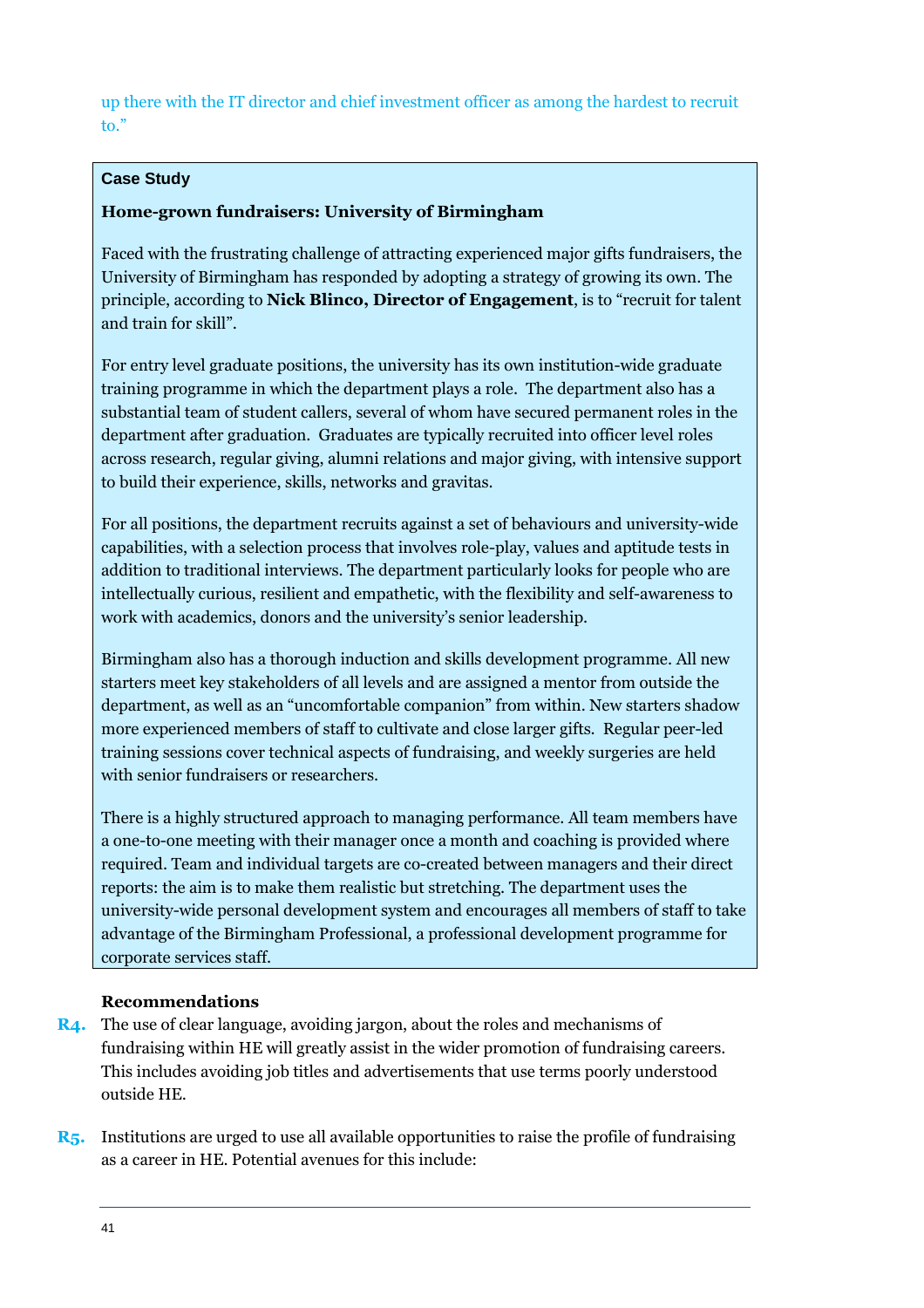up there with the IT director and chief investment officer as among the hardest to recruit to."

#### **Case Study**

#### **Home-grown fundraisers: University of Birmingham**

Faced with the frustrating challenge of attracting experienced major gifts fundraisers, the University of Birmingham has responded by adopting a strategy of growing its own. The principle, according to **Nick Blinco, Director of Engagement**, is to "recruit for talent and train for skill".

For entry level graduate positions, the university has its own institution-wide graduate training programme in which the department plays a role. The department also has a substantial team of student callers, several of whom have secured permanent roles in the department after graduation. Graduates are typically recruited into officer level roles across research, regular giving, alumni relations and major giving, with intensive support to build their experience, skills, networks and gravitas.

For all positions, the department recruits against a set of behaviours and university-wide capabilities, with a selection process that involves role-play, values and aptitude tests in addition to traditional interviews. The department particularly looks for people who are intellectually curious, resilient and empathetic, with the flexibility and self-awareness to work with academics, donors and the university's senior leadership.

Birmingham also has a thorough induction and skills development programme. All new starters meet key stakeholders of all levels and are assigned a mentor from outside the department, as well as an "uncomfortable companion" from within. New starters shadow more experienced members of staff to cultivate and close larger gifts. Regular peer-led training sessions cover technical aspects of fundraising, and weekly surgeries are held with senior fundraisers or researchers.

There is a highly structured approach to managing performance. All team members have a one-to-one meeting with their manager once a month and coaching is provided where required. Team and individual targets are co-created between managers and their direct reports: the aim is to make them realistic but stretching. The department uses the university-wide personal development system and encourages all members of staff to take advantage of the Birmingham Professional, a professional development programme for corporate services staff.

#### **Recommendations**

- **R4.** The use of clear language, avoiding jargon, about the roles and mechanisms of fundraising within HE will greatly assist in the wider promotion of fundraising careers. This includes avoiding job titles and advertisements that use terms poorly understood outside HE.
- **R5.** Institutions are urged to use all available opportunities to raise the profile of fundraising as a career in HE. Potential avenues for this include: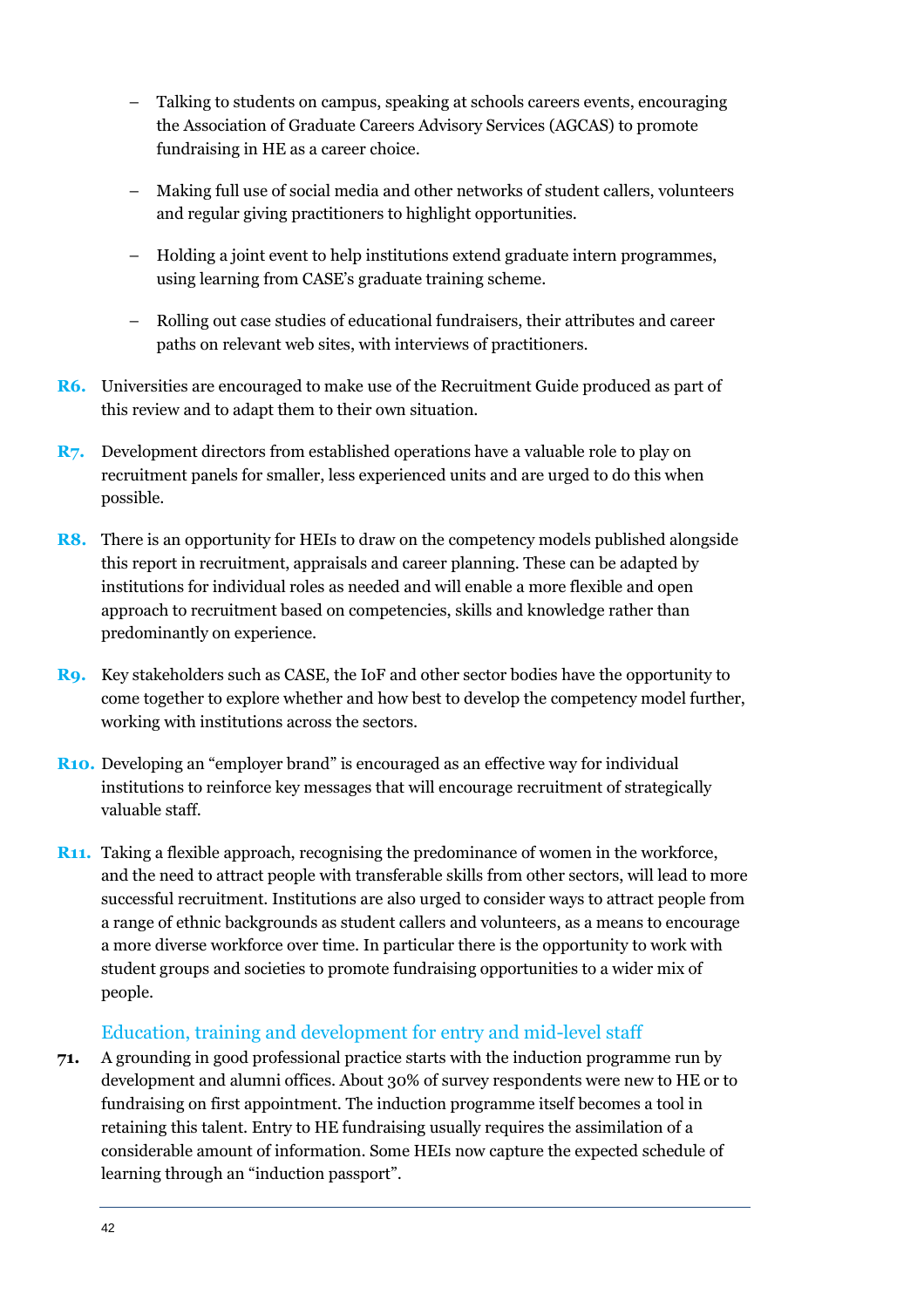- Talking to students on campus, speaking at schools careers events, encouraging the Association of Graduate Careers Advisory Services (AGCAS) to promote fundraising in HE as a career choice.
- Making full use of social media and other networks of student callers, volunteers and regular giving practitioners to highlight opportunities.
- Holding a joint event to help institutions extend graduate intern programmes, using learning from CASE's graduate training scheme.
- Rolling out case studies of educational fundraisers, their attributes and career paths on relevant web sites, with interviews of practitioners.
- **R6.** Universities are encouraged to make use of the Recruitment Guide produced as part of this review and to adapt them to their own situation.
- **R7.** Development directors from established operations have a valuable role to play on recruitment panels for smaller, less experienced units and are urged to do this when possible.
- **R8.** There is an opportunity for HEIs to draw on the competency models published alongside this report in recruitment, appraisals and career planning. These can be adapted by institutions for individual roles as needed and will enable a more flexible and open approach to recruitment based on competencies, skills and knowledge rather than predominantly on experience.
- **R9.** Key stakeholders such as CASE, the IoF and other sector bodies have the opportunity to come together to explore whether and how best to develop the competency model further, working with institutions across the sectors.
- **R10.** Developing an "employer brand" is encouraged as an effective way for individual institutions to reinforce key messages that will encourage recruitment of strategically valuable staff.
- **R11.** Taking a flexible approach, recognising the predominance of women in the workforce, and the need to attract people with transferable skills from other sectors, will lead to more successful recruitment. Institutions are also urged to consider ways to attract people from a range of ethnic backgrounds as student callers and volunteers, as a means to encourage a more diverse workforce over time. In particular there is the opportunity to work with student groups and societies to promote fundraising opportunities to a wider mix of people.

#### Education, training and development for entry and mid-level staff

**71.** A grounding in good professional practice starts with the induction programme run by development and alumni offices. About 30% of survey respondents were new to HE or to fundraising on first appointment. The induction programme itself becomes a tool in retaining this talent. Entry to HE fundraising usually requires the assimilation of a considerable amount of information. Some HEIs now capture the expected schedule of learning through an "induction passport".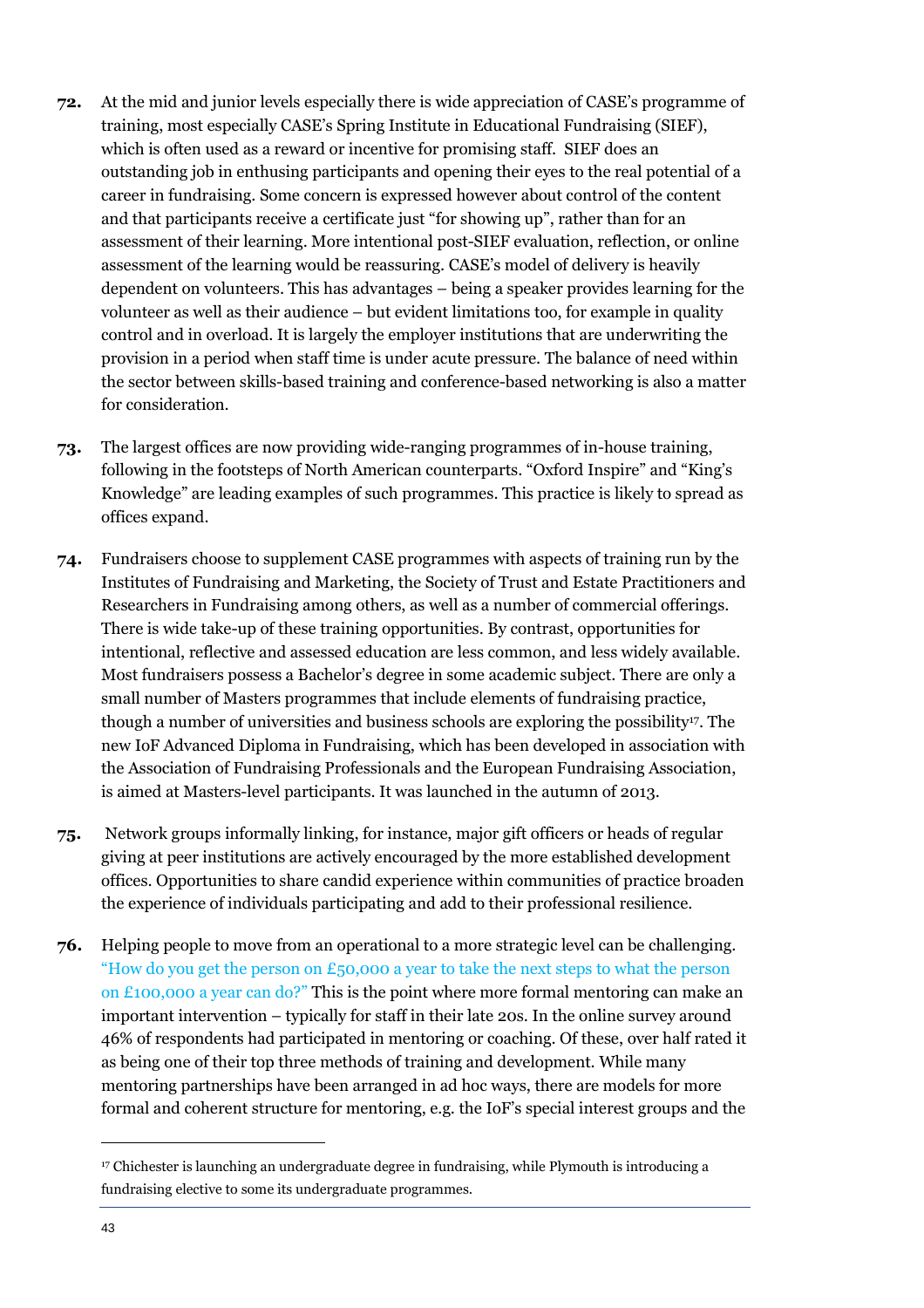- **72.** At the mid and junior levels especially there is wide appreciation of CASE's programme of training, most especially CASE's Spring Institute in Educational Fundraising (SIEF), which is often used as a reward or incentive for promising staff. SIEF does an outstanding job in enthusing participants and opening their eyes to the real potential of a career in fundraising. Some concern is expressed however about control of the content and that participants receive a certificate just "for showing up", rather than for an assessment of their learning. More intentional post-SIEF evaluation, reflection, or online assessment of the learning would be reassuring. CASE's model of delivery is heavily dependent on volunteers. This has advantages – being a speaker provides learning for the volunteer as well as their audience – but evident limitations too, for example in quality control and in overload. It is largely the employer institutions that are underwriting the provision in a period when staff time is under acute pressure. The balance of need within the sector between skills-based training and conference-based networking is also a matter for consideration.
- **73.** The largest offices are now providing wide-ranging programmes of in-house training, following in the footsteps of North American counterparts. "Oxford Inspire" and "King's Knowledge" are leading examples of such programmes. This practice is likely to spread as offices expand.
- **74.** Fundraisers choose to supplement CASE programmes with aspects of training run by the Institutes of Fundraising and Marketing, the Society of Trust and Estate Practitioners and Researchers in Fundraising among others, as well as a number of commercial offerings. There is wide take-up of these training opportunities. By contrast, opportunities for intentional, reflective and assessed education are less common, and less widely available. Most fundraisers possess a Bachelor's degree in some academic subject. There are only a small number of Masters programmes that include elements of fundraising practice, though a number of universities and business schools are exploring the possibility<sup>17</sup>. The new IoF Advanced Diploma in Fundraising, which has been developed in association with the Association of Fundraising Professionals and the European Fundraising Association, is aimed at Masters-level participants. It was launched in the autumn of 2013.
- **75.** Network groups informally linking, for instance, major gift officers or heads of regular giving at peer institutions are actively encouraged by the more established development offices. Opportunities to share candid experience within communities of practice broaden the experience of individuals participating and add to their professional resilience.
- **76.** Helping people to move from an operational to a more strategic level can be challenging. "How do you get the person on  $\epsilon_{50,000}$  a year to take the next steps to what the person on £100,000 a year can do?" This is the point where more formal mentoring can make an important intervention – typically for staff in their late 20s. In the online survey around 46% of respondents had participated in mentoring or coaching. Of these, over half rated it as being one of their top three methods of training and development. While many mentoring partnerships have been arranged in ad hoc ways, there are models for more formal and coherent structure for mentoring, e.g. the IoF's special interest groups and the

<sup>&</sup>lt;sup>17</sup> Chichester is launching an undergraduate degree in fundraising, while Plymouth is introducing a fundraising elective to some its undergraduate programmes.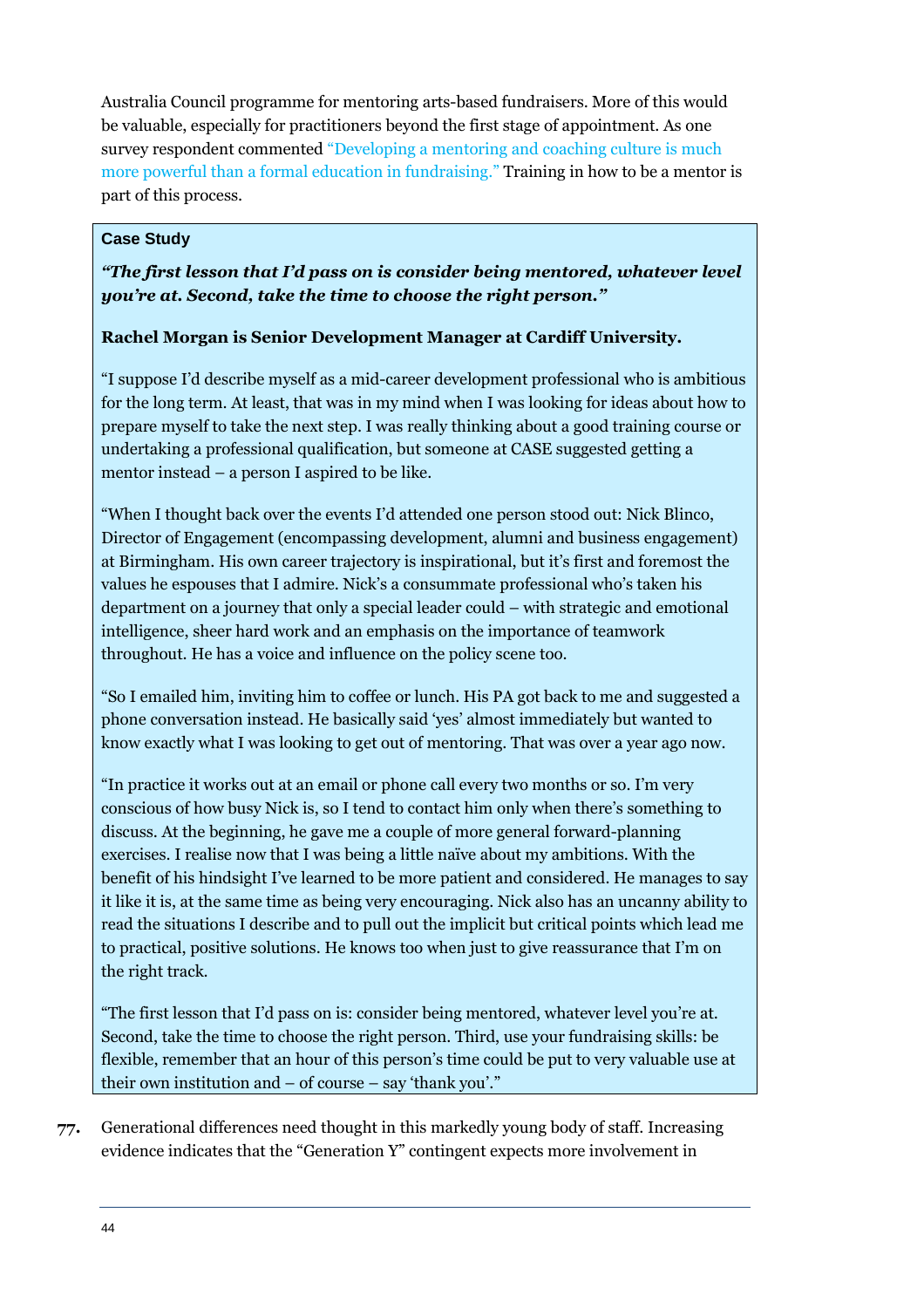Australia Council programme for mentoring arts-based fundraisers. More of this would be valuable, especially for practitioners beyond the first stage of appointment. As one survey respondent commented "Developing a mentoring and coaching culture is much more powerful than a formal education in fundraising." Training in how to be a mentor is part of this process.

#### **Case Study**

#### *"The first lesson that I'd pass on is consider being mentored, whatever level you're at. Second, take the time to choose the right person."*

#### **Rachel Morgan is Senior Development Manager at Cardiff University.**

"I suppose I'd describe myself as a mid-career development professional who is ambitious for the long term. At least, that was in my mind when I was looking for ideas about how to prepare myself to take the next step. I was really thinking about a good training course or undertaking a professional qualification, but someone at CASE suggested getting a mentor instead – a person I aspired to be like.

"When I thought back over the events I'd attended one person stood out: Nick Blinco, Director of Engagement (encompassing development, alumni and business engagement) at Birmingham. His own career trajectory is inspirational, but it's first and foremost the values he espouses that I admire. Nick's a consummate professional who's taken his department on a journey that only a special leader could – with strategic and emotional intelligence, sheer hard work and an emphasis on the importance of teamwork throughout. He has a voice and influence on the policy scene too.

"So I emailed him, inviting him to coffee or lunch. His PA got back to me and suggested a phone conversation instead. He basically said 'yes' almost immediately but wanted to know exactly what I was looking to get out of mentoring. That was over a year ago now.

"In practice it works out at an email or phone call every two months or so. I'm very conscious of how busy Nick is, so I tend to contact him only when there's something to discuss. At the beginning, he gave me a couple of more general forward-planning exercises. I realise now that I was being a little naïve about my ambitions. With the benefit of his hindsight I've learned to be more patient and considered. He manages to say it like it is, at the same time as being very encouraging. Nick also has an uncanny ability to read the situations I describe and to pull out the implicit but critical points which lead me to practical, positive solutions. He knows too when just to give reassurance that I'm on the right track.

"The first lesson that I'd pass on is: consider being mentored, whatever level you're at. Second, take the time to choose the right person. Third, use your fundraising skills: be flexible, remember that an hour of this person's time could be put to very valuable use at their own institution and – of course – say 'thank you'."

**77.** Generational differences need thought in this markedly young body of staff. Increasing evidence indicates that the "Generation Y" contingent expects more involvement in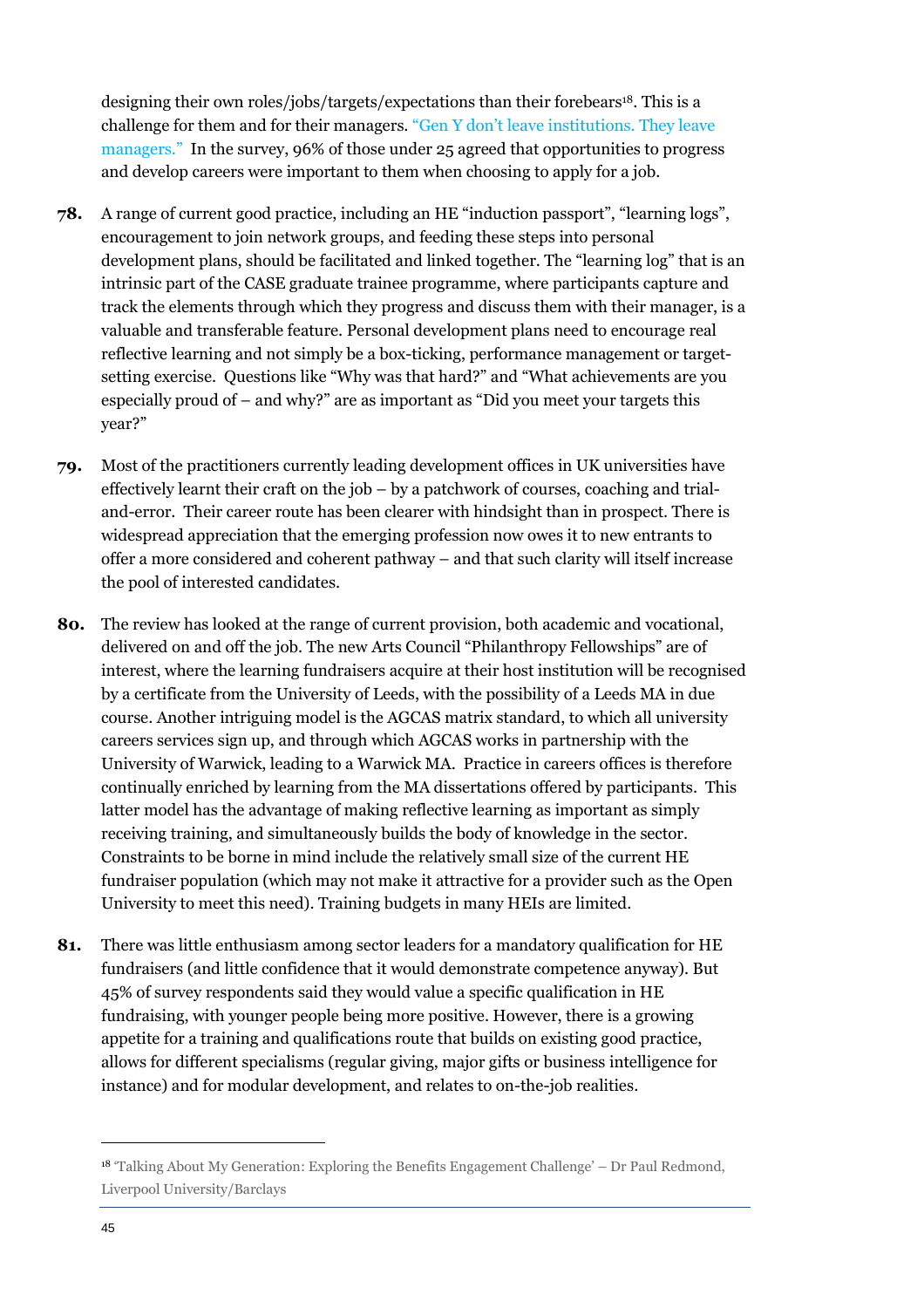designing their own roles/jobs/targets/expectations than their forebears<sup>18</sup>. This is a challenge for them and for their managers. "Gen Y don't leave institutions. They leave managers." In the survey, 96% of those under 25 agreed that opportunities to progress and develop careers were important to them when choosing to apply for a job.

- **78.** A range of current good practice, including an HE "induction passport", "learning logs", encouragement to join network groups, and feeding these steps into personal development plans, should be facilitated and linked together. The "learning log" that is an intrinsic part of the CASE graduate trainee programme, where participants capture and track the elements through which they progress and discuss them with their manager, is a valuable and transferable feature. Personal development plans need to encourage real reflective learning and not simply be a box-ticking, performance management or targetsetting exercise. Questions like "Why was that hard?" and "What achievements are you especially proud of – and why?" are as important as "Did you meet your targets this year?"
- **79.** Most of the practitioners currently leading development offices in UK universities have effectively learnt their craft on the job – by a patchwork of courses, coaching and trialand-error. Their career route has been clearer with hindsight than in prospect. There is widespread appreciation that the emerging profession now owes it to new entrants to offer a more considered and coherent pathway – and that such clarity will itself increase the pool of interested candidates.
- **80.** The review has looked at the range of current provision, both academic and vocational, delivered on and off the job. The new Arts Council "Philanthropy Fellowships" are of interest, where the learning fundraisers acquire at their host institution will be recognised by a certificate from the University of Leeds, with the possibility of a Leeds MA in due course. Another intriguing model is the AGCAS matrix standard, to which all university careers services sign up, and through which AGCAS works in partnership with the University of Warwick, leading to a Warwick MA. Practice in careers offices is therefore continually enriched by learning from the MA dissertations offered by participants. This latter model has the advantage of making reflective learning as important as simply receiving training, and simultaneously builds the body of knowledge in the sector. Constraints to be borne in mind include the relatively small size of the current HE fundraiser population (which may not make it attractive for a provider such as the Open University to meet this need). Training budgets in many HEIs are limited.
- **81.** There was little enthusiasm among sector leaders for a mandatory qualification for HE fundraisers (and little confidence that it would demonstrate competence anyway). But 45% of survey respondents said they would value a specific qualification in HE fundraising, with younger people being more positive. However, there is a growing appetite for a training and qualifications route that builds on existing good practice, allows for different specialisms (regular giving, major gifts or business intelligence for instance) and for modular development, and relates to on-the-job realities.

<sup>18</sup> 'Talking About My Generation: Exploring the Benefits Engagement Challenge' – Dr Paul Redmond, Liverpool University/Barclays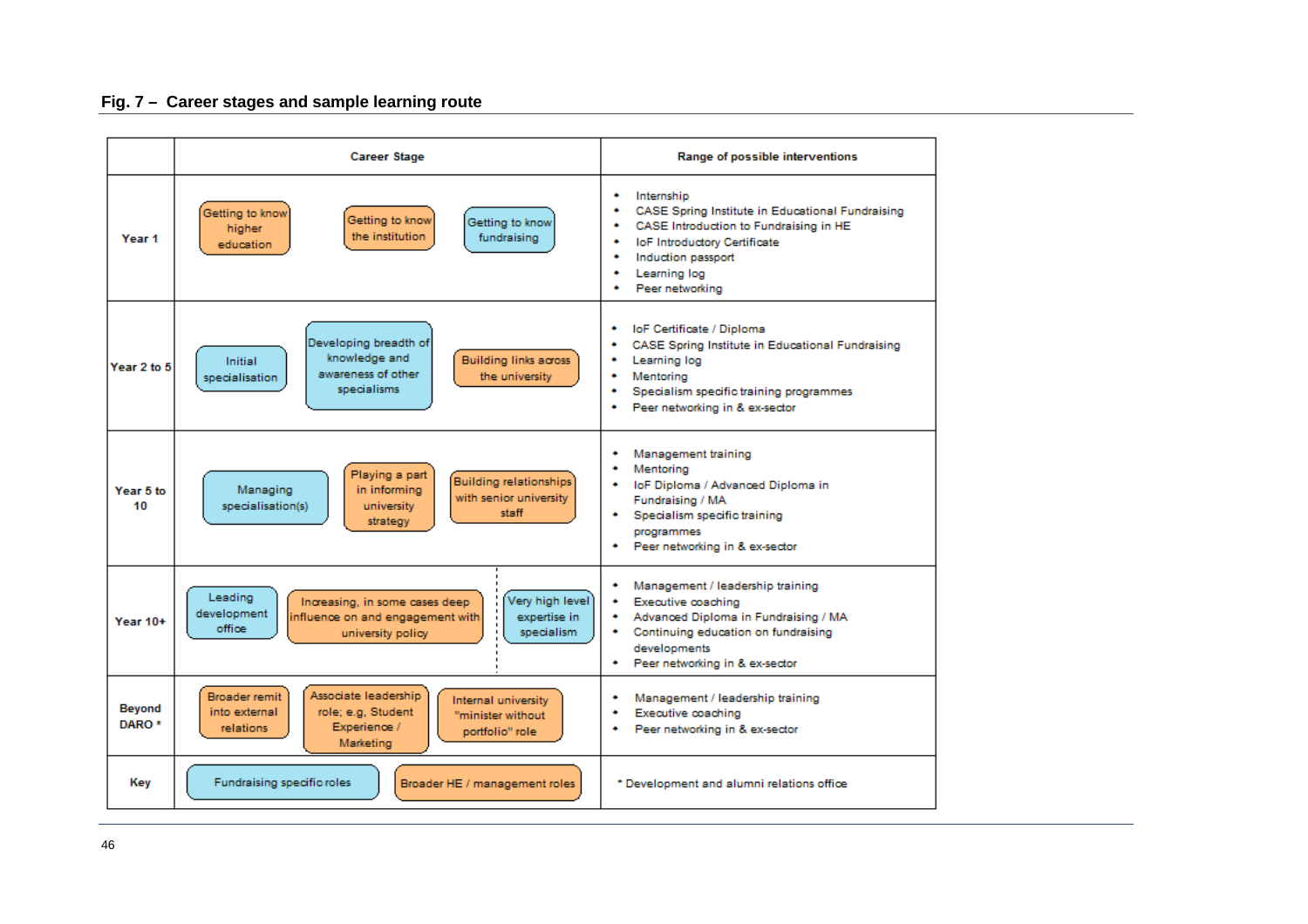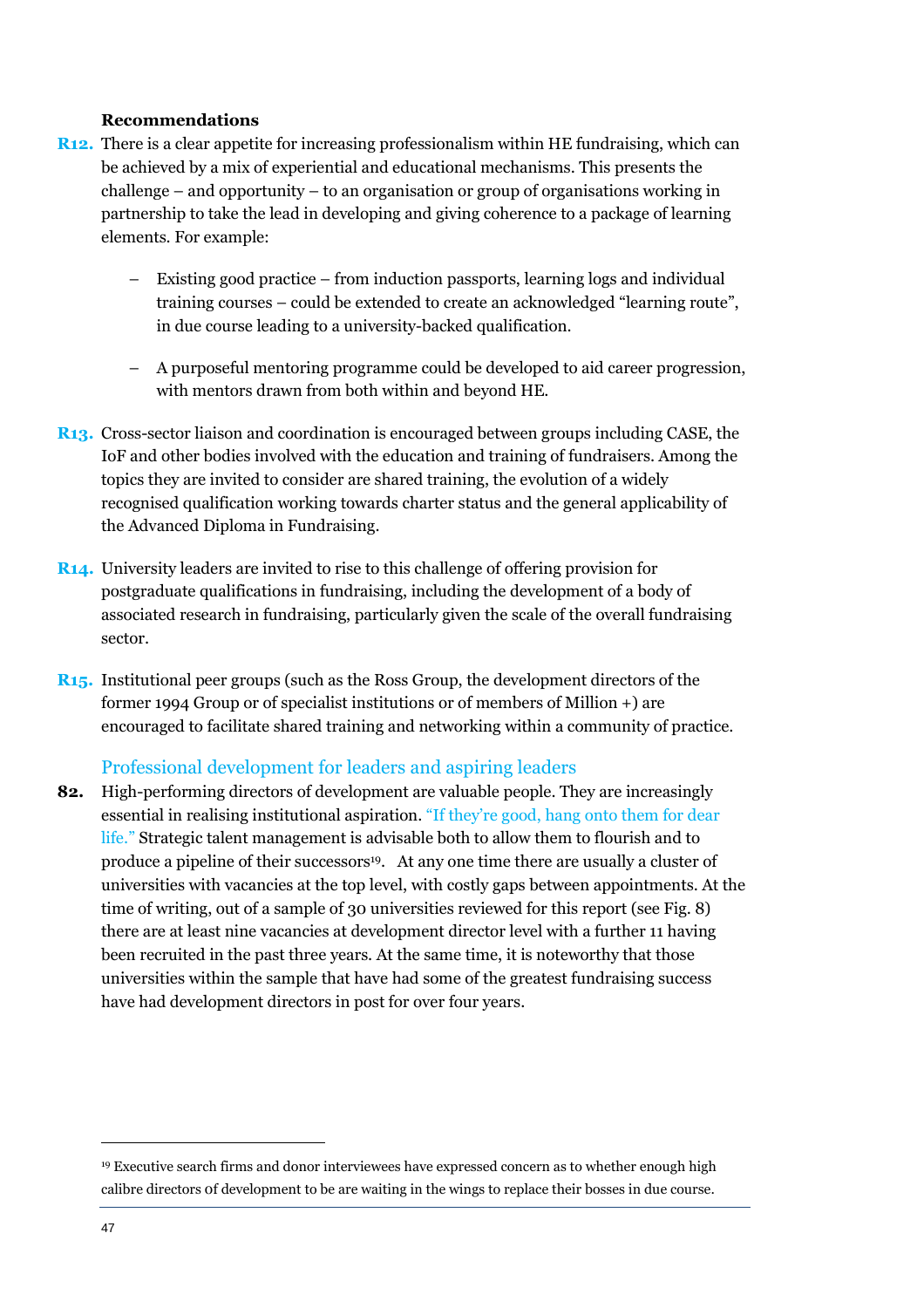#### **Recommendations**

- **R12.** There is a clear appetite for increasing professionalism within HE fundraising, which can be achieved by a mix of experiential and educational mechanisms. This presents the challenge – and opportunity – to an organisation or group of organisations working in partnership to take the lead in developing and giving coherence to a package of learning elements. For example:
	- Existing good practice from induction passports, learning logs and individual training courses – could be extended to create an acknowledged "learning route", in due course leading to a university-backed qualification.
	- A purposeful mentoring programme could be developed to aid career progression, with mentors drawn from both within and beyond HE.
- **R13.** Cross-sector liaison and coordination is encouraged between groups including CASE, the IoF and other bodies involved with the education and training of fundraisers. Among the topics they are invited to consider are shared training, the evolution of a widely recognised qualification working towards charter status and the general applicability of the Advanced Diploma in Fundraising.
- **R14.** University leaders are invited to rise to this challenge of offering provision for postgraduate qualifications in fundraising, including the development of a body of associated research in fundraising, particularly given the scale of the overall fundraising sector.
- **R15.** Institutional peer groups (such as the Ross Group, the development directors of the former 1994 Group or of specialist institutions or of members of Million +) are encouraged to facilitate shared training and networking within a community of practice.

#### Professional development for leaders and aspiring leaders

**82.** High-performing directors of development are valuable people. They are increasingly essential in realising institutional aspiration. "If they're good, hang onto them for dear life." Strategic talent management is advisable both to allow them to flourish and to produce a pipeline of their successors<sup>19</sup>. At any one time there are usually a cluster of universities with vacancies at the top level, with costly gaps between appointments. At the time of writing, out of a sample of 30 universities reviewed for this report (see Fig. 8) there are at least nine vacancies at development director level with a further 11 having been recruited in the past three years. At the same time, it is noteworthy that those universities within the sample that have had some of the greatest fundraising success have had development directors in post for over four years.

<sup>19</sup> Executive search firms and donor interviewees have expressed concern as to whether enough high calibre directors 0f development to be are waiting in the wings to replace their bosses in due course.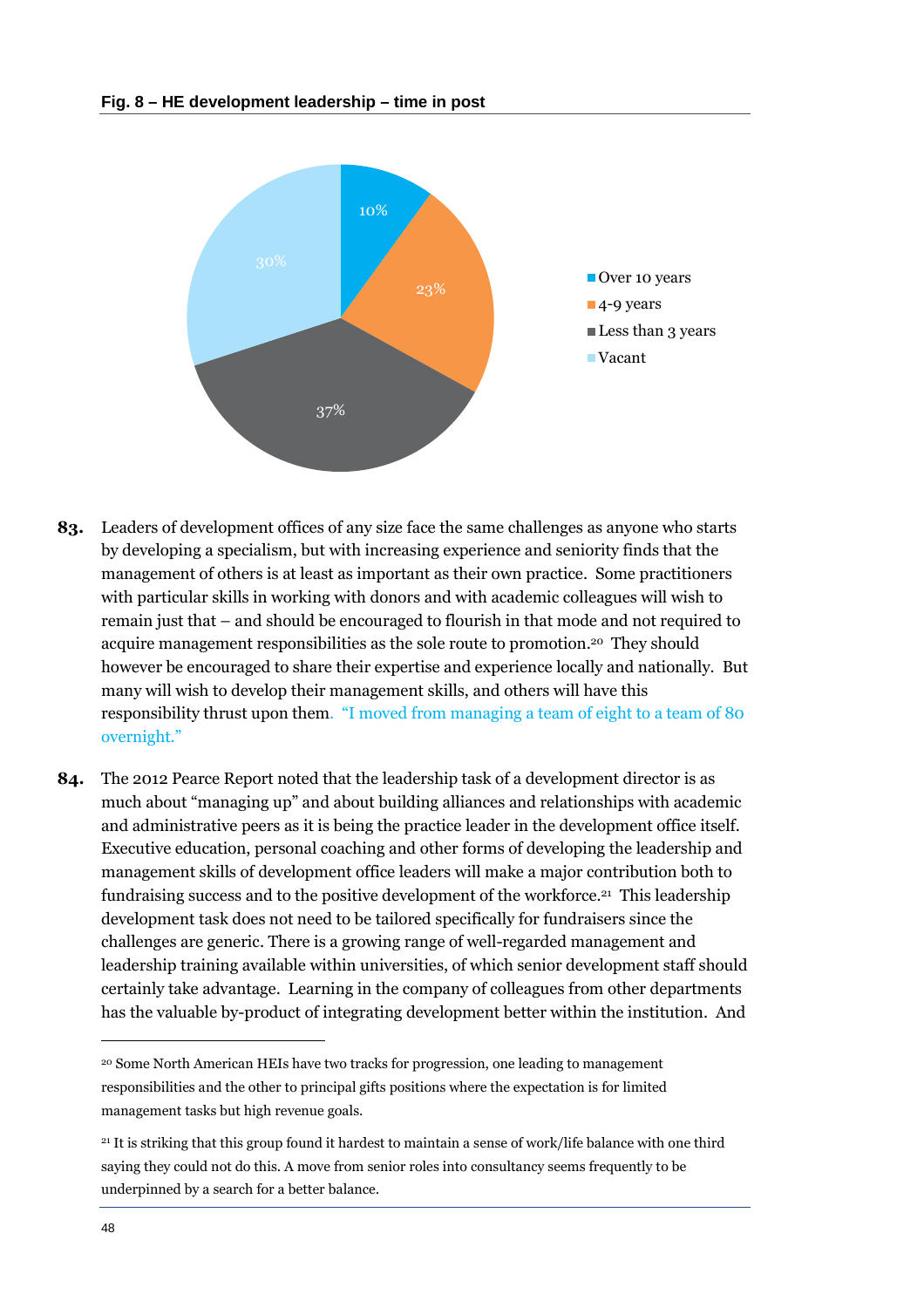

- **83.** Leaders of development offices of any size face the same challenges as anyone who starts by developing a specialism, but with increasing experience and seniority finds that the management of others is at least as important as their own practice. Some practitioners with particular skills in working with donors and with academic colleagues will wish to remain just that – and should be encouraged to flourish in that mode and not required to acquire management responsibilities as the sole route to promotion.<sup>20</sup> They should however be encouraged to share their expertise and experience locally and nationally. But many will wish to develop their management skills, and others will have this responsibility thrust upon them. "I moved from managing a team of eight to a team of 80 overnight."
- **84.** The 2012 Pearce Report noted that the leadership task of a development director is as much about "managing up" and about building alliances and relationships with academic and administrative peers as it is being the practice leader in the development office itself. Executive education, personal coaching and other forms of developing the leadership and management skills of development office leaders will make a major contribution both to fundraising success and to the positive development of the workforce.<sup>21</sup> This leadership development task does not need to be tailored specifically for fundraisers since the challenges are generic. There is a growing range of well-regarded management and leadership training available within universities, of which senior development staff should certainly take advantage. Learning in the company of colleagues from other departments has the valuable by-product of integrating development better within the institution. And

<sup>20</sup> Some North American HEIs have two tracks for progression, one leading to management responsibilities and the other to principal gifts positions where the expectation is for limited management tasks but high revenue goals.

<sup>21</sup> It is striking that this group found it hardest to maintain a sense of work/life balance with one third saying they could not do this. A move from senior roles into consultancy seems frequently to be underpinned by a search for a better balance.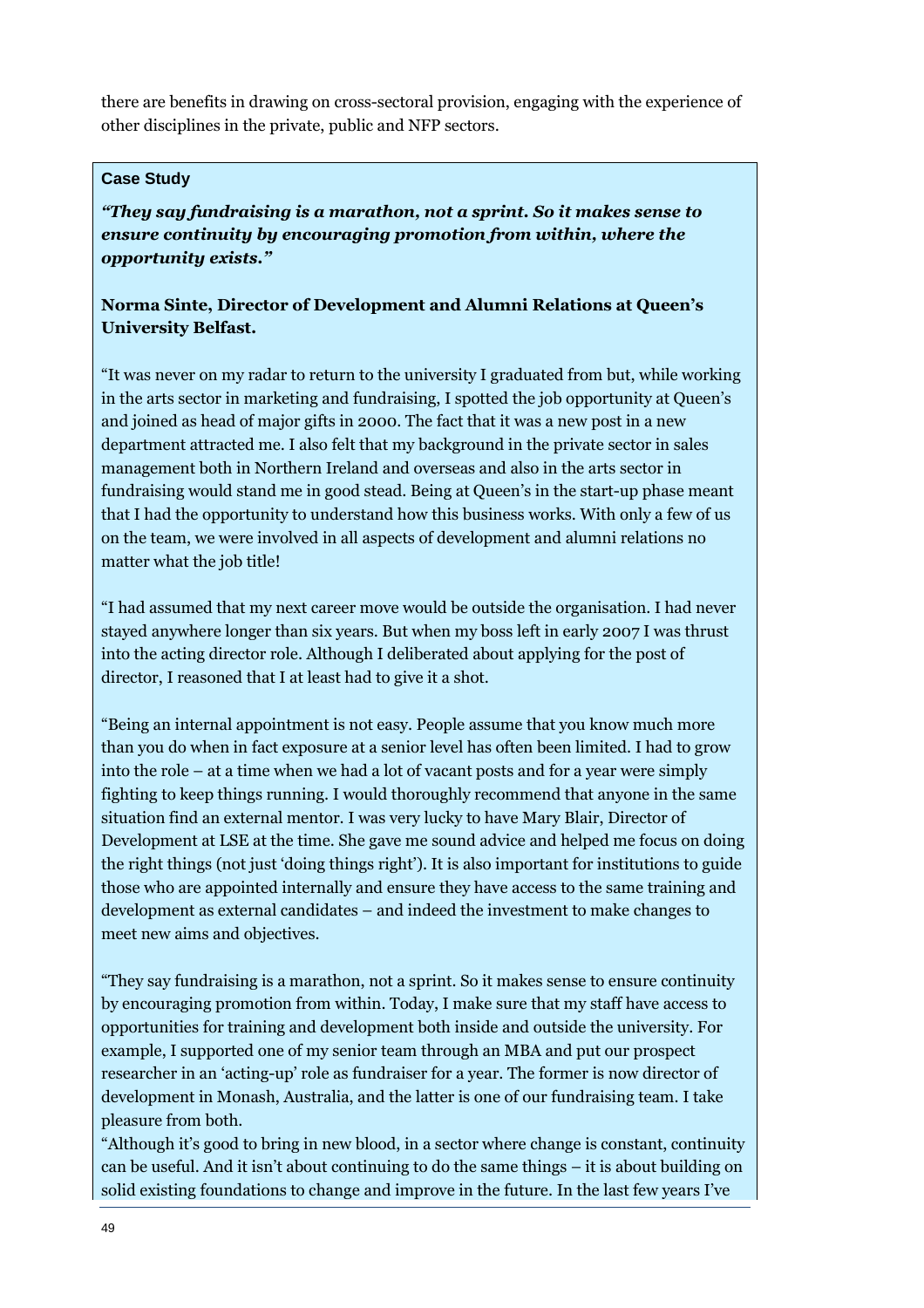there are benefits in drawing on cross-sectoral provision, engaging with the experience of other disciplines in the private, public and NFP sectors.

#### **Case Study**

*"They say fundraising is a marathon, not a sprint. So it makes sense to ensure continuity by encouraging promotion from within, where the opportunity exists."* 

#### **Norma Sinte, Director of Development and Alumni Relations at Queen's University Belfast.**

"It was never on my radar to return to the university I graduated from but, while working in the arts sector in marketing and fundraising, I spotted the job opportunity at Queen's and joined as head of major gifts in 2000. The fact that it was a new post in a new department attracted me. I also felt that my background in the private sector in sales management both in Northern Ireland and overseas and also in the arts sector in fundraising would stand me in good stead. Being at Queen's in the start-up phase meant that I had the opportunity to understand how this business works. With only a few of us on the team, we were involved in all aspects of development and alumni relations no matter what the job title!

"I had assumed that my next career move would be outside the organisation. I had never stayed anywhere longer than six years. But when my boss left in early 2007 I was thrust into the acting director role. Although I deliberated about applying for the post of director, I reasoned that I at least had to give it a shot.

"Being an internal appointment is not easy. People assume that you know much more than you do when in fact exposure at a senior level has often been limited. I had to grow into the role – at a time when we had a lot of vacant posts and for a year were simply fighting to keep things running. I would thoroughly recommend that anyone in the same situation find an external mentor. I was very lucky to have Mary Blair, Director of Development at LSE at the time. She gave me sound advice and helped me focus on doing the right things (not just 'doing things right'). It is also important for institutions to guide those who are appointed internally and ensure they have access to the same training and development as external candidates – and indeed the investment to make changes to meet new aims and objectives.

"They say fundraising is a marathon, not a sprint. So it makes sense to ensure continuity by encouraging promotion from within. Today, I make sure that my staff have access to opportunities for training and development both inside and outside the university. For example, I supported one of my senior team through an MBA and put our prospect researcher in an 'acting-up' role as fundraiser for a year. The former is now director of development in Monash, Australia, and the latter is one of our fundraising team. I take pleasure from both.

"Although it's good to bring in new blood, in a sector where change is constant, continuity can be useful. And it isn't about continuing to do the same things – it is about building on solid existing foundations to change and improve in the future. In the last few years I've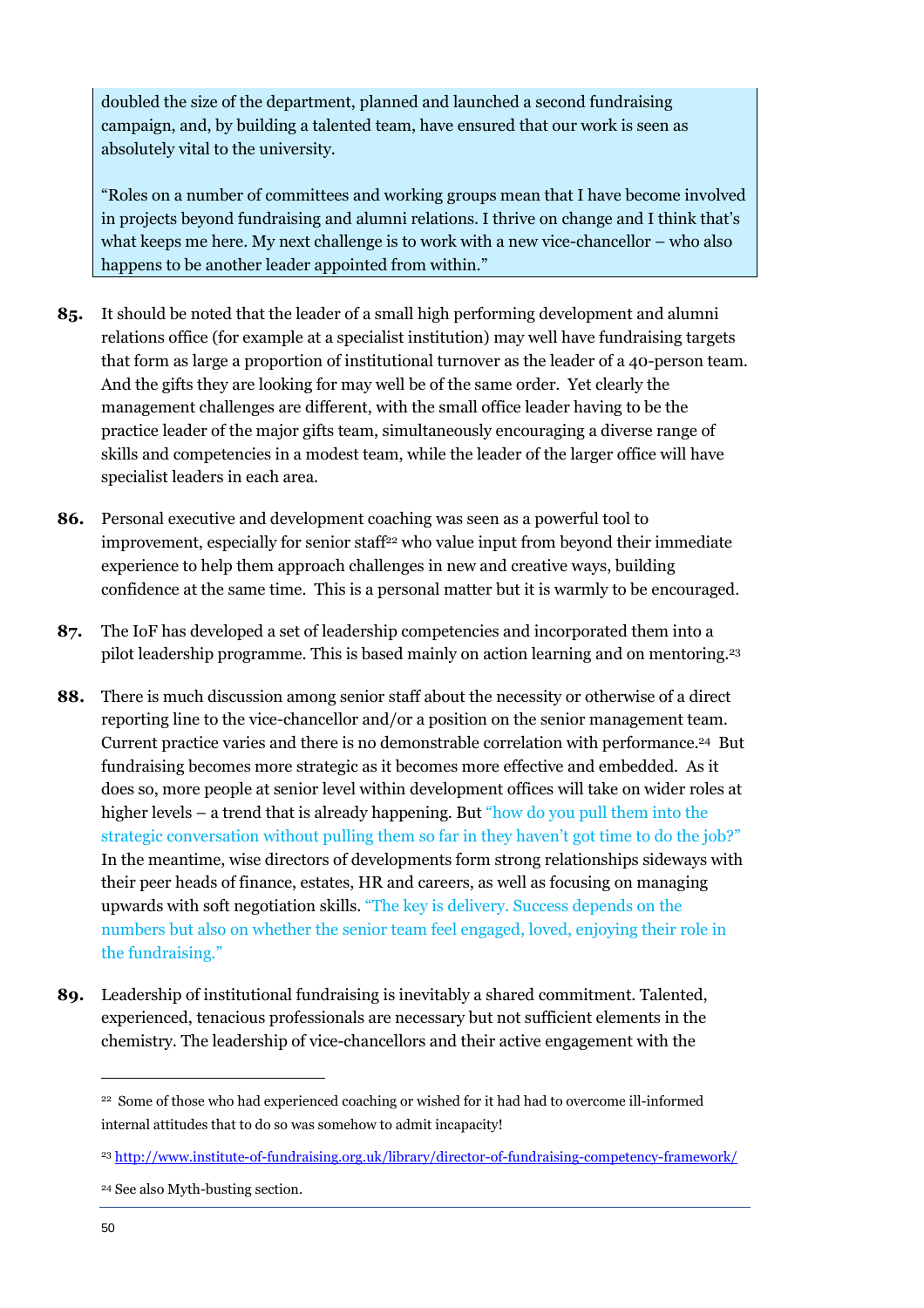doubled the size of the department, planned and launched a second fundraising campaign, and, by building a talented team, have ensured that our work is seen as absolutely vital to the university.

"Roles on a number of committees and working groups mean that I have become involved in projects beyond fundraising and alumni relations. I thrive on change and I think that's what keeps me here. My next challenge is to work with a new vice-chancellor – who also happens to be another leader appointed from within."

- **85.** It should be noted that the leader of a small high performing development and alumni relations office (for example at a specialist institution) may well have fundraising targets that form as large a proportion of institutional turnover as the leader of a 40-person team. And the gifts they are looking for may well be of the same order. Yet clearly the management challenges are different, with the small office leader having to be the practice leader of the major gifts team, simultaneously encouraging a diverse range of skills and competencies in a modest team, while the leader of the larger office will have specialist leaders in each area.
- **86.** Personal executive and development coaching was seen as a powerful tool to improvement, especially for senior staff<sup>22</sup> who value input from beyond their immediate experience to help them approach challenges in new and creative ways, building confidence at the same time. This is a personal matter but it is warmly to be encouraged.
- **87.** The IoF has developed a set of leadership competencies and incorporated them into a pilot leadership programme. This is based mainly on action learning and on mentoring.<sup>23</sup>
- **88.** There is much discussion among senior staff about the necessity or otherwise of a direct reporting line to the vice-chancellor and/or a position on the senior management team. Current practice varies and there is no demonstrable correlation with performance.<sup>24</sup> But fundraising becomes more strategic as it becomes more effective and embedded. As it does so, more people at senior level within development offices will take on wider roles at higher levels – a trend that is already happening. But "how do you pull them into the strategic conversation without pulling them so far in they haven't got time to do the job?" In the meantime, wise directors of developments form strong relationships sideways with their peer heads of finance, estates, HR and careers, as well as focusing on managing upwards with soft negotiation skills. "The key is delivery. Success depends on the numbers but also on whether the senior team feel engaged, loved, enjoying their role in the fundraising."
- **89.** Leadership of institutional fundraising is inevitably a shared commitment. Talented, experienced, tenacious professionals are necessary but not sufficient elements in the chemistry. The leadership of vice-chancellors and their active engagement with the

<sup>22</sup> Some of those who had experienced coaching or wished for it had had to overcome ill-informed internal attitudes that to do so was somehow to admit incapacity!

<sup>23</sup> http://www.institute-of-fundraising.org.uk/library/director-of-fundraising-competency-framework/

<sup>24</sup> See also Myth-busting section.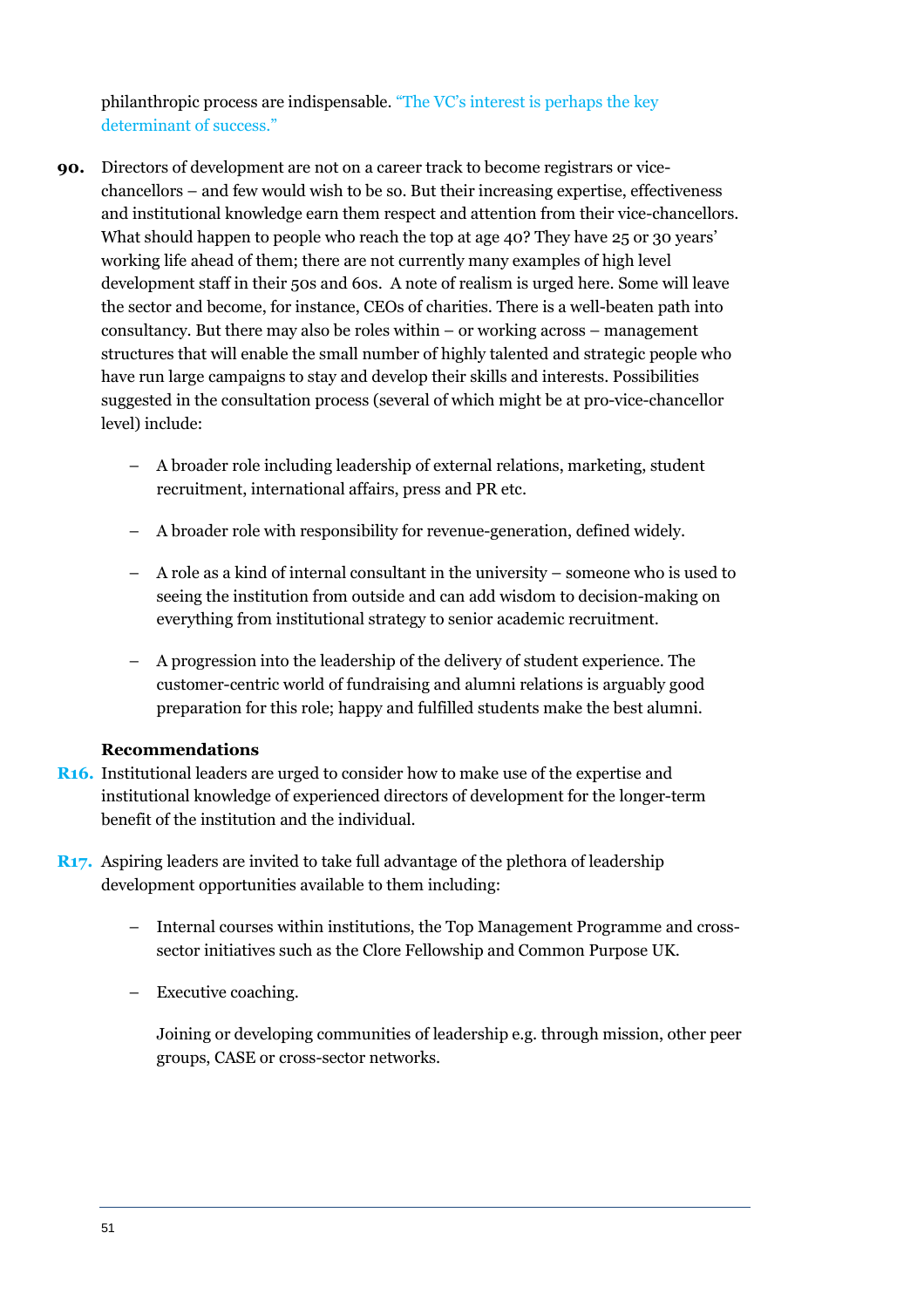philanthropic process are indispensable. "The VC's interest is perhaps the key determinant of success."

- **90.** Directors of development are not on a career track to become registrars or vicechancellors – and few would wish to be so. But their increasing expertise, effectiveness and institutional knowledge earn them respect and attention from their vice-chancellors. What should happen to people who reach the top at age 40? They have 25 or 30 years' working life ahead of them; there are not currently many examples of high level development staff in their 50s and 60s. A note of realism is urged here. Some will leave the sector and become, for instance, CEOs of charities. There is a well-beaten path into consultancy. But there may also be roles within – or working across – management structures that will enable the small number of highly talented and strategic people who have run large campaigns to stay and develop their skills and interests. Possibilities suggested in the consultation process (several of which might be at pro-vice-chancellor level) include:
	- A broader role including leadership of external relations, marketing, student recruitment, international affairs, press and PR etc.
	- A broader role with responsibility for revenue-generation, defined widely.
	- A role as a kind of internal consultant in the university someone who is used to seeing the institution from outside and can add wisdom to decision-making on everything from institutional strategy to senior academic recruitment.
	- A progression into the leadership of the delivery of student experience. The customer-centric world of fundraising and alumni relations is arguably good preparation for this role; happy and fulfilled students make the best alumni.

#### **Recommendations**

- **R16.** Institutional leaders are urged to consider how to make use of the expertise and institutional knowledge of experienced directors of development for the longer-term benefit of the institution and the individual.
- **R17.** Aspiring leaders are invited to take full advantage of the plethora of leadership development opportunities available to them including:
	- Internal courses within institutions, the Top Management Programme and crosssector initiatives such as the Clore Fellowship and Common Purpose UK.
	- Executive coaching.
		- Joining or developing communities of leadership e.g. through mission, other peer groups, CASE or cross-sector networks.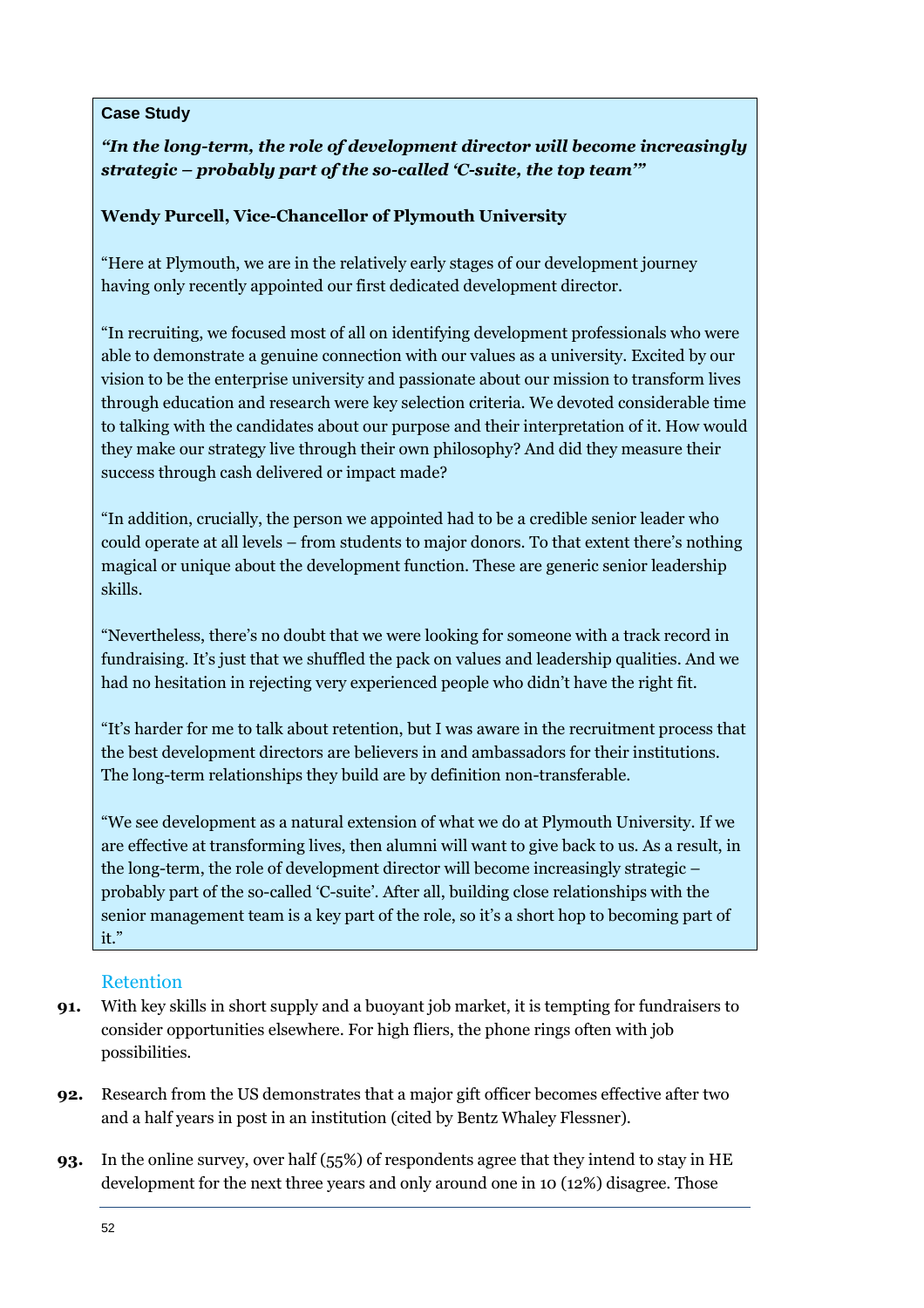#### **Case Study**

#### *"In the long-term, the role of development director will become increasingly strategic – probably part of the so-called 'C-suite, the top team'"*

#### **Wendy Purcell, Vice-Chancellor of Plymouth University**

"Here at Plymouth, we are in the relatively early stages of our development journey having only recently appointed our first dedicated development director.

"In recruiting, we focused most of all on identifying development professionals who were able to demonstrate a genuine connection with our values as a university. Excited by our vision to be the enterprise university and passionate about our mission to transform lives through education and research were key selection criteria. We devoted considerable time to talking with the candidates about our purpose and their interpretation of it. How would they make our strategy live through their own philosophy? And did they measure their success through cash delivered or impact made?

"In addition, crucially, the person we appointed had to be a credible senior leader who could operate at all levels – from students to major donors. To that extent there's nothing magical or unique about the development function. These are generic senior leadership skills.

"Nevertheless, there's no doubt that we were looking for someone with a track record in fundraising. It's just that we shuffled the pack on values and leadership qualities. And we had no hesitation in rejecting very experienced people who didn't have the right fit.

"It's harder for me to talk about retention, but I was aware in the recruitment process that the best development directors are believers in and ambassadors for their institutions. The long-term relationships they build are by definition non-transferable.

"We see development as a natural extension of what we do at Plymouth University. If we are effective at transforming lives, then alumni will want to give back to us. As a result, in the long-term, the role of development director will become increasingly strategic – probably part of the so-called 'C-suite'. After all, building close relationships with the senior management team is a key part of the role, so it's a short hop to becoming part of it."

#### Retention

- **91.** With key skills in short supply and a buoyant job market, it is tempting for fundraisers to consider opportunities elsewhere. For high fliers, the phone rings often with job possibilities.
- **92.** Research from the US demonstrates that a major gift officer becomes effective after two and a half years in post in an institution (cited by Bentz Whaley Flessner).
- **93.** In the online survey, over half (55%) of respondents agree that they intend to stay in HE development for the next three years and only around one in 10 (12%) disagree. Those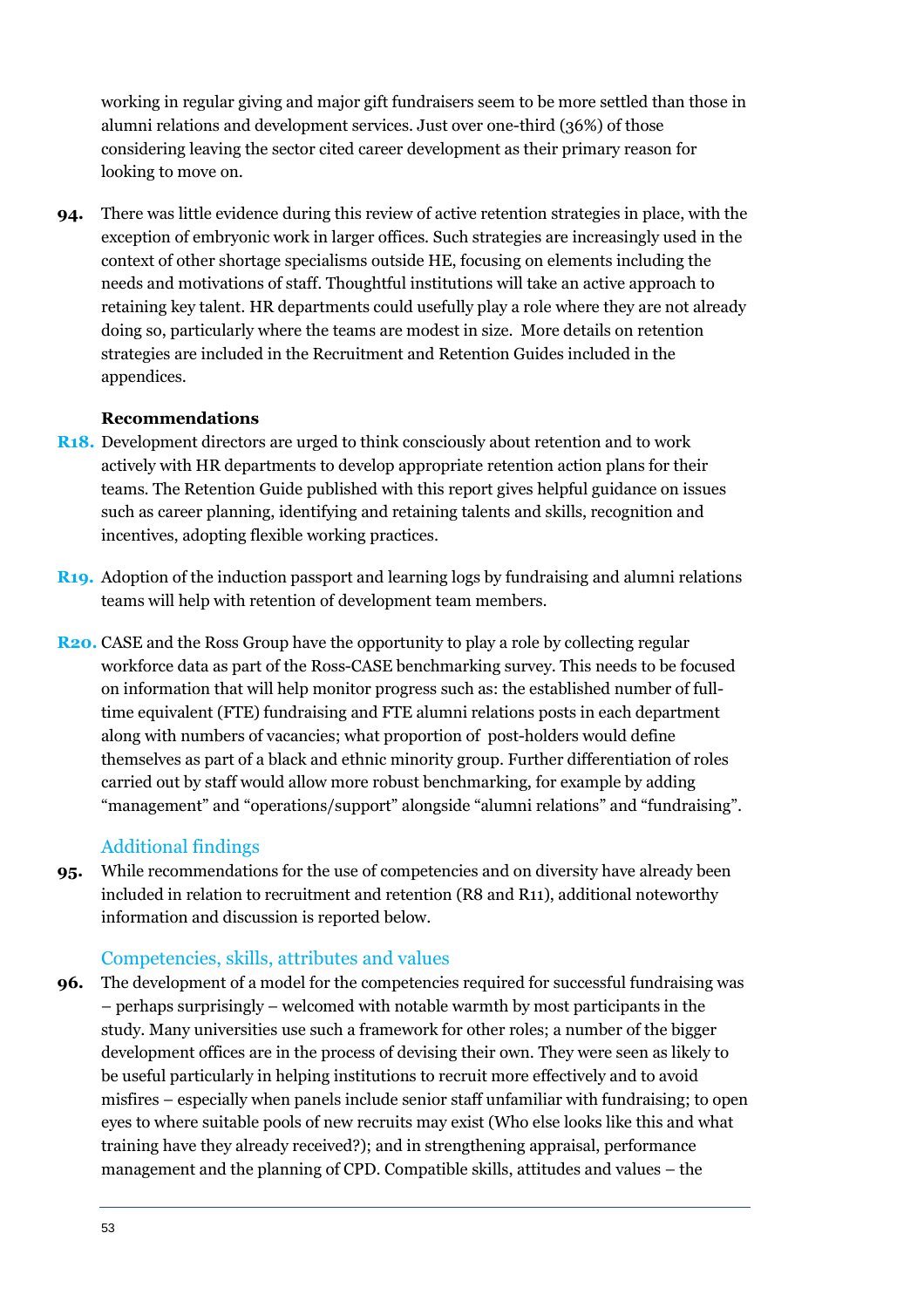working in regular giving and major gift fundraisers seem to be more settled than those in alumni relations and development services. Just over one-third (36%) of those considering leaving the sector cited career development as their primary reason for looking to move on.

**94.** There was little evidence during this review of active retention strategies in place, with the exception of embryonic work in larger offices. Such strategies are increasingly used in the context of other shortage specialisms outside HE, focusing on elements including the needs and motivations of staff. Thoughtful institutions will take an active approach to retaining key talent. HR departments could usefully play a role where they are not already doing so, particularly where the teams are modest in size. More details on retention strategies are included in the Recruitment and Retention Guides included in the appendices.

#### **Recommendations**

- **R18.** Development directors are urged to think consciously about retention and to work actively with HR departments to develop appropriate retention action plans for their teams. The Retention Guide published with this report gives helpful guidance on issues such as career planning, identifying and retaining talents and skills, recognition and incentives, adopting flexible working practices.
- **R19.** Adoption of the induction passport and learning logs by fundraising and alumni relations teams will help with retention of development team members.
- **R20.** CASE and the Ross Group have the opportunity to play a role by collecting regular workforce data as part of the Ross-CASE benchmarking survey. This needs to be focused on information that will help monitor progress such as: the established number of fulltime equivalent (FTE) fundraising and FTE alumni relations posts in each department along with numbers of vacancies; what proportion of post-holders would define themselves as part of a black and ethnic minority group. Further differentiation of roles carried out by staff would allow more robust benchmarking, for example by adding "management" and "operations/support" alongside "alumni relations" and "fundraising".

#### Additional findings

**95.** While recommendations for the use of competencies and on diversity have already been included in relation to recruitment and retention (R8 and R11), additional noteworthy information and discussion is reported below.

#### Competencies, skills, attributes and values

**96.** The development of a model for the competencies required for successful fundraising was – perhaps surprisingly – welcomed with notable warmth by most participants in the study. Many universities use such a framework for other roles; a number of the bigger development offices are in the process of devising their own. They were seen as likely to be useful particularly in helping institutions to recruit more effectively and to avoid misfires – especially when panels include senior staff unfamiliar with fundraising; to open eyes to where suitable pools of new recruits may exist (Who else looks like this and what training have they already received?); and in strengthening appraisal, performance management and the planning of CPD. Compatible skills, attitudes and values – the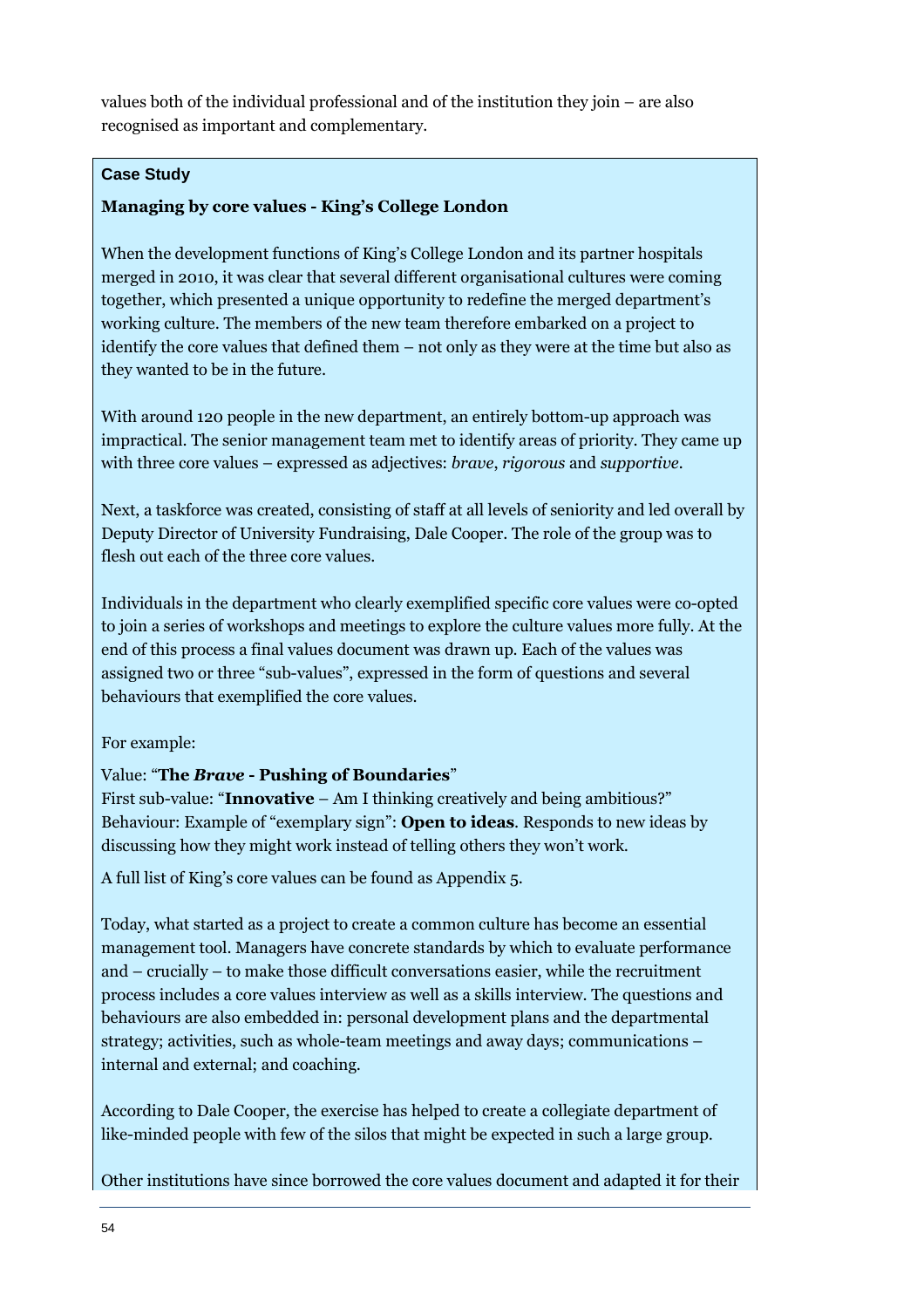values both of the individual professional and of the institution they join – are also recognised as important and complementary.

#### **Case Study**

#### **Managing by core values - King's College London**

When the development functions of King's College London and its partner hospitals merged in 2010, it was clear that several different organisational cultures were coming together, which presented a unique opportunity to redefine the merged department's working culture. The members of the new team therefore embarked on a project to identify the core values that defined them – not only as they were at the time but also as they wanted to be in the future.

With around 120 people in the new department, an entirely bottom-up approach was impractical. The senior management team met to identify areas of priority. They came up with three core values – expressed as adjectives: *brave*, *rigorous* and *supportive.* 

Next, a taskforce was created, consisting of staff at all levels of seniority and led overall by Deputy Director of University Fundraising, Dale Cooper. The role of the group was to flesh out each of the three core values.

Individuals in the department who clearly exemplified specific core values were co-opted to join a series of workshops and meetings to explore the culture values more fully. At the end of this process a final values document was drawn up. Each of the values was assigned two or three "sub-values", expressed in the form of questions and several behaviours that exemplified the core values.

#### For example:

#### Value: "**The** *Brave* **- Pushing of Boundaries**"

First sub-value: "**Innovative** – Am I thinking creatively and being ambitious?" Behaviour: Example of "exemplary sign": **Open to ideas**. Responds to new ideas by discussing how they might work instead of telling others they won't work.

A full list of King's core values can be found as Appendix 5.

Today, what started as a project to create a common culture has become an essential management tool. Managers have concrete standards by which to evaluate performance and – crucially – to make those difficult conversations easier, while the recruitment process includes a core values interview as well as a skills interview. The questions and behaviours are also embedded in: personal development plans and the departmental strategy; activities, such as whole-team meetings and away days; communications – internal and external; and coaching.

According to Dale Cooper, the exercise has helped to create a collegiate department of like-minded people with few of the silos that might be expected in such a large group.

Other institutions have since borrowed the core values document and adapted it for their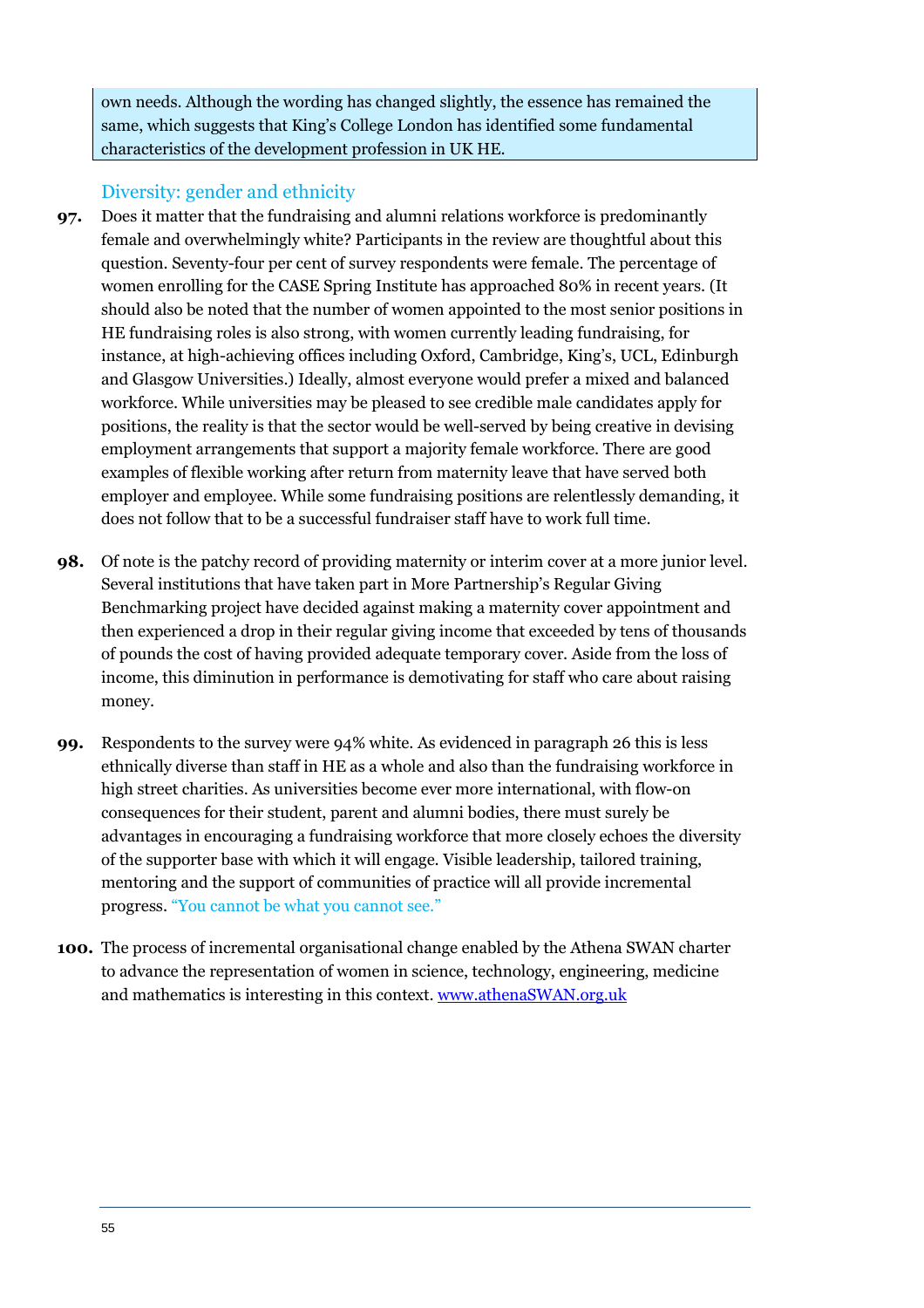own needs. Although the wording has changed slightly, the essence has remained the same, which suggests that King's College London has identified some fundamental characteristics of the development profession in UK HE.

#### Diversity: gender and ethnicity

- **97.** Does it matter that the fundraising and alumni relations workforce is predominantly female and overwhelmingly white? Participants in the review are thoughtful about this question. Seventy-four per cent of survey respondents were female. The percentage of women enrolling for the CASE Spring Institute has approached 80% in recent years. (It should also be noted that the number of women appointed to the most senior positions in HE fundraising roles is also strong, with women currently leading fundraising, for instance, at high-achieving offices including Oxford, Cambridge, King's, UCL, Edinburgh and Glasgow Universities.) Ideally, almost everyone would prefer a mixed and balanced workforce. While universities may be pleased to see credible male candidates apply for positions, the reality is that the sector would be well-served by being creative in devising employment arrangements that support a majority female workforce. There are good examples of flexible working after return from maternity leave that have served both employer and employee. While some fundraising positions are relentlessly demanding, it does not follow that to be a successful fundraiser staff have to work full time.
- **98.** Of note is the patchy record of providing maternity or interim cover at a more junior level. Several institutions that have taken part in More Partnership's Regular Giving Benchmarking project have decided against making a maternity cover appointment and then experienced a drop in their regular giving income that exceeded by tens of thousands of pounds the cost of having provided adequate temporary cover. Aside from the loss of income, this diminution in performance is demotivating for staff who care about raising money.
- **99.** Respondents to the survey were 94% white. As evidenced in paragraph 26 this is less ethnically diverse than staff in HE as a whole and also than the fundraising workforce in high street charities. As universities become ever more international, with flow-on consequences for their student, parent and alumni bodies, there must surely be advantages in encouraging a fundraising workforce that more closely echoes the diversity of the supporter base with which it will engage. Visible leadership, tailored training, mentoring and the support of communities of practice will all provide incremental progress. "You cannot be what you cannot see."
- **100.** The process of incremental organisational change enabled by the Athena SWAN charter to advance the representation of women in science, technology, engineering, medicine and mathematics is interesting in this context. www.athenaSWAN.org.uk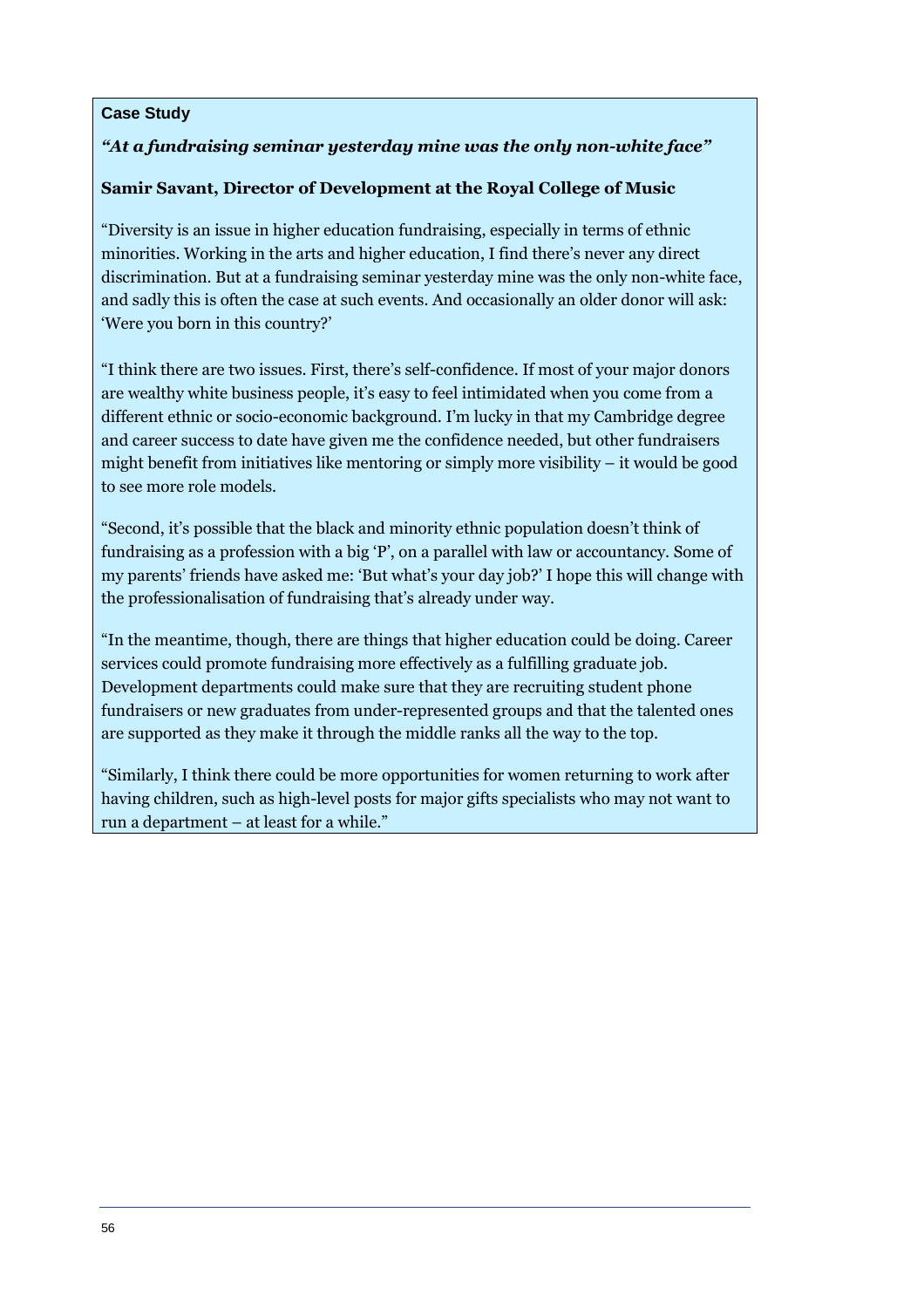#### **Case Study**

#### *"At a fundraising seminar yesterday mine was the only non-white face"*

#### **Samir Savant, Director of Development at the Royal College of Music**

"Diversity is an issue in higher education fundraising, especially in terms of ethnic minorities. Working in the arts and higher education, I find there's never any direct discrimination. But at a fundraising seminar yesterday mine was the only non-white face, and sadly this is often the case at such events. And occasionally an older donor will ask: 'Were you born in this country?'

"I think there are two issues. First, there's self-confidence. If most of your major donors are wealthy white business people, it's easy to feel intimidated when you come from a different ethnic or socio-economic background. I'm lucky in that my Cambridge degree and career success to date have given me the confidence needed, but other fundraisers might benefit from initiatives like mentoring or simply more visibility – it would be good to see more role models.

"Second, it's possible that the black and minority ethnic population doesn't think of fundraising as a profession with a big 'P', on a parallel with law or accountancy. Some of my parents' friends have asked me: 'But what's your day job?' I hope this will change with the professionalisation of fundraising that's already under way.

"In the meantime, though, there are things that higher education could be doing. Career services could promote fundraising more effectively as a fulfilling graduate job. Development departments could make sure that they are recruiting student phone fundraisers or new graduates from under-represented groups and that the talented ones are supported as they make it through the middle ranks all the way to the top.

"Similarly, I think there could be more opportunities for women returning to work after having children, such as high-level posts for major gifts specialists who may not want to run a department – at least for a while."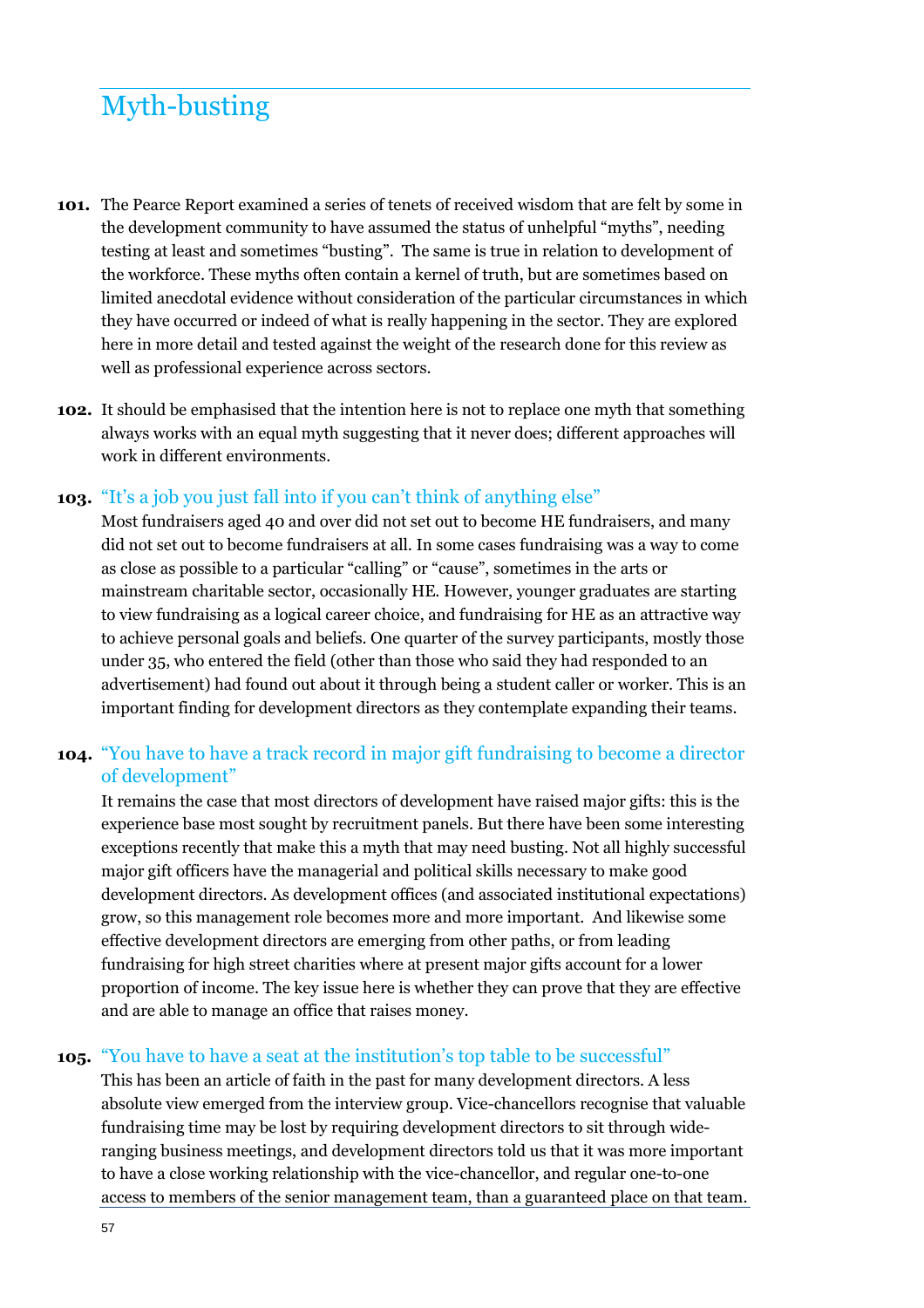## Myth-busting

- **101.** The Pearce Report examined a series of tenets of received wisdom that are felt by some in the development community to have assumed the status of unhelpful "myths", needing testing at least and sometimes "busting". The same is true in relation to development of the workforce. These myths often contain a kernel of truth, but are sometimes based on limited anecdotal evidence without consideration of the particular circumstances in which they have occurred or indeed of what is really happening in the sector. They are explored here in more detail and tested against the weight of the research done for this review as well as professional experience across sectors.
- **102.** It should be emphasised that the intention here is not to replace one myth that something always works with an equal myth suggesting that it never does; different approaches will work in different environments.

#### **103.** "It's a job you just fall into if you can't think of anything else"

Most fundraisers aged 40 and over did not set out to become HE fundraisers, and many did not set out to become fundraisers at all. In some cases fundraising was a way to come as close as possible to a particular "calling" or "cause", sometimes in the arts or mainstream charitable sector, occasionally HE. However, younger graduates are starting to view fundraising as a logical career choice, and fundraising for HE as an attractive way to achieve personal goals and beliefs. One quarter of the survey participants, mostly those under 35, who entered the field (other than those who said they had responded to an advertisement) had found out about it through being a student caller or worker. This is an important finding for development directors as they contemplate expanding their teams.

#### **104.** "You have to have a track record in major gift fundraising to become a director of development"

It remains the case that most directors of development have raised major gifts: this is the experience base most sought by recruitment panels. But there have been some interesting exceptions recently that make this a myth that may need busting. Not all highly successful major gift officers have the managerial and political skills necessary to make good development directors. As development offices (and associated institutional expectations) grow, so this management role becomes more and more important. And likewise some effective development directors are emerging from other paths, or from leading fundraising for high street charities where at present major gifts account for a lower proportion of income. The key issue here is whether they can prove that they are effective and are able to manage an office that raises money.

#### **105.** "You have to have a seat at the institution's top table to be successful"

This has been an article of faith in the past for many development directors. A less absolute view emerged from the interview group. Vice-chancellors recognise that valuable fundraising time may be lost by requiring development directors to sit through wideranging business meetings, and development directors told us that it was more important to have a close working relationship with the vice-chancellor, and regular one-to-one access to members of the senior management team, than a guaranteed place on that team.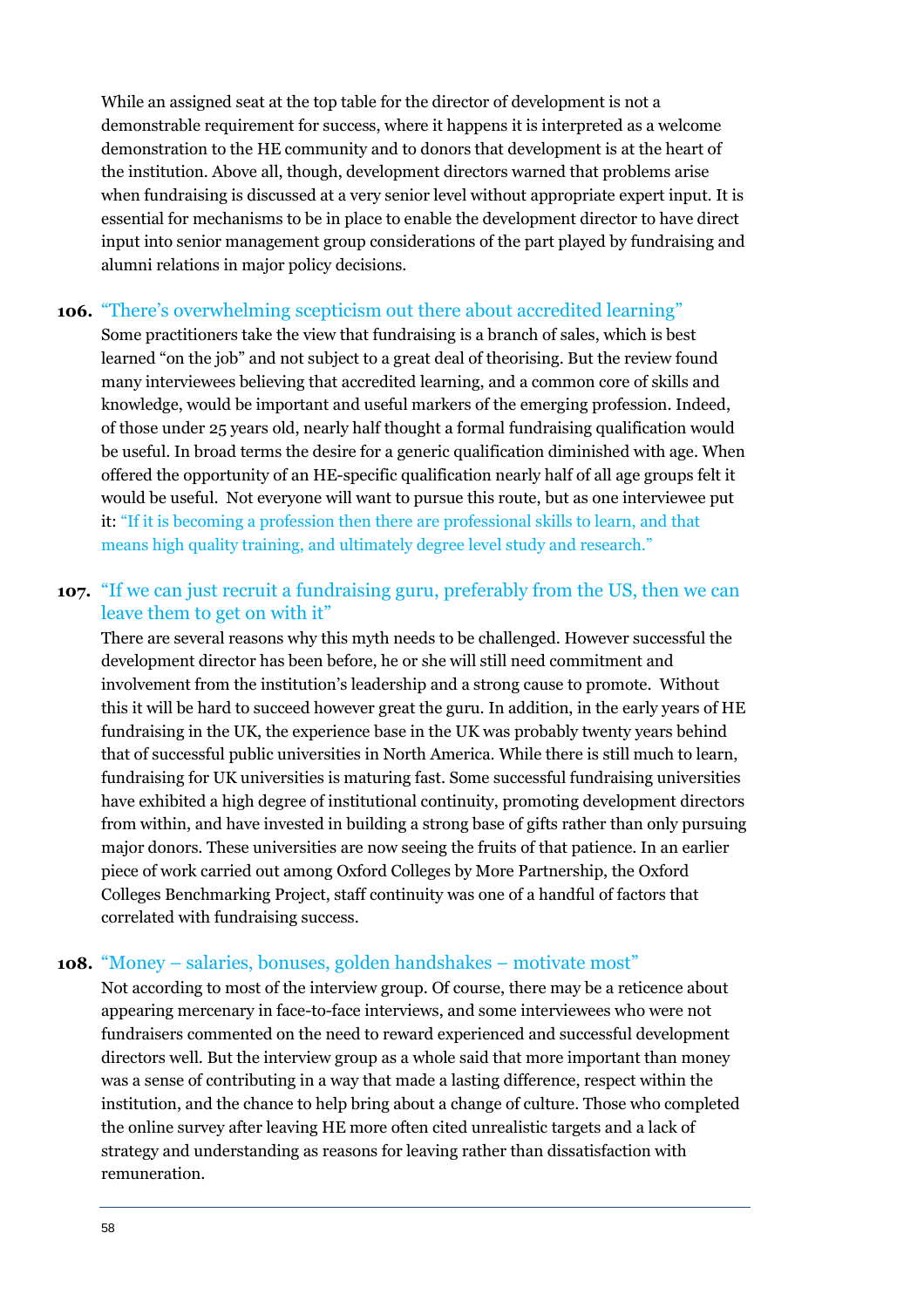While an assigned seat at the top table for the director of development is not a demonstrable requirement for success, where it happens it is interpreted as a welcome demonstration to the HE community and to donors that development is at the heart of the institution. Above all, though, development directors warned that problems arise when fundraising is discussed at a very senior level without appropriate expert input. It is essential for mechanisms to be in place to enable the development director to have direct input into senior management group considerations of the part played by fundraising and alumni relations in major policy decisions.

#### **106.** "There's overwhelming scepticism out there about accredited learning"

Some practitioners take the view that fundraising is a branch of sales, which is best learned "on the job" and not subject to a great deal of theorising. But the review found many interviewees believing that accredited learning, and a common core of skills and knowledge, would be important and useful markers of the emerging profession. Indeed, of those under 25 years old, nearly half thought a formal fundraising qualification would be useful. In broad terms the desire for a generic qualification diminished with age. When offered the opportunity of an HE-specific qualification nearly half of all age groups felt it would be useful. Not everyone will want to pursue this route, but as one interviewee put it: "If it is becoming a profession then there are professional skills to learn, and that means high quality training, and ultimately degree level study and research."

#### **107.** "If we can just recruit a fundraising guru, preferably from the US, then we can leave them to get on with it"

There are several reasons why this myth needs to be challenged. However successful the development director has been before, he or she will still need commitment and involvement from the institution's leadership and a strong cause to promote. Without this it will be hard to succeed however great the guru. In addition, in the early years of HE fundraising in the UK, the experience base in the UK was probably twenty years behind that of successful public universities in North America. While there is still much to learn, fundraising for UK universities is maturing fast. Some successful fundraising universities have exhibited a high degree of institutional continuity, promoting development directors from within, and have invested in building a strong base of gifts rather than only pursuing major donors. These universities are now seeing the fruits of that patience. In an earlier piece of work carried out among Oxford Colleges by More Partnership, the Oxford Colleges Benchmarking Project, staff continuity was one of a handful of factors that correlated with fundraising success.

#### **108.** "Money – salaries, bonuses, golden handshakes – motivate most"

Not according to most of the interview group. Of course, there may be a reticence about appearing mercenary in face-to-face interviews, and some interviewees who were not fundraisers commented on the need to reward experienced and successful development directors well. But the interview group as a whole said that more important than money was a sense of contributing in a way that made a lasting difference, respect within the institution, and the chance to help bring about a change of culture. Those who completed the online survey after leaving HE more often cited unrealistic targets and a lack of strategy and understanding as reasons for leaving rather than dissatisfaction with remuneration.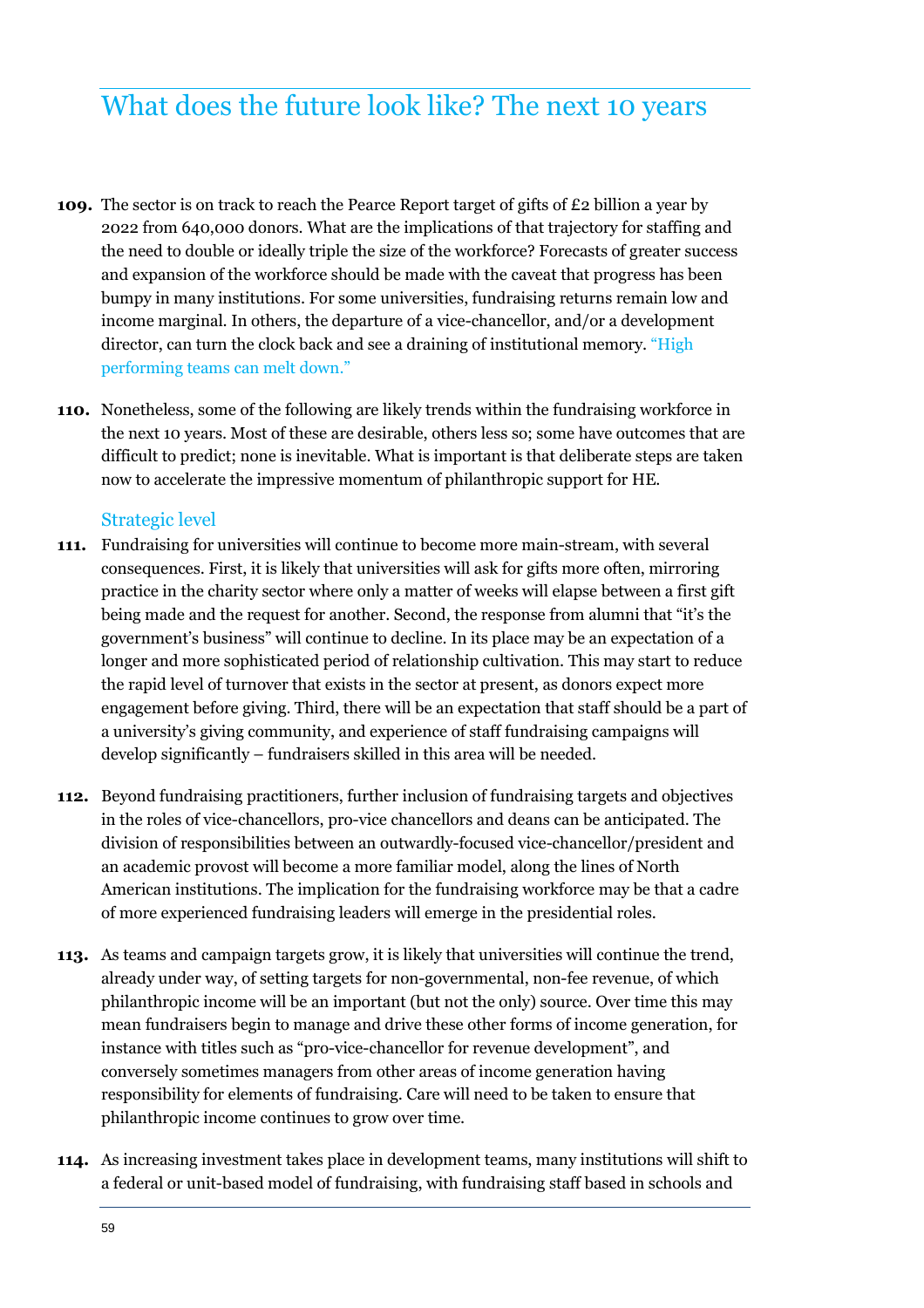## What does the future look like? The next 10 years

- **109.** The sector is on track to reach the Pearce Report target of gifts of £2 billion a year by 2022 from 640,000 donors. What are the implications of that trajectory for staffing and the need to double or ideally triple the size of the workforce? Forecasts of greater success and expansion of the workforce should be made with the caveat that progress has been bumpy in many institutions. For some universities, fundraising returns remain low and income marginal. In others, the departure of a vice-chancellor, and/or a development director, can turn the clock back and see a draining of institutional memory. "High performing teams can melt down."
- **110.** Nonetheless, some of the following are likely trends within the fundraising workforce in the next 10 years. Most of these are desirable, others less so; some have outcomes that are difficult to predict; none is inevitable. What is important is that deliberate steps are taken now to accelerate the impressive momentum of philanthropic support for HE.

#### Strategic level

- **111.** Fundraising for universities will continue to become more main-stream, with several consequences. First, it is likely that universities will ask for gifts more often, mirroring practice in the charity sector where only a matter of weeks will elapse between a first gift being made and the request for another. Second, the response from alumni that "it's the government's business" will continue to decline. In its place may be an expectation of a longer and more sophisticated period of relationship cultivation. This may start to reduce the rapid level of turnover that exists in the sector at present, as donors expect more engagement before giving. Third, there will be an expectation that staff should be a part of a university's giving community, and experience of staff fundraising campaigns will develop significantly – fundraisers skilled in this area will be needed.
- **112.** Beyond fundraising practitioners, further inclusion of fundraising targets and objectives in the roles of vice-chancellors, pro-vice chancellors and deans can be anticipated. The division of responsibilities between an outwardly-focused vice-chancellor/president and an academic provost will become a more familiar model, along the lines of North American institutions. The implication for the fundraising workforce may be that a cadre of more experienced fundraising leaders will emerge in the presidential roles.
- **113.** As teams and campaign targets grow, it is likely that universities will continue the trend, already under way, of setting targets for non-governmental, non-fee revenue, of which philanthropic income will be an important (but not the only) source. Over time this may mean fundraisers begin to manage and drive these other forms of income generation, for instance with titles such as "pro-vice-chancellor for revenue development", and conversely sometimes managers from other areas of income generation having responsibility for elements of fundraising. Care will need to be taken to ensure that philanthropic income continues to grow over time.
- **114.** As increasing investment takes place in development teams, many institutions will shift to a federal or unit-based model of fundraising, with fundraising staff based in schools and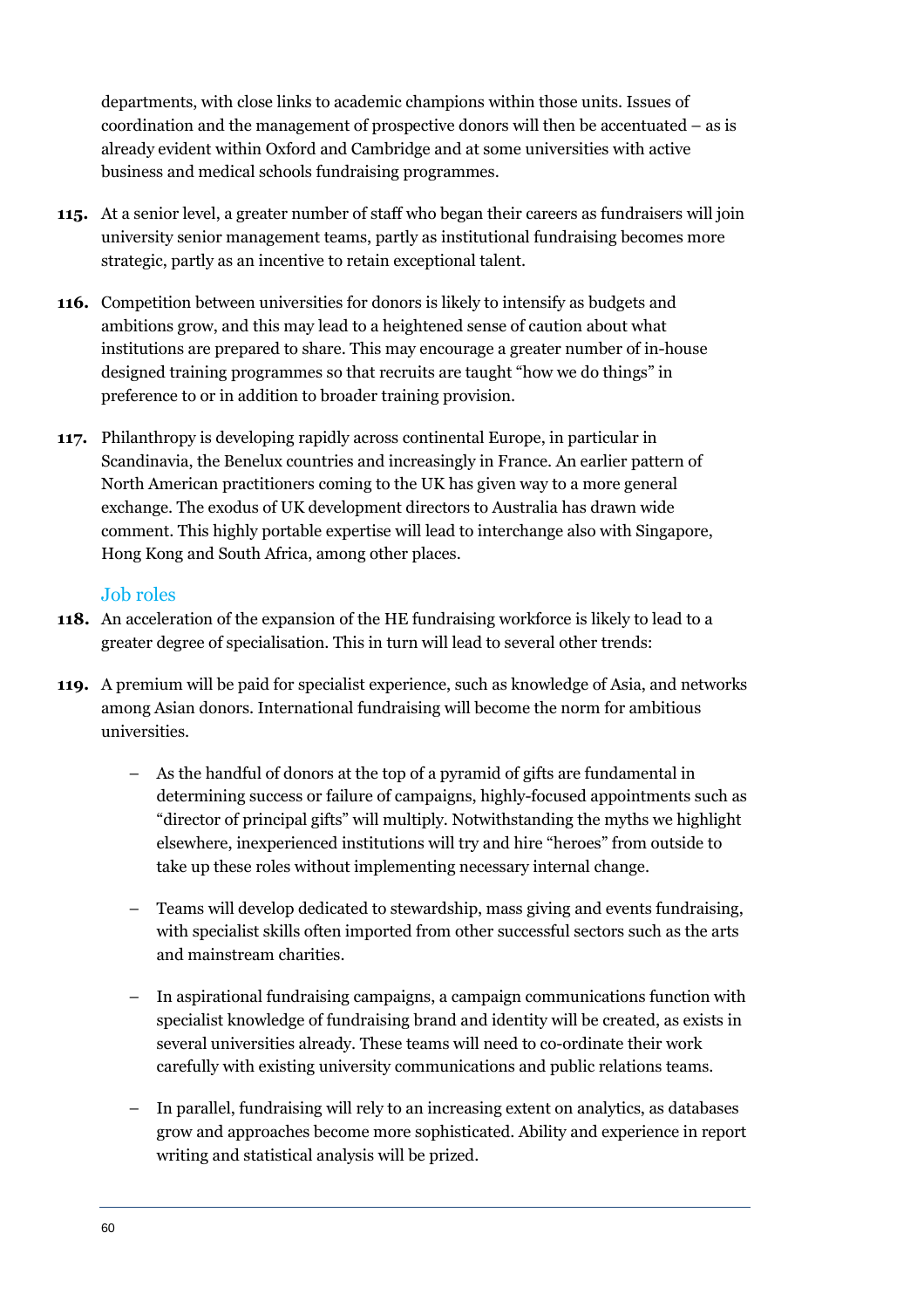departments, with close links to academic champions within those units. Issues of coordination and the management of prospective donors will then be accentuated – as is already evident within Oxford and Cambridge and at some universities with active business and medical schools fundraising programmes.

- **115.** At a senior level, a greater number of staff who began their careers as fundraisers will join university senior management teams, partly as institutional fundraising becomes more strategic, partly as an incentive to retain exceptional talent.
- **116.** Competition between universities for donors is likely to intensify as budgets and ambitions grow, and this may lead to a heightened sense of caution about what institutions are prepared to share. This may encourage a greater number of in-house designed training programmes so that recruits are taught "how we do things" in preference to or in addition to broader training provision.
- **117.** Philanthropy is developing rapidly across continental Europe, in particular in Scandinavia, the Benelux countries and increasingly in France. An earlier pattern of North American practitioners coming to the UK has given way to a more general exchange. The exodus of UK development directors to Australia has drawn wide comment. This highly portable expertise will lead to interchange also with Singapore, Hong Kong and South Africa, among other places.

#### Job roles

- **118.** An acceleration of the expansion of the HE fundraising workforce is likely to lead to a greater degree of specialisation. This in turn will lead to several other trends:
- **119.** A premium will be paid for specialist experience, such as knowledge of Asia, and networks among Asian donors. International fundraising will become the norm for ambitious universities.
	- As the handful of donors at the top of a pyramid of gifts are fundamental in determining success or failure of campaigns, highly-focused appointments such as "director of principal gifts" will multiply. Notwithstanding the myths we highlight elsewhere, inexperienced institutions will try and hire "heroes" from outside to take up these roles without implementing necessary internal change.
	- Teams will develop dedicated to stewardship, mass giving and events fundraising, with specialist skills often imported from other successful sectors such as the arts and mainstream charities.
	- In aspirational fundraising campaigns, a campaign communications function with specialist knowledge of fundraising brand and identity will be created, as exists in several universities already. These teams will need to co-ordinate their work carefully with existing university communications and public relations teams.
	- In parallel, fundraising will rely to an increasing extent on analytics, as databases grow and approaches become more sophisticated. Ability and experience in report writing and statistical analysis will be prized.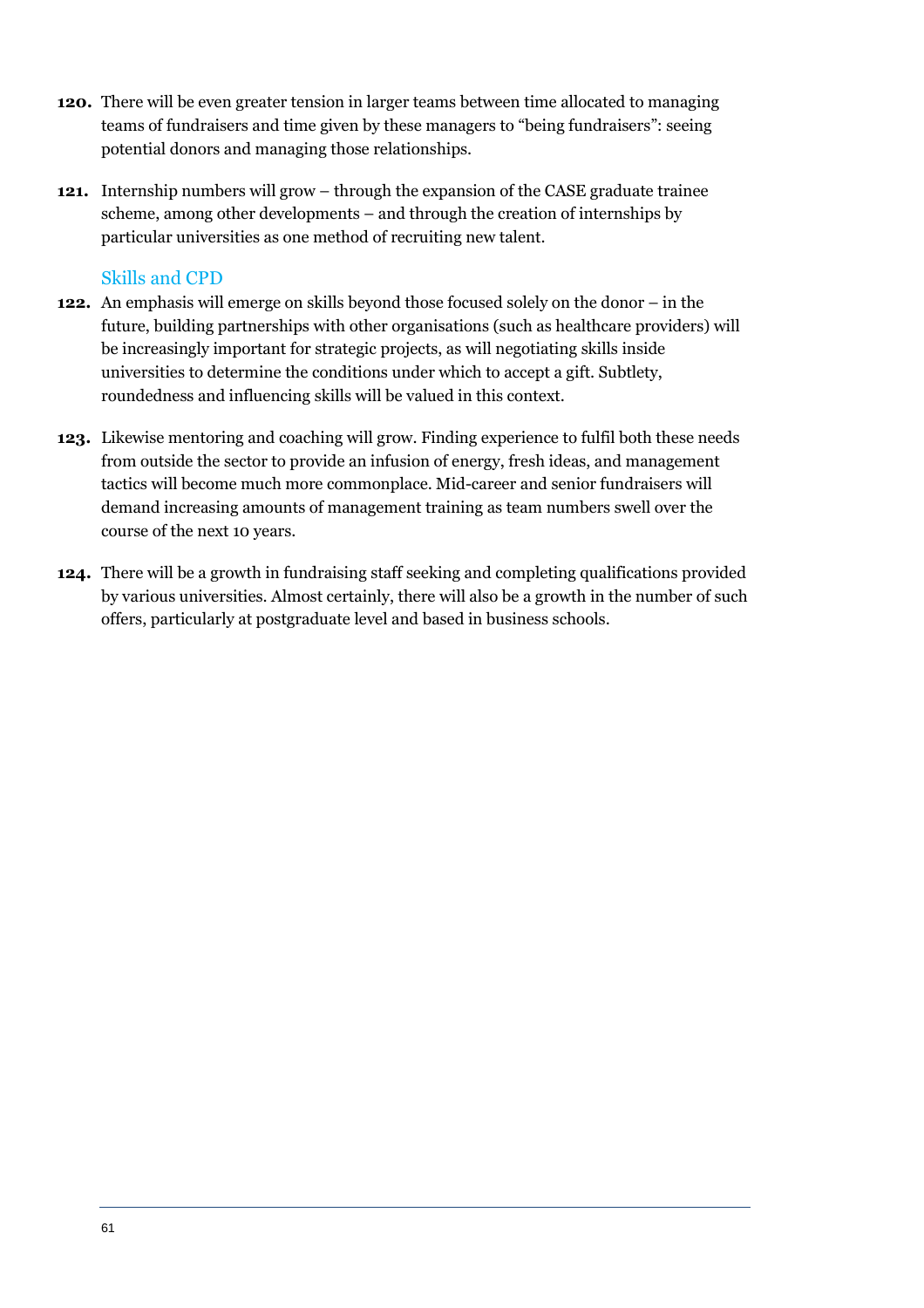- **120.** There will be even greater tension in larger teams between time allocated to managing teams of fundraisers and time given by these managers to "being fundraisers": seeing potential donors and managing those relationships.
- **121.** Internship numbers will grow through the expansion of the CASE graduate trainee scheme, among other developments – and through the creation of internships by particular universities as one method of recruiting new talent.

#### Skills and CPD

- **122.** An emphasis will emerge on skills beyond those focused solely on the donor in the future, building partnerships with other organisations (such as healthcare providers) will be increasingly important for strategic projects, as will negotiating skills inside universities to determine the conditions under which to accept a gift. Subtlety, roundedness and influencing skills will be valued in this context.
- **123.** Likewise mentoring and coaching will grow. Finding experience to fulfil both these needs from outside the sector to provide an infusion of energy, fresh ideas, and management tactics will become much more commonplace. Mid-career and senior fundraisers will demand increasing amounts of management training as team numbers swell over the course of the next 10 years.
- **124.** There will be a growth in fundraising staff seeking and completing qualifications provided by various universities. Almost certainly, there will also be a growth in the number of such offers, particularly at postgraduate level and based in business schools.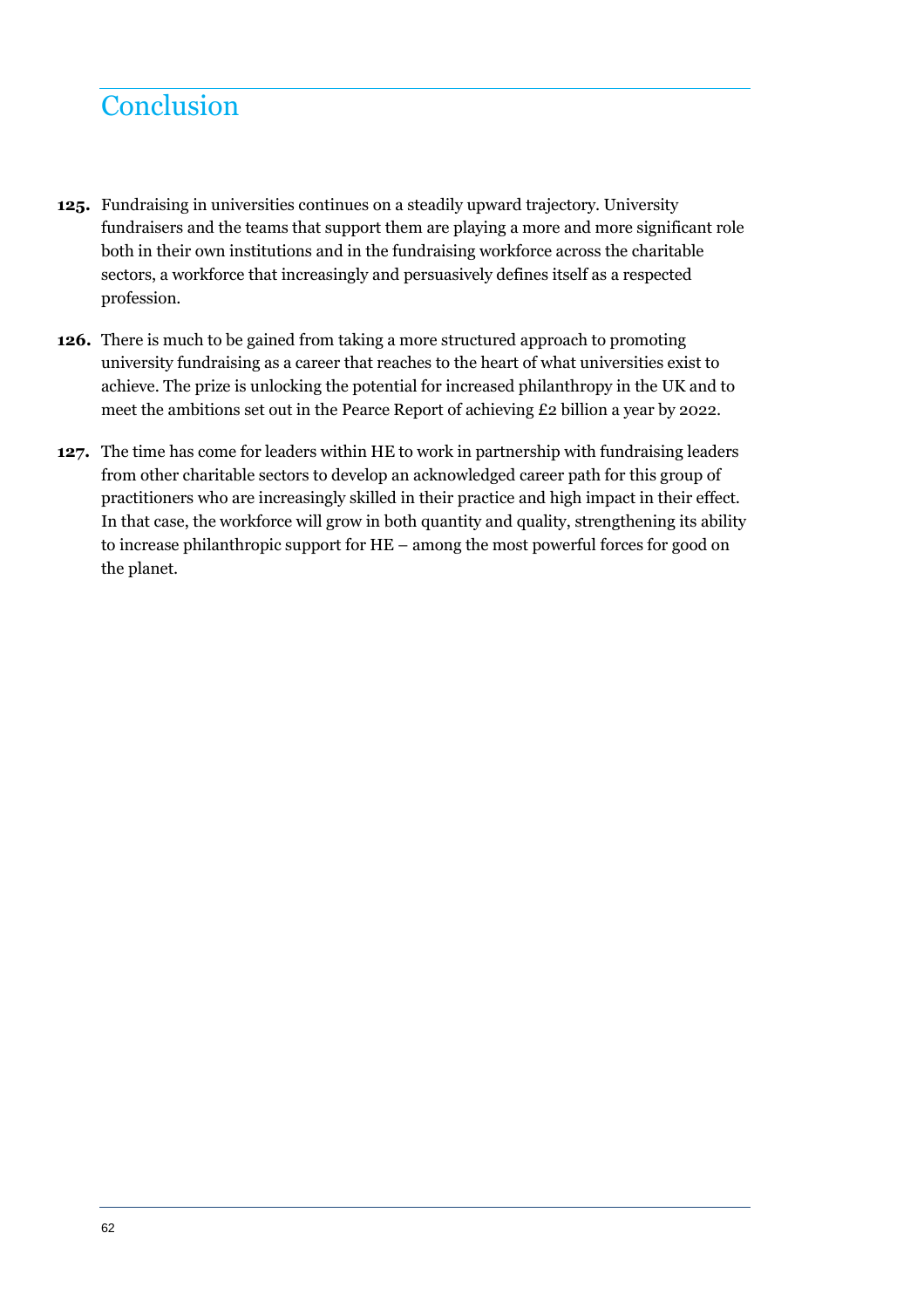## **Conclusion**

- **125.** Fundraising in universities continues on a steadily upward trajectory. University fundraisers and the teams that support them are playing a more and more significant role both in their own institutions and in the fundraising workforce across the charitable sectors, a workforce that increasingly and persuasively defines itself as a respected profession.
- **126.** There is much to be gained from taking a more structured approach to promoting university fundraising as a career that reaches to the heart of what universities exist to achieve. The prize is unlocking the potential for increased philanthropy in the UK and to meet the ambitions set out in the Pearce Report of achieving £2 billion a year by 2022.
- **127.** The time has come for leaders within HE to work in partnership with fundraising leaders from other charitable sectors to develop an acknowledged career path for this group of practitioners who are increasingly skilled in their practice and high impact in their effect. In that case, the workforce will grow in both quantity and quality, strengthening its ability to increase philanthropic support for HE – among the most powerful forces for good on the planet.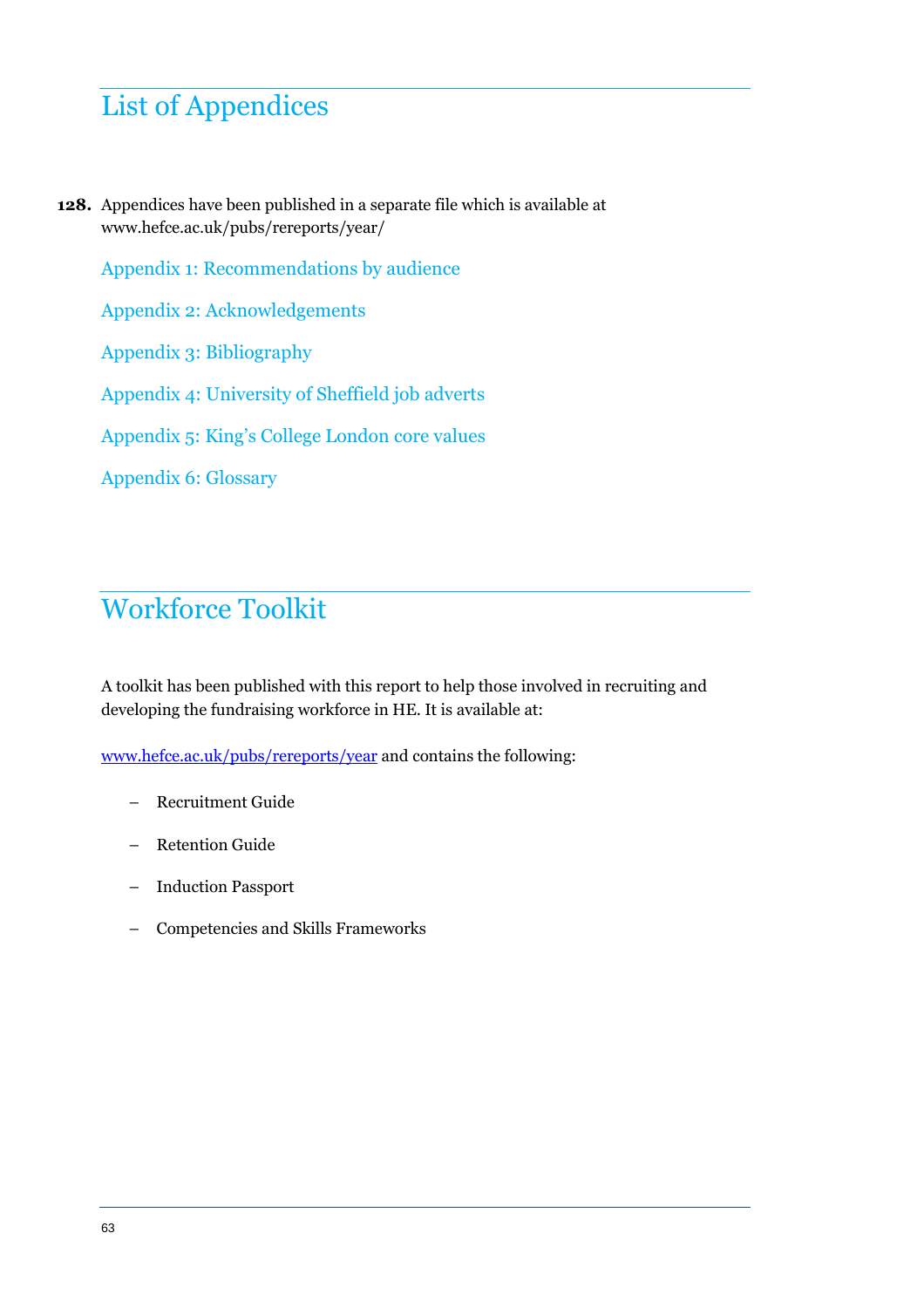## List of Appendices

**128.** Appendices have been published in a separate file which is available at www.hefce.ac.uk/pubs/rereports/year/

Appendix 1: Recommendations by audience

Appendix 2: Acknowledgements

Appendix 3: Bibliography

Appendix 4: University of Sheffield job adverts

Appendix 5: King's College London core values

Appendix 6: Glossary

## Workforce Toolkit

A toolkit has been published with this report to help those involved in recruiting and developing the fundraising workforce in HE. It is available at:

www.hefce.ac.uk/pubs/rereports/year and contains the following:

- Recruitment Guide
- Retention Guide
- Induction Passport
- Competencies and Skills Frameworks